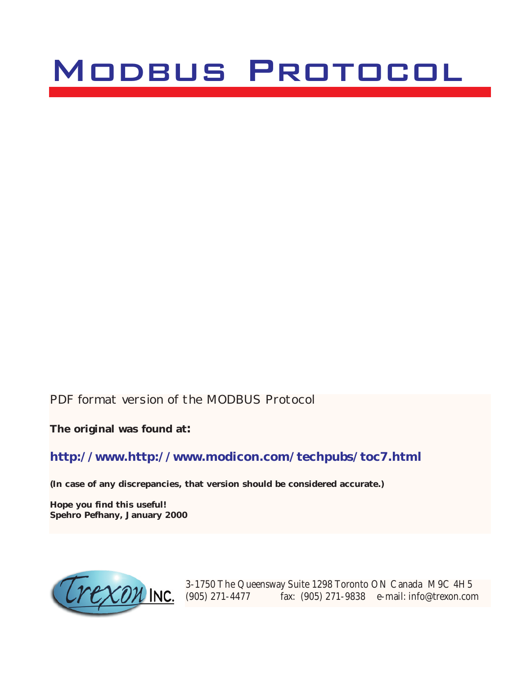# Modbus Protocol

#### PDF format version of the MODBUS Protocol

**The original was found at:**

#### **http://www.http://www.modicon.com/techpubs/toc7.html**

**(In case of any discrepancies, that version should be considered accurate.)** 

**Hope you find this useful! Spehro Pefhany, January 2000**



3-1750 The Queensway Suite 1298 Toronto ON Canada M9C 4H5 (905) 271-4477 fax: (905) 271-9838 e-mail: info@trexon.com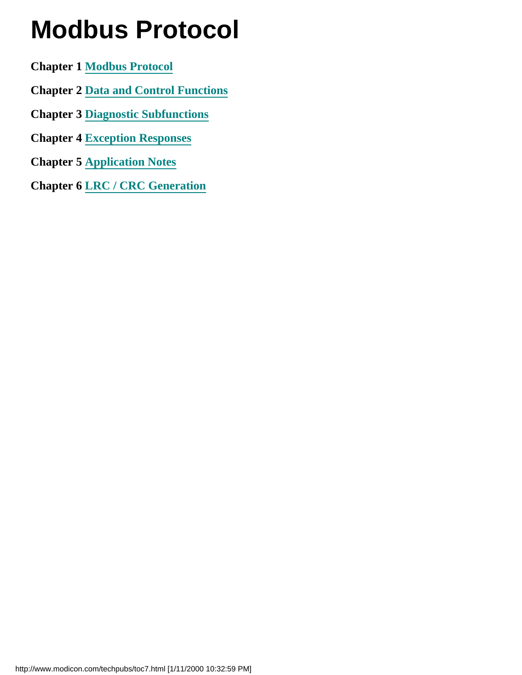# **Modbus Protocol**

- **Chapter 1 [Modbus Protocol](#page-2-0)**
- **Chapter 2 [Data and Control Functions](#page-7-0)**
- **Chapter 3 [Diagnostic Subfunctions](#page-43-0)**
- **Chapter 4 [Exception Responses](#page-59-0)**
- **Chapter 5 [Application Notes](#page-62-0)**
- **Chapter 6 [LRC / CRC Generation](#page-69-0)**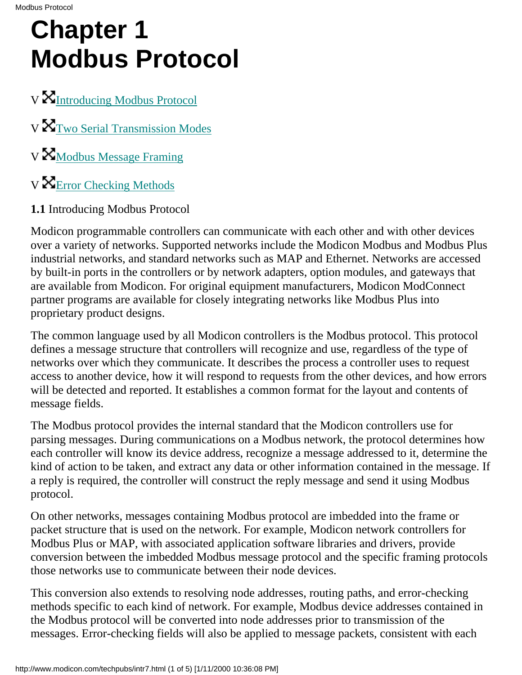# <span id="page-2-0"></span>**Chapter 1 Modbus Protocol**

V [Introducing Modbus Protocol](#page-2-1)

V [Two Serial Transmission Modes](#page-5-0)

V [Modbus Message Framing](#page-6-0)

V [Error Checking Methods](#page-2-0)

<span id="page-2-1"></span>**1.1** Introducing Modbus Protocol

Modicon programmable controllers can communicate with each other and with other devices over a variety of networks. Supported networks include the Modicon Modbus and Modbus Plus industrial networks, and standard networks such as MAP and Ethernet. Networks are accessed by built-in ports in the controllers or by network adapters, option modules, and gateways that are available from Modicon. For original equipment manufacturers, Modicon ModConnect partner programs are available for closely integrating networks like Modbus Plus into proprietary product designs.

The common language used by all Modicon controllers is the Modbus protocol. This protocol defines a message structure that controllers will recognize and use, regardless of the type of networks over which they communicate. It describes the process a controller uses to request access to another device, how it will respond to requests from the other devices, and how errors will be detected and reported. It establishes a common format for the layout and contents of message fields.

The Modbus protocol provides the internal standard that the Modicon controllers use for parsing messages. During communications on a Modbus network, the protocol determines how each controller will know its device address, recognize a message addressed to it, determine the kind of action to be taken, and extract any data or other information contained in the message. If a reply is required, the controller will construct the reply message and send it using Modbus protocol.

On other networks, messages containing Modbus protocol are imbedded into the frame or packet structure that is used on the network. For example, Modicon network controllers for Modbus Plus or MAP, with associated application software libraries and drivers, provide conversion between the imbedded Modbus message protocol and the specific framing protocols those networks use to communicate between their node devices.

This conversion also extends to resolving node addresses, routing paths, and error-checking methods specific to each kind of network. For example, Modbus device addresses contained in the Modbus protocol will be converted into node addresses prior to transmission of the messages. Error-checking fields will also be applied to message packets, consistent with each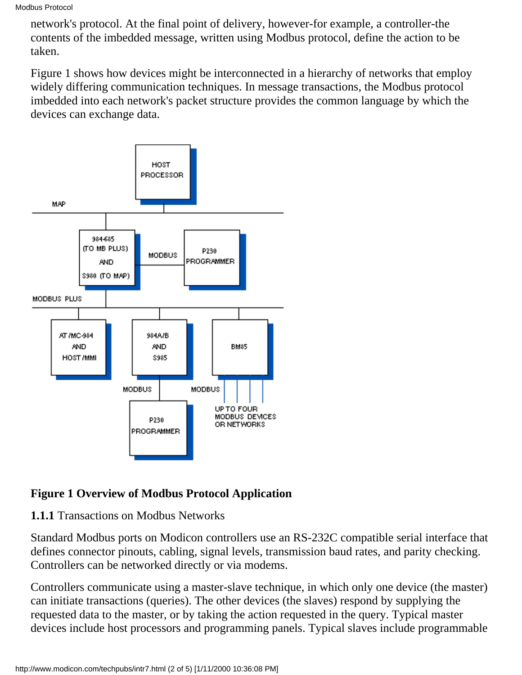network's protocol. At the final point of delivery, however-for example, a controller-the contents of the imbedded message, written using Modbus protocol, define the action to be taken.

Figure 1 shows how devices might be interconnected in a hierarchy of networks that employ widely differing communication techniques. In message transactions, the Modbus protocol imbedded into each network's packet structure provides the common language by which the devices can exchange data.



# **Figure 1 Overview of Modbus Protocol Application**

#### **1.1.1** Transactions on Modbus Networks

Standard Modbus ports on Modicon controllers use an RS-232C compatible serial interface that defines connector pinouts, cabling, signal levels, transmission baud rates, and parity checking. Controllers can be networked directly or via modems.

Controllers communicate using a master-slave technique, in which only one device (the master) can initiate transactions (queries). The other devices (the slaves) respond by supplying the requested data to the master, or by taking the action requested in the query. Typical master devices include host processors and programming panels. Typical slaves include programmable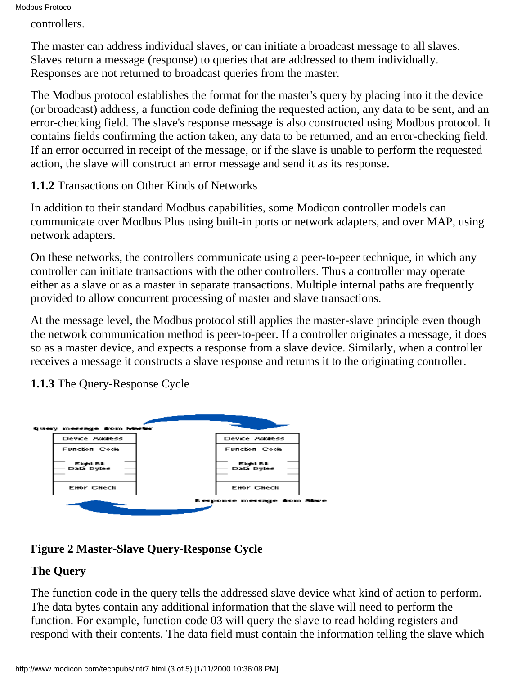Modbus Protocol

controllers.

The master can address individual slaves, or can initiate a broadcast message to all slaves. Slaves return a message (response) to queries that are addressed to them individually. Responses are not returned to broadcast queries from the master.

The Modbus protocol establishes the format for the master's query by placing into it the device (or broadcast) address, a function code defining the requested action, any data to be sent, and an error-checking field. The slave's response message is also constructed using Modbus protocol. It contains fields confirming the action taken, any data to be returned, and an error-checking field. If an error occurred in receipt of the message, or if the slave is unable to perform the requested action, the slave will construct an error message and send it as its response.

**1.1.2** Transactions on Other Kinds of Networks

In addition to their standard Modbus capabilities, some Modicon controller models can communicate over Modbus Plus using built-in ports or network adapters, and over MAP, using network adapters.

On these networks, the controllers communicate using a peer-to-peer technique, in which any controller can initiate transactions with the other controllers. Thus a controller may operate either as a slave or as a master in separate transactions. Multiple internal paths are frequently provided to allow concurrent processing of master and slave transactions.

At the message level, the Modbus protocol still applies the master-slave principle even though the network communication method is peer-to-peer. If a controller originates a message, it does so as a master device, and expects a response from a slave device. Similarly, when a controller receives a message it constructs a slave response and returns it to the originating controller.



**1.1.3** The Query-Response Cycle

# **Figure 2 Master-Slave Query-Response Cycle**

#### **The Query**

The function code in the query tells the addressed slave device what kind of action to perform. The data bytes contain any additional information that the slave will need to perform the function. For example, function code 03 will query the slave to read holding registers and respond with their contents. The data field must contain the information telling the slave which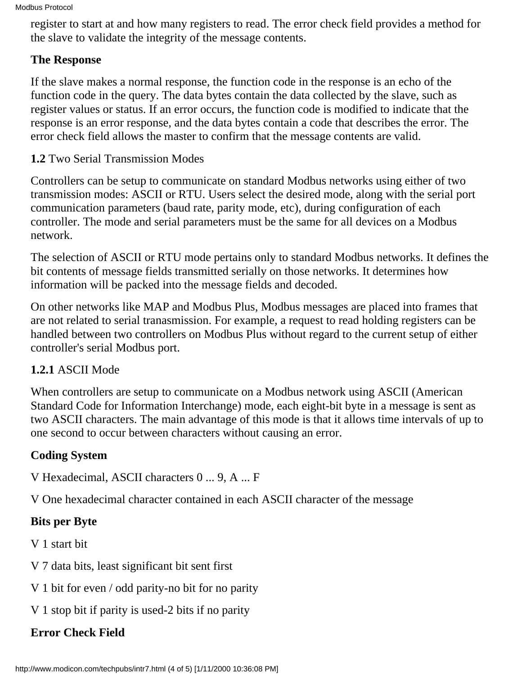register to start at and how many registers to read. The error check field provides a method for the slave to validate the integrity of the message contents.

#### **The Response**

If the slave makes a normal response, the function code in the response is an echo of the function code in the query. The data bytes contain the data collected by the slave, such as register values or status. If an error occurs, the function code is modified to indicate that the response is an error response, and the data bytes contain a code that describes the error. The error check field allows the master to confirm that the message contents are valid.

#### <span id="page-5-0"></span>**1.2** Two Serial Transmission Modes

Controllers can be setup to communicate on standard Modbus networks using either of two transmission modes: ASCII or RTU. Users select the desired mode, along with the serial port communication parameters (baud rate, parity mode, etc), during configuration of each controller. The mode and serial parameters must be the same for all devices on a Modbus network.

The selection of ASCII or RTU mode pertains only to standard Modbus networks. It defines the bit contents of message fields transmitted serially on those networks. It determines how information will be packed into the message fields and decoded.

On other networks like MAP and Modbus Plus, Modbus messages are placed into frames that are not related to serial tranasmission. For example, a request to read holding registers can be handled between two controllers on Modbus Plus without regard to the current setup of either controller's serial Modbus port.

#### **1.2.1** ASCII Mode

When controllers are setup to communicate on a Modbus network using ASCII (American Standard Code for Information Interchange) mode, each eight-bit byte in a message is sent as two ASCII characters. The main advantage of this mode is that it allows time intervals of up to one second to occur between characters without causing an error.

#### **Coding System**

V Hexadecimal, ASCII characters 0 ... 9, A ... F

V One hexadecimal character contained in each ASCII character of the message

#### **Bits per Byte**

V 1 start bit

- V 7 data bits, least significant bit sent first
- V 1 bit for even / odd parity-no bit for no parity
- V 1 stop bit if parity is used-2 bits if no parity

# **Error Check Field**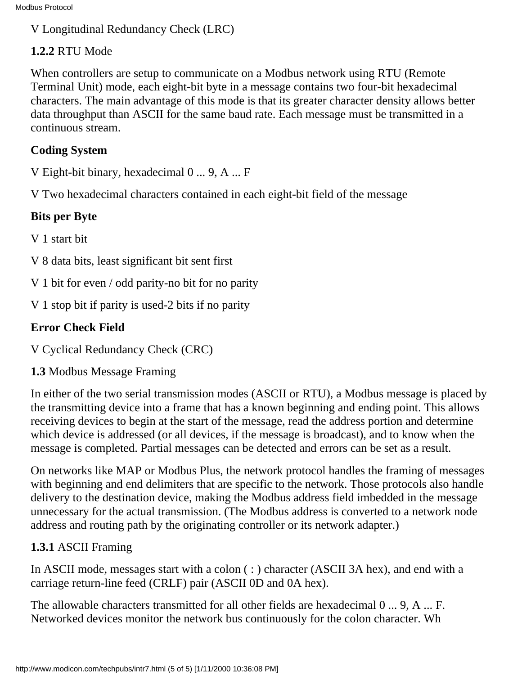#### V Longitudinal Redundancy Check (LRC)

# **1.2.2** RTU Mode

When controllers are setup to communicate on a Modbus network using RTU (Remote Terminal Unit) mode, each eight-bit byte in a message contains two four-bit hexadecimal characters. The main advantage of this mode is that its greater character density allows better data throughput than ASCII for the same baud rate. Each message must be transmitted in a continuous stream.

# **Coding System**

V Eight-bit binary, hexadecimal 0 ... 9, A ... F

V Two hexadecimal characters contained in each eight-bit field of the message

# **Bits per Byte**

V 1 start bit

V 8 data bits, least significant bit sent first

V 1 bit for even / odd parity-no bit for no parity

V 1 stop bit if parity is used-2 bits if no parity

# **Error Check Field**

V Cyclical Redundancy Check (CRC)

<span id="page-6-0"></span>**1.3** Modbus Message Framing

In either of the two serial transmission modes (ASCII or RTU), a Modbus message is placed by the transmitting device into a frame that has a known beginning and ending point. This allows receiving devices to begin at the start of the message, read the address portion and determine which device is addressed (or all devices, if the message is broadcast), and to know when the message is completed. Partial messages can be detected and errors can be set as a result.

On networks like MAP or Modbus Plus, the network protocol handles the framing of messages with beginning and end delimiters that are specific to the network. Those protocols also handle delivery to the destination device, making the Modbus address field imbedded in the message unnecessary for the actual transmission. (The Modbus address is converted to a network node address and routing path by the originating controller or its network adapter.)

# **1.3.1** ASCII Framing

In ASCII mode, messages start with a colon ( : ) character (ASCII 3A hex), and end with a carriage return-line feed (CRLF) pair (ASCII 0D and 0A hex).

The allowable characters transmitted for all other fields are hexadecimal 0 ... 9, A ... F. Networked devices monitor the network bus continuously for the colon character. Wh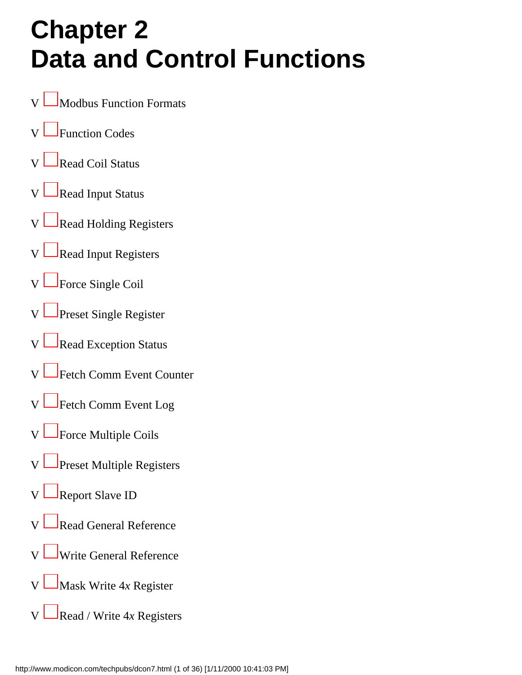# <span id="page-7-0"></span>**Chapter 2 Data and Control Functions**

- V Modbus Function Formats
- $V$  Function Codes
- $V$  Read Coil Status
- V Read Input Status
- V Read Holding Registers
- $V \square$ Read Input Registers
- $V \Box$  Force Single Coil
- $V \Box$ Preset Single Register
- $V$  Read Exception Status
- V Fetch Comm Event Counter
- V Fetch Comm Event Log
- $V \Box$  Force Multiple Coils
- $V$  Preset Multiple Registers
- $V$  Report Slave ID
- Read General Reference
- V Write General Reference
- V Mask Write 4*x* Register
- $V \Box$ Read / Write 4x Registers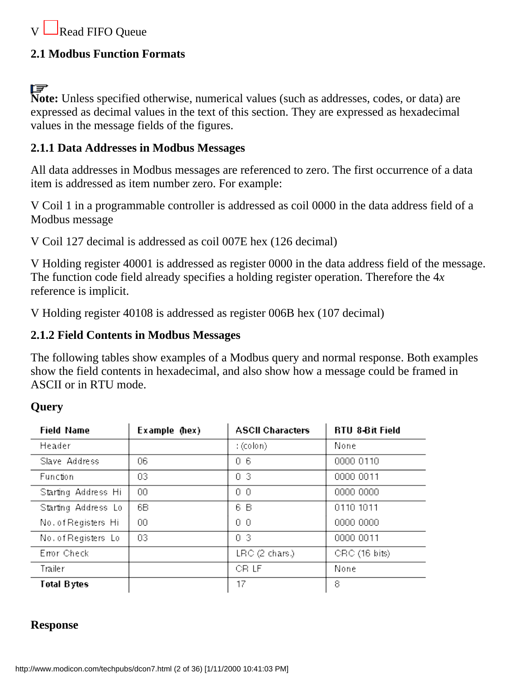# $\Box$ Read FIFO Queue

### <span id="page-8-0"></span>**2.1 Modbus Function Formats**

**Note:** Unless specified otherwise, numerical values (such as addresses, codes, or data) are expressed as decimal values in the text of this section. They are expressed as hexadecimal values in the message fields of the figures.

### **2.1.1 Data Addresses in Modbus Messages**

All data addresses in Modbus messages are referenced to zero. The first occurrence of a data item is addressed as item number zero. For example:

V Coil 1 in a programmable controller is addressed as coil 0000 in the data address field of a Modbus message

V Coil 127 decimal is addressed as coil 007E hex (126 decimal)

V Holding register 40001 is addressed as register 0000 in the data address field of the message. The function code field already specifies a holding register operation. Therefore the 4*x* reference is implicit.

V Holding register 40108 is addressed as register 006B hex (107 decimal)

### **2.1.2 Field Contents in Modbus Messages**

The following tables show examples of a Modbus query and normal response. Both examples show the field contents in hexadecimal, and also show how a message could be framed in ASCII or in RTU mode.

# **Query**

| <b>Field Name</b>   | Example (hex) | <b>ASCII Characters</b> | <b>RTU 8-Bit Field</b> |
|---------------------|---------------|-------------------------|------------------------|
| Header              |               | : (colon)               | None                   |
| Slave Address       | 06            | 06                      | 0000 0110              |
| <b>Function</b>     | 03.           | 03                      | 0000 0011              |
| Starting Address Hi | 00            | 00                      | 0000 0000              |
| Starting Address Lo | 6B            | 6 B                     | 0110 1011              |
| No. of Registers Hi | 00            | 00                      | 0000 0000              |
| No. of Registers Lo | 03            | 03                      | 0000 0011              |
| Emor Check          |               | LRC (2 chars.)          | CRC (16 bits)          |
| Trailer             |               | CR LF                   | None                   |
| <b>Total Bytes</b>  |               | 17                      | 8                      |

#### **Response**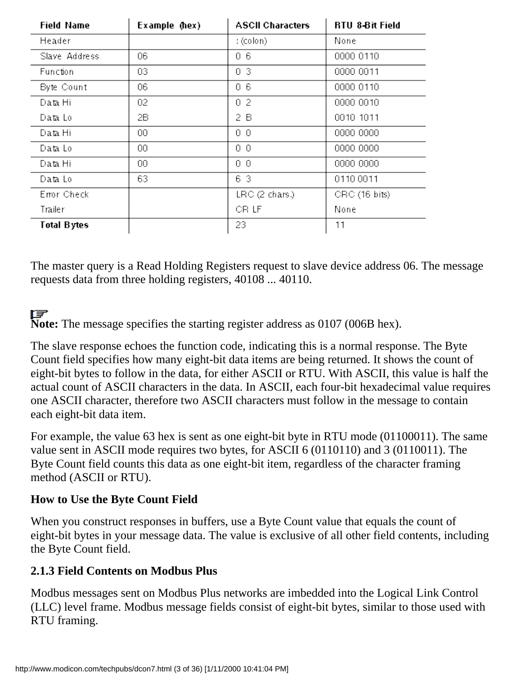| <b>Field Name</b>  | Example (hex) | <b>ASCII Characters</b> | <b>RTU 8-Bit Field</b> |
|--------------------|---------------|-------------------------|------------------------|
| Header             |               | $:(\mathsf{colon})$     | None                   |
| Slave Address      | 06            | 06                      | 0000 0110              |
| Function           | 03.           | 03                      | 0000 0011              |
| <b>Byte Count</b>  | 06            | 06                      | 0000 0110              |
| Data Hi            | 02            | 0 <sub>2</sub>          | 0000 0010              |
| Data Lo            | 2В.           | 2 B                     | 0010 1011              |
| Data Hi            | 00            | 00                      | 0000 0000              |
| Data Lo            | 00            | 00                      | 0000 0000              |
| Data Hi            | 00            | 00                      | 0000 0000              |
| Data Lo            | 63            | 63                      | 0110 0011              |
| Emor Check         |               | LRC (2 chars.)          | CRC (16 bits)          |
| Trailer            |               | CR LF                   | None                   |
| <b>Total Bytes</b> |               | 23.                     | 11                     |

The master query is a Read Holding Registers request to slave device address 06. The message requests data from three holding registers, 40108 ... 40110.

# **IF**<br>**Note:** The message specifies the starting register address as 0107 (006B hex).

The slave response echoes the function code, indicating this is a normal response. The Byte Count field specifies how many eight-bit data items are being returned. It shows the count of eight-bit bytes to follow in the data, for either ASCII or RTU. With ASCII, this value is half the actual count of ASCII characters in the data. In ASCII, each four-bit hexadecimal value requires one ASCII character, therefore two ASCII characters must follow in the message to contain each eight-bit data item.

For example, the value 63 hex is sent as one eight-bit byte in RTU mode (01100011). The same value sent in ASCII mode requires two bytes, for ASCII 6 (0110110) and 3 (0110011). The Byte Count field counts this data as one eight-bit item, regardless of the character framing method (ASCII or RTU).

#### **How to Use the Byte Count Field**

When you construct responses in buffers, use a Byte Count value that equals the count of eight-bit bytes in your message data. The value is exclusive of all other field contents, including the Byte Count field.

# **2.1.3 Field Contents on Modbus Plus**

Modbus messages sent on Modbus Plus networks are imbedded into the Logical Link Control (LLC) level frame. Modbus message fields consist of eight-bit bytes, similar to those used with RTU framing.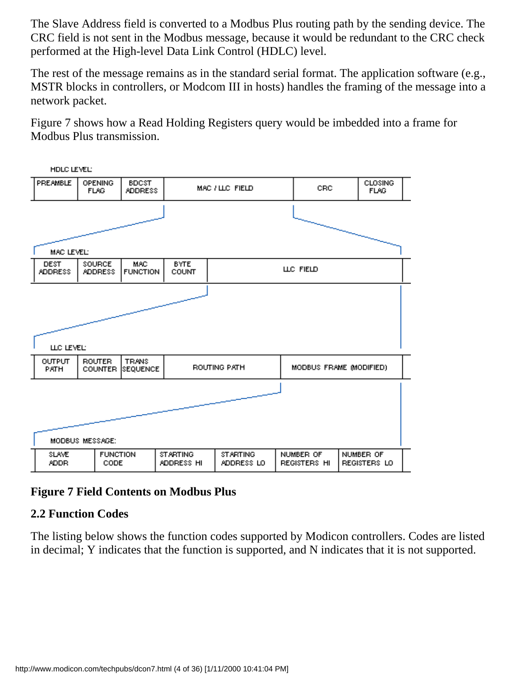The Slave Address field is converted to a Modbus Plus routing path by the sending device. The CRC field is not sent in the Modbus message, because it would be redundant to the CRC check performed at the High-level Data Link Control (HDLC) level.

The rest of the message remains as in the standard serial format. The application software (e.g., MSTR blocks in controllers, or Modcom III in hosts) handles the framing of the message into a network packet.

Figure 7 shows how a Read Holding Registers query would be imbedded into a frame for Modbus Plus transmission.



# **Figure 7 Field Contents on Modbus Plus**

#### <span id="page-10-0"></span>**2.2 Function Codes**

The listing below shows the function codes supported by Modicon controllers. Codes are listed in decimal; Y indicates that the function is supported, and N indicates that it is not supported.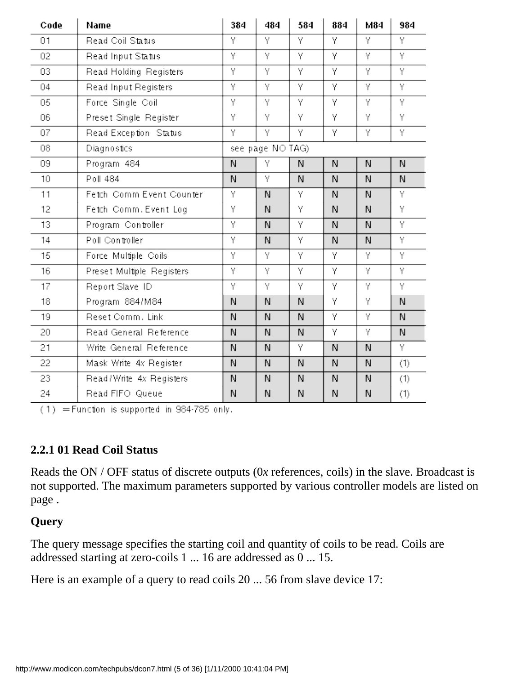| Code | Name                        | 384 | 484              | 584 | 884 | M84 | 984                 |
|------|-----------------------------|-----|------------------|-----|-----|-----|---------------------|
| 01   | Read Coil Status            | Y   | ٧                | Ÿ.  | Y   | ٧   | Υ                   |
| 02   | Read Input Status           | Y   | Y                | Y   | Y   | Y   | Υ                   |
| 03   | Read Holding Registers      | Y   | Y                | Y   | Y   | Y   | Υ                   |
| 04   | <b>Read Input Registers</b> | Y   | Y                | Y   | Y.  | Y   | Υ                   |
| 05   | Force Single Coil           | Y   | Y                | Y   | Y   | Y   | Υ                   |
| 06   | Preset Single Register      | ٧   | Y                | Y   | Y   | Y   | Υ                   |
| 07   | Read Exception Status       | Y   | Y                | Y   | Y   | Υ.  | Υ                   |
| 08   | Diagnostics                 |     | see page NO TAG) |     |     |     |                     |
| 09   | Program 484                 | Ν   | Υ                | Ν   | Ν   | Ν   | N                   |
| 10   | <b>Poll 484</b>             | Ν   | Y                | N   | N   | Ν   | Ν                   |
| 11   | Fetch, Comm Event Counter   | Υ   | N                | Y   | N   | N   | Υ                   |
| 12   | Fetch Comm. Event Log       | ٧   | Ν                | Y   | Ν   | Ν   | Υ                   |
| 13   | Program Controller          | Υ   | Ν                | Y   | Ν   | Ν   | Υ                   |
| 14   | Poll Controller             | Υ   | N                | Y   | N   | Ν   | Υ                   |
| 15   | Force Multiple Coils        | Υ   | Υ                | Υ   | Y   | Υ   | Υ                   |
| 16   | Preset Multiple Registers   | Y   | Υ                | Υ   | Υ   | Y   | Y                   |
| 17   | Report Slave ID             | Υ   | Y                | Y   | Y   | Y   | Υ                   |
| 18   | Program 884/M84             | Ν   | N                | Ν   | Y   | Y   | Ν                   |
| 19   | Reset Comm. Link            | N   | N                | N   | Y   | ٧.  | Ν                   |
| 20   | Read General Reference      | Ν   | N                | Ν   | Y   | Y   | Ν                   |
| 21   | Write General Reference     | Ν   | N                | Υ   | N   | N   | Y                   |
| 22   | Mask Write 4x Register      | Ν   | N                | N   | N   | N   | $\langle 1 \rangle$ |
| 23   | Read/Write 4x Registers     | Ν   | N                | Ν   | N   | Ν   | $\langle 1 \rangle$ |
| 24   | Read FIFO Queue             | Ν   | N                | Ν   | Ν   | Ν   | $\langle 1 \rangle$ |

 $(1)$  = Function is supported in 984-785 only.

#### <span id="page-11-0"></span>**2.2.1 01 Read Coil Status**

Reads the ON / OFF status of discrete outputs (0*x* references, coils) in the slave. Broadcast is not supported. The maximum parameters supported by various controller models are listed on page .

#### **Query**

The query message specifies the starting coil and quantity of coils to be read. Coils are addressed starting at zero-coils 1 ... 16 are addressed as 0 ... 15.

Here is an example of a query to read coils 20 ... 56 from slave device 17: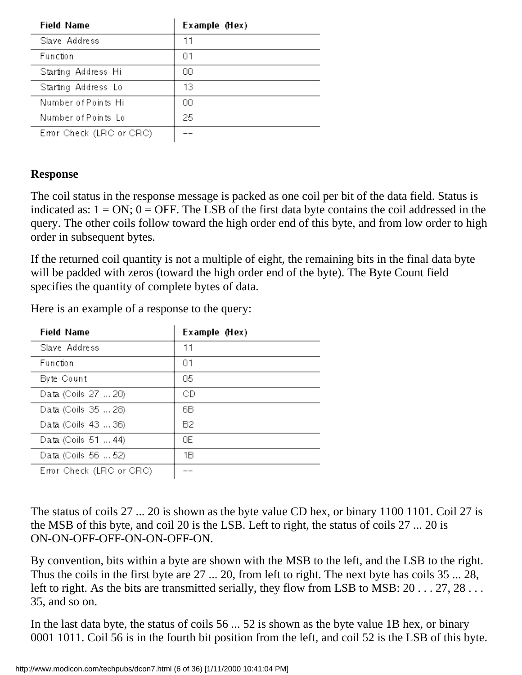| Field Name               | Example (Hex) |
|--------------------------|---------------|
| Slave Address            | 11            |
| Function                 | 01            |
| Starting Address Hi      | 00            |
| Starting Address Lo      | 13            |
| Number of Points Hi      | 00            |
| Number of Points Lo      | 25            |
| Error Check (LRC or CRC) |               |

The coil status in the response message is packed as one coil per bit of the data field. Status is indicated as:  $1 = ON$ ;  $0 = OFF$ . The LSB of the first data byte contains the coil addressed in the query. The other coils follow toward the high order end of this byte, and from low order to high order in subsequent bytes.

If the returned coil quantity is not a multiple of eight, the remaining bits in the final data byte will be padded with zeros (toward the high order end of the byte). The Byte Count field specifies the quantity of complete bytes of data.

Here is an example of a response to the query:

| <b>Field Name</b>        | Example (Hex) |
|--------------------------|---------------|
| Slave Address            | 11            |
| Function                 | 01            |
| Byte Count               | 05            |
| Data (Coils 27  20)      | CD.           |
| Data (Coils 35  28)      | 6B            |
| Data (Coils 43  36)      | <b>B2</b>     |
| Data (Coils 51  44)      | 0E            |
| Data (Coils 56  52)      | 1B            |
| Error Check (LRC or CRC) |               |

The status of coils 27 ... 20 is shown as the byte value CD hex, or binary 1100 1101. Coil 27 is the MSB of this byte, and coil 20 is the LSB. Left to right, the status of coils 27 ... 20 is ON-ON-OFF-OFF-ON-ON-OFF-ON.

By convention, bits within a byte are shown with the MSB to the left, and the LSB to the right. Thus the coils in the first byte are 27 ... 20, from left to right. The next byte has coils 35 ... 28, left to right. As the bits are transmitted serially, they flow from LSB to MSB: 20 . . . 27, 28 . . . 35, and so on.

In the last data byte, the status of coils 56 ... 52 is shown as the byte value 1B hex, or binary 0001 1011. Coil 56 is in the fourth bit position from the left, and coil 52 is the LSB of this byte.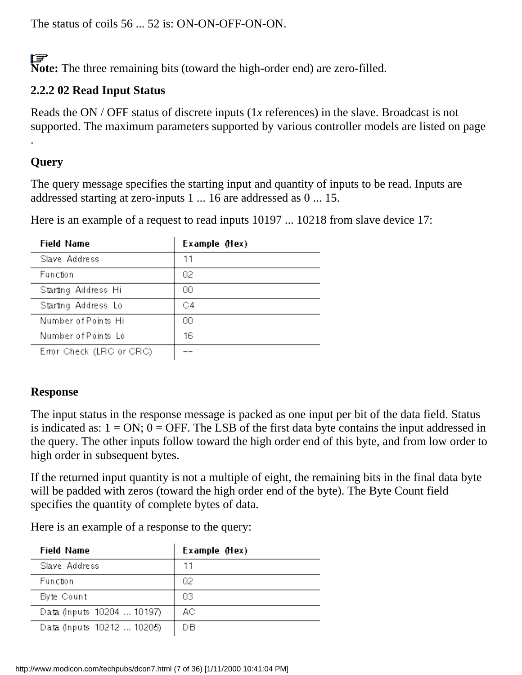The status of coils 56 ... 52 is: ON-ON-OFF-ON-ON.

# **IF**<br>**Note:** The three remaining bits (toward the high-order end) are zero-filled.

# <span id="page-13-0"></span>**2.2.2 02 Read Input Status**

Reads the ON / OFF status of discrete inputs (1*x* references) in the slave. Broadcast is not supported. The maximum parameters supported by various controller models are listed on page

### **Query**

.

The query message specifies the starting input and quantity of inputs to be read. Inputs are addressed starting at zero-inputs 1 ... 16 are addressed as 0 ... 15.

Here is an example of a request to read inputs 10197 ... 10218 from slave device 17:

| <b>Field Name</b>        | Example (Hex) |
|--------------------------|---------------|
| Slave Address            | 11            |
| Function                 | 02            |
| Starting Address Hi      | 00            |
| Starting Address Lo      | C4            |
| Number of Points Hi      | 00            |
| Number of Points Lo      | 16            |
| Error Check (LRC or CRC) |               |

#### **Response**

The input status in the response message is packed as one input per bit of the data field. Status is indicated as:  $1 = ON$ ;  $0 = OFF$ . The LSB of the first data byte contains the input addressed in the query. The other inputs follow toward the high order end of this byte, and from low order to high order in subsequent bytes.

If the returned input quantity is not a multiple of eight, the remaining bits in the final data byte will be padded with zeros (toward the high order end of the byte). The Byte Count field specifies the quantity of complete bytes of data.

Here is an example of a response to the query:

| Field Name                 | Example (Hex) |
|----------------------------|---------------|
| Slave Address              | 11            |
| Function                   | 02            |
| Byte Count                 | 03            |
| Data (Inputs 10204  10197) | AC            |
| Data (Inputs 10212  10205) | DВ            |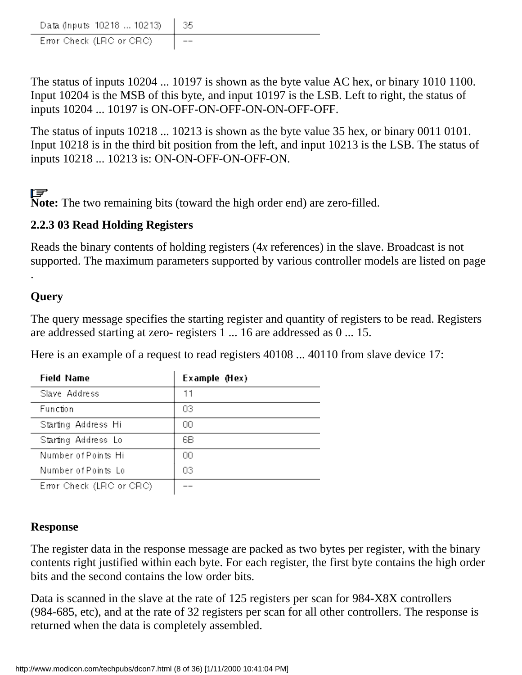Data (Inputs 10218 ... 10213)

Error Check (LRC or CRC)

The status of inputs 10204 ... 10197 is shown as the byte value AC hex, or binary 1010 1100. Input 10204 is the MSB of this byte, and input 10197 is the LSB. Left to right, the status of inputs 10204 ... 10197 is ON-OFF-ON-OFF-ON-ON-OFF-OFF.

The status of inputs 10218 ... 10213 is shown as the byte value 35 hex, or binary 0011 0101. Input 10218 is in the third bit position from the left, and input 10213 is the LSB. The status of inputs 10218 ... 10213 is: ON-ON-OFF-ON-OFF-ON.

**IF**<br>**Note:** The two remaining bits (toward the high order end) are zero-filled.

#### <span id="page-14-0"></span>**2.2.3 03 Read Holding Registers**

Reads the binary contents of holding registers (4*x* references) in the slave. Broadcast is not supported. The maximum parameters supported by various controller models are listed on page .

#### **Query**

The query message specifies the starting register and quantity of registers to be read. Registers are addressed starting at zero- registers 1 ... 16 are addressed as 0 ... 15.

Here is an example of a request to read registers 40108 ... 40110 from slave device 17:

| Field Name               | Example (Hex) |
|--------------------------|---------------|
| Slave Address            | 11            |
| Function                 | 03            |
| Starting Address Hi      | 00            |
| Starting Address Lo      | 6Β            |
| Number of Points Hi      | 00            |
| Number of Points Lo      | 03            |
| Error Check (LRC or CRC) |               |

#### **Response**

The register data in the response message are packed as two bytes per register, with the binary contents right justified within each byte. For each register, the first byte contains the high order bits and the second contains the low order bits.

Data is scanned in the slave at the rate of 125 registers per scan for 984-X8X controllers (984-685, etc), and at the rate of 32 registers per scan for all other controllers. The response is returned when the data is completely assembled.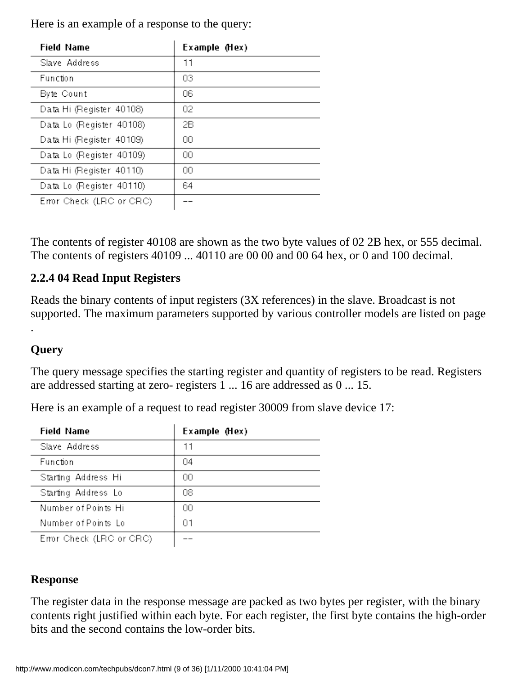Here is an example of a response to the query:

| <b>Field Name</b>        | Example (Hex) |
|--------------------------|---------------|
| Slave Address            | 11            |
| <b>Function</b>          | 03            |
| Byte Count               | 06            |
| Data Hi (Register 40108) | 02            |
| Data Lo (Register 40108) | 2В            |
| Data Hi (Register 40109) | 00            |
| Data Lo (Register 40109) | 00            |
| Data Hi (Register 40110) | 00            |
| Data Lo (Register 40110) | 64            |
| Error Check (LRC or CRC) |               |

The contents of register 40108 are shown as the two byte values of 02 2B hex, or 555 decimal. The contents of registers 40109 ... 40110 are 00 00 and 00 64 hex, or 0 and 100 decimal.

# <span id="page-15-0"></span>**2.2.4 04 Read Input Registers**

Reads the binary contents of input registers (3X references) in the slave. Broadcast is not supported. The maximum parameters supported by various controller models are listed on page .

### **Query**

The query message specifies the starting register and quantity of registers to be read. Registers are addressed starting at zero- registers 1 ... 16 are addressed as 0 ... 15.

| <b>Field Name</b>        | Example (Hex) |
|--------------------------|---------------|
| Slave Address            | 11            |
| Function                 | 04            |
| Starting Address Hi      | 00            |
| Starting Address Lo      | 08            |
| Number of Points Hi      | 00            |
| Number of Points Lo      | 01            |
| Error Check (LRC or CRC) |               |
|                          |               |

Here is an example of a request to read register 30009 from slave device 17:

#### **Response**

The register data in the response message are packed as two bytes per register, with the binary contents right justified within each byte. For each register, the first byte contains the high-order bits and the second contains the low-order bits.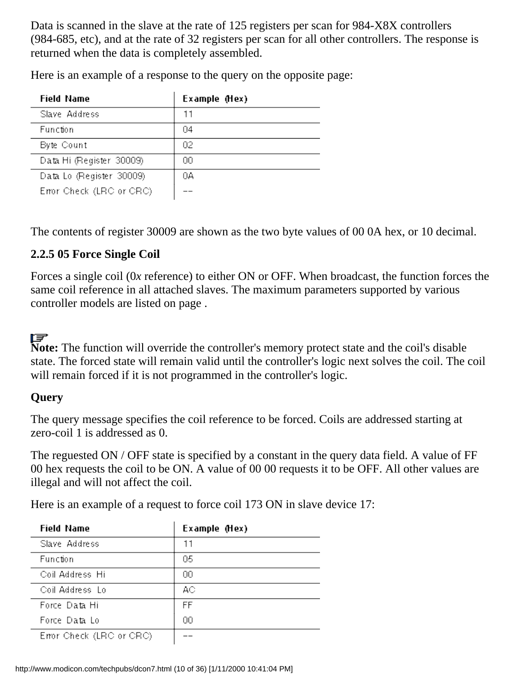Data is scanned in the slave at the rate of 125 registers per scan for 984-X8X controllers (984-685, etc), and at the rate of 32 registers per scan for all other controllers. The response is returned when the data is completely assembled.

| Field Name               | Example (Hex) |
|--------------------------|---------------|
| Slave Address            | 11            |
| Function                 | 04            |
| <b>Byte Count</b>        | 02            |
| Data Hi (Register 30009) | 00            |
| Data Lo (Register 30009) | 0A            |
| Error Check (LRC or CRC) |               |

Here is an example of a response to the query on the opposite page:

The contents of register 30009 are shown as the two byte values of 00 0A hex, or 10 decimal.

### <span id="page-16-0"></span>**2.2.5 05 Force Single Coil**

Forces a single coil (0*x* reference) to either ON or OFF. When broadcast, the function forces the same coil reference in all attached slaves. The maximum parameters supported by various controller models are listed on page .

### 「三

**Note:** The function will override the controller's memory protect state and the coil's disable state. The forced state will remain valid until the controller's logic next solves the coil. The coil will remain forced if it is not programmed in the controller's logic.

#### **Query**

The query message specifies the coil reference to be forced. Coils are addressed starting at zero-coil 1 is addressed as 0.

The reguested ON / OFF state is specified by a constant in the query data field. A value of FF 00 hex requests the coil to be ON. A value of 00 00 requests it to be OFF. All other values are illegal and will not affect the coil.

Here is an example of a request to force coil 173 ON in slave device 17:

| <b>Field Name</b>        | Example (Hex) |
|--------------------------|---------------|
| Slave Address            | 11            |
| Function                 | 05            |
| Coil Address Hi          | 00            |
| Coil Address Lo          | AC            |
| Force Data Hi            | FF            |
| Force Data Lo            | 00            |
| Error Check (LRC or CRC) |               |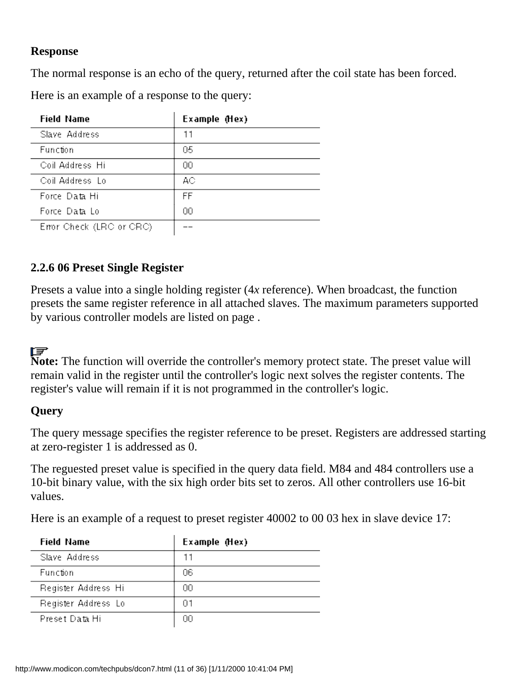The normal response is an echo of the query, returned after the coil state has been forced. Here is an example of a response to the query:

| Field Name               | Example (Hex) |
|--------------------------|---------------|
| Slave Address            | 11            |
| Function                 | 05            |
| Coil Address Hi          | 00            |
| Coil Address Lo          | AC            |
| Force Data Hi            | FF            |
| Force Data Lo            | 00            |
| Error Check (LRC or CRC) |               |

#### <span id="page-17-0"></span>**2.2.6 06 Preset Single Register**

Presets a value into a single holding register (4*x* reference). When broadcast, the function presets the same register reference in all attached slaves. The maximum parameters supported by various controller models are listed on page .

**Note:** The function will override the controller's memory protect state. The preset value will remain valid in the register until the controller's logic next solves the register contents. The register's value will remain if it is not programmed in the controller's logic.

#### **Query**

The query message specifies the register reference to be preset. Registers are addressed starting at zero-register 1 is addressed as 0.

The reguested preset value is specified in the query data field. M84 and 484 controllers use a 10-bit binary value, with the six high order bits set to zeros. All other controllers use 16-bit values.

Here is an example of a request to preset register 40002 to 00 03 hex in slave device 17:

| Field Name          | Example (Hex) |
|---------------------|---------------|
| Slave Address       | 11            |
| <b>Function</b>     | 06            |
| Register Address Hi | ΩO            |
| Register Address Lo | 01            |
| Preset Data Hi      | ΩO            |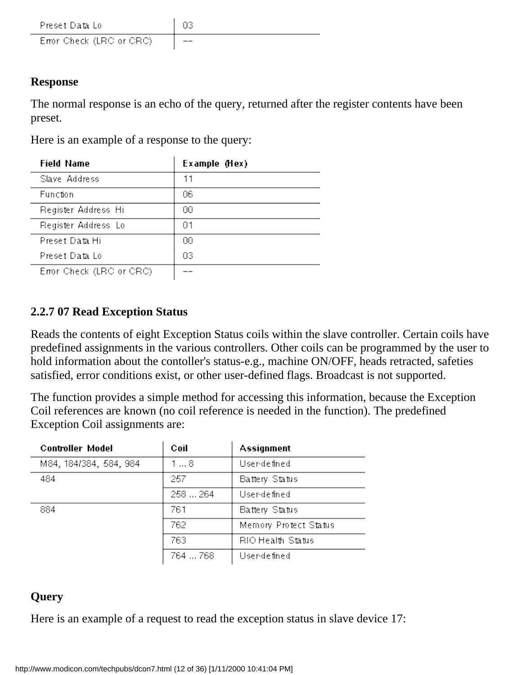| Preset Data Lo           | -03 |
|--------------------------|-----|
| Error Check (LRC or CRC) |     |

The normal response is an echo of the query, returned after the register contents have been preset.

Here is an example of a response to the query:

| Field Name               | Example (Hex) |
|--------------------------|---------------|
| Slave Address            | 11            |
| Function                 | 06            |
| Register Address Hi      | 00            |
| Register Address Lo      | 01            |
| Preset Data Hi           | 00            |
| Preset Data Lo           | 03            |
| Error Check (LRC or CRC) |               |

#### <span id="page-18-0"></span>**2.2.7 07 Read Exception Status**

Reads the contents of eight Exception Status coils within the slave controller. Certain coils have predefined assignments in the various controllers. Other coils can be programmed by the user to hold information about the contoller's status-e.g., machine ON/OFF, heads retracted, safeties satisfied, error conditions exist, or other user-defined flags. Broadcast is not supported.

The function provides a simple method for accessing this information, because the Exception Coil references are known (no coil reference is needed in the function). The predefined Exception Coil assignments are:

| <b>Controller Model</b> | Coil     | <b>Assignment</b>        |
|-------------------------|----------|--------------------------|
| M84, 184/384, 584, 984  | 1  8     | User-defined             |
| 484                     | 257      | <b>Battery Status</b>    |
|                         | 258  264 | User-defined             |
| 884                     | 761      | <b>Battery Status</b>    |
|                         | 762      | Memory Protect Status    |
|                         | 763      | <b>RIO Health Status</b> |
|                         | 764  768 | User-defined             |

#### **Query**

Here is an example of a request to read the exception status in slave device 17: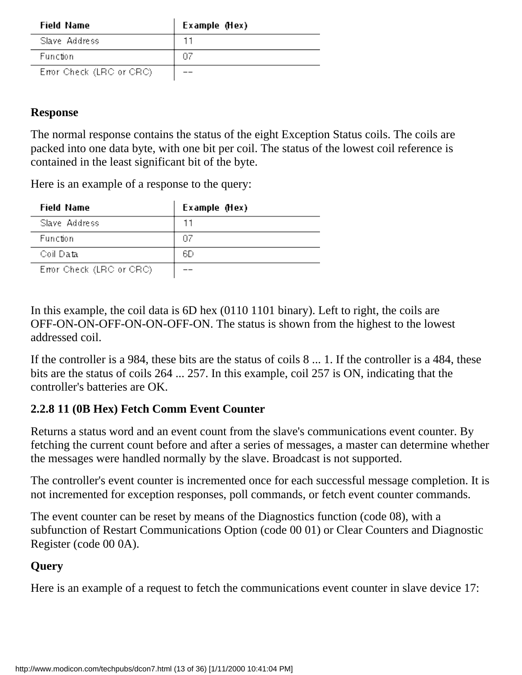| Field Name               | Example (Hex) |
|--------------------------|---------------|
| Slave Address            | 11            |
| Function                 | 07            |
| Error Check (LRC or CRC) |               |

The normal response contains the status of the eight Exception Status coils. The coils are packed into one data byte, with one bit per coil. The status of the lowest coil reference is contained in the least significant bit of the byte.

Here is an example of a response to the query:

| Field Name               | Example (Hex) |
|--------------------------|---------------|
| Slave Address            | 11            |
| <b>Function</b>          | 07            |
| Coil Data                | 6D            |
| Error Check (LRC or CRC) |               |

In this example, the coil data is 6D hex (0110 1101 binary). Left to right, the coils are OFF-ON-ON-OFF-ON-ON-OFF-ON. The status is shown from the highest to the lowest addressed coil.

If the controller is a 984, these bits are the status of coils 8 ... 1. If the controller is a 484, these bits are the status of coils 264 ... 257. In this example, coil 257 is ON, indicating that the controller's batteries are OK.

#### <span id="page-19-0"></span>**2.2.8 11 (0B Hex) Fetch Comm Event Counter**

Returns a status word and an event count from the slave's communications event counter. By fetching the current count before and after a series of messages, a master can determine whether the messages were handled normally by the slave. Broadcast is not supported.

The controller's event counter is incremented once for each successful message completion. It is not incremented for exception responses, poll commands, or fetch event counter commands.

The event counter can be reset by means of the Diagnostics function (code 08), with a subfunction of Restart Communications Option (code 00 01) or Clear Counters and Diagnostic Register (code 00 0A).

# **Query**

Here is an example of a request to fetch the communications event counter in slave device 17: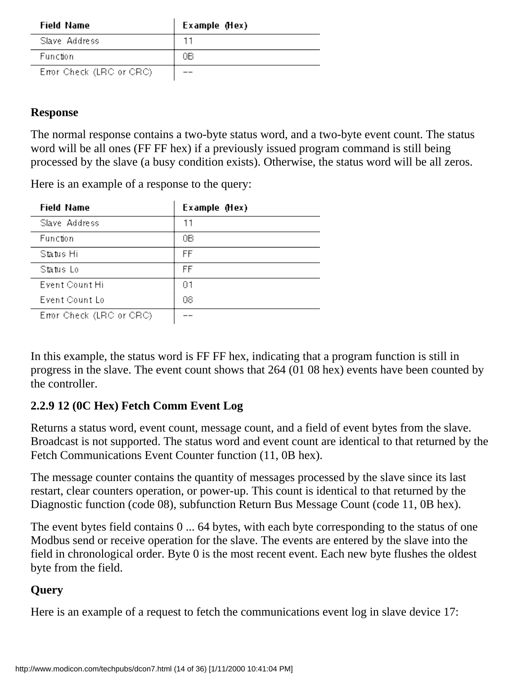| Field Name               | Example (Hex) |
|--------------------------|---------------|
| Slave Address            | 11            |
| Function                 | 0B            |
| Error Check (LRC or CRC) |               |

The normal response contains a two-byte status word, and a two-byte event count. The status word will be all ones (FF FF hex) if a previously issued program command is still being processed by the slave (a busy condition exists). Otherwise, the status word will be all zeros.

Here is an example of a response to the query:

| Field Name               | Example (Hex) |
|--------------------------|---------------|
| Slave Address            | 11            |
| Function                 | 0B            |
| Status Hi                | FF            |
| Status Lo                | FF            |
| Event Count Hi           | 01            |
| Event Count Lo           | 08            |
| Error Check (LRC or CRC) |               |

In this example, the status word is FF FF hex, indicating that a program function is still in progress in the slave. The event count shows that 264 (01 08 hex) events have been counted by the controller.

#### <span id="page-20-0"></span>**2.2.9 12 (0C Hex) Fetch Comm Event Log**

Returns a status word, event count, message count, and a field of event bytes from the slave. Broadcast is not supported. The status word and event count are identical to that returned by the Fetch Communications Event Counter function (11, 0B hex).

The message counter contains the quantity of messages processed by the slave since its last restart, clear counters operation, or power-up. This count is identical to that returned by the Diagnostic function (code 08), subfunction Return Bus Message Count (code 11, 0B hex).

The event bytes field contains 0 ... 64 bytes, with each byte corresponding to the status of one Modbus send or receive operation for the slave. The events are entered by the slave into the field in chronological order. Byte 0 is the most recent event. Each new byte flushes the oldest byte from the field.

# **Query**

Here is an example of a request to fetch the communications event log in slave device 17: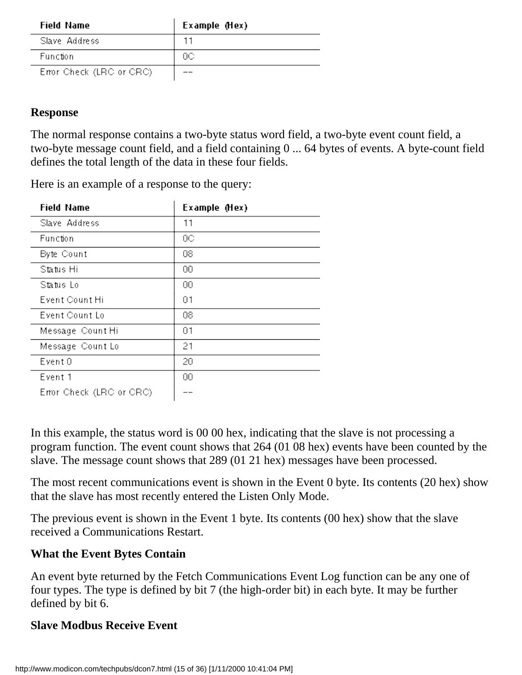| Field Name               | Example (Hex) |
|--------------------------|---------------|
| Slave Address            | 11            |
| <b>Function</b>          | 0C            |
| Error Check (LRC or CRC) |               |

The normal response contains a two-byte status word field, a two-byte event count field, a two-byte message count field, and a field containing 0 ... 64 bytes of events. A byte-count field defines the total length of the data in these four fields.

Here is an example of a response to the query:

| <b>Field Name</b>        | Example (Hex) |
|--------------------------|---------------|
| Slave Address            | 11            |
| Function                 | 0C            |
| <b>Byte Count</b>        | 08            |
| Status Hi                | 00            |
| Status Lo                | 00            |
| Event Count Hi           | 01            |
| Event Count Lo           | 08            |
| Message Count Hi         | 01            |
| Message Count Lo         | 21            |
| Event 0                  | 20            |
| Event 1                  | 00            |
| Error Check (LRC or CRC) |               |

In this example, the status word is 00 00 hex, indicating that the slave is not processing a program function. The event count shows that 264 (01 08 hex) events have been counted by the slave. The message count shows that 289 (01 21 hex) messages have been processed.

The most recent communications event is shown in the Event 0 byte. Its contents (20 hex) show that the slave has most recently entered the Listen Only Mode.

The previous event is shown in the Event 1 byte. Its contents (00 hex) show that the slave received a Communications Restart.

#### **What the Event Bytes Contain**

An event byte returned by the Fetch Communications Event Log function can be any one of four types. The type is defined by bit 7 (the high-order bit) in each byte. It may be further defined by bit 6.

#### **Slave Modbus Receive Event**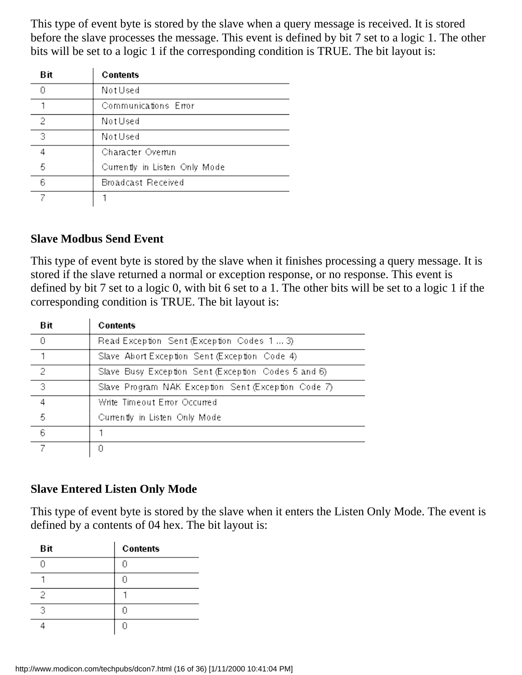This type of event byte is stored by the slave when a query message is received. It is stored before the slave processes the message. This event is defined by bit 7 set to a logic 1. The other bits will be set to a logic 1 if the corresponding condition is TRUE. The bit layout is:

| Bit | <b>Contents</b>               |
|-----|-------------------------------|
| n   | NotUsed                       |
|     | Communications Error          |
| 2   | NotUsed                       |
| 3   | NotUsed                       |
| 4   | Character Overrun             |
| 5   | Currently in Listen Only Mode |
| 6   | <b>Broadcast Received</b>     |
|     |                               |

#### **Slave Modbus Send Event**

This type of event byte is stored by the slave when it finishes processing a query message. It is stored if the slave returned a normal or exception response, or no response. This event is defined by bit 7 set to a logic 0, with bit 6 set to a 1. The other bits will be set to a logic 1 if the corresponding condition is TRUE. The bit layout is:

| Bit                      | Contents                                            |
|--------------------------|-----------------------------------------------------|
| 0                        | Read Exception Sent (Exception Codes 13)            |
|                          | Slave Abort Exception Sent (Exception Code 4)       |
| $\overline{2}$           | Slave Busy Exception Sent (Exception Codes 5 and 6) |
| $\overline{\phantom{a}}$ | Slave Program NAK Exception Sent (Exception Code 7) |
| $\overline{4}$           | Write Timeout Error Occurred                        |
| 5                        | Currently in Listen Only Mode                       |
| -6                       |                                                     |
|                          |                                                     |

#### **Slave Entered Listen Only Mode**

This type of event byte is stored by the slave when it enters the Listen Only Mode. The event is defined by a contents of 04 hex. The bit layout is:

| Bit | <b>Contents</b> |
|-----|-----------------|
| Ω   | 0               |
|     | 0               |
| 2   |                 |
| 3   | 0               |
|     | 0               |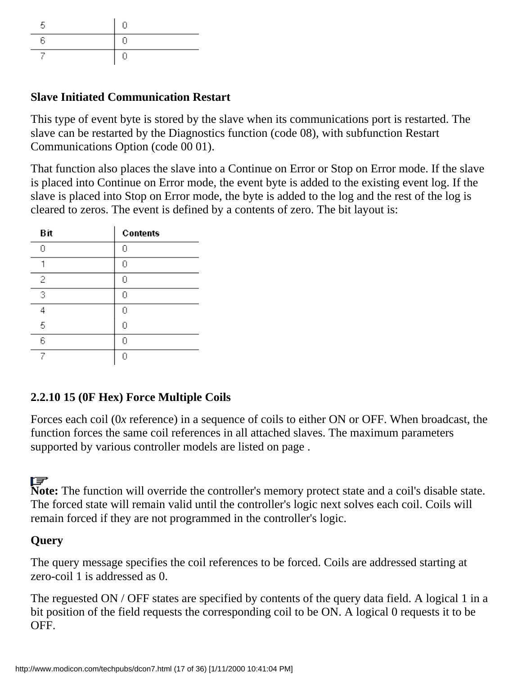| 5 | О |
|---|---|
| 6 | υ |
|   |   |

#### **Slave Initiated Communication Restart**

This type of event byte is stored by the slave when its communications port is restarted. The slave can be restarted by the Diagnostics function (code 08), with subfunction Restart Communications Option (code 00 01).

That function also places the slave into a Continue on Error or Stop on Error mode. If the slave is placed into Continue on Error mode, the event byte is added to the existing event log. If the slave is placed into Stop on Error mode, the byte is added to the log and the rest of the log is cleared to zeros. The event is defined by a contents of zero. The bit layout is:

| Bit | <b>Contents</b> |
|-----|-----------------|
| 0   | 0               |
|     | 0               |
| 2   | 0               |
| 3   | 0               |
| 4   | 0               |
| 5   | 0               |
| 6   | ٥               |
| 7   | Ω               |

# <span id="page-23-0"></span>**2.2.10 15 (0F Hex) Force Multiple Coils**

Forces each coil (0*x* reference) in a sequence of coils to either ON or OFF. When broadcast, the function forces the same coil references in all attached slaves. The maximum parameters supported by various controller models are listed on page .

「三

**Note:** The function will override the controller's memory protect state and a coil's disable state. The forced state will remain valid until the controller's logic next solves each coil. Coils will remain forced if they are not programmed in the controller's logic.

#### **Query**

The query message specifies the coil references to be forced. Coils are addressed starting at zero-coil 1 is addressed as 0.

The reguested ON / OFF states are specified by contents of the query data field. A logical 1 in a bit position of the field requests the corresponding coil to be ON. A logical 0 requests it to be **OFF.**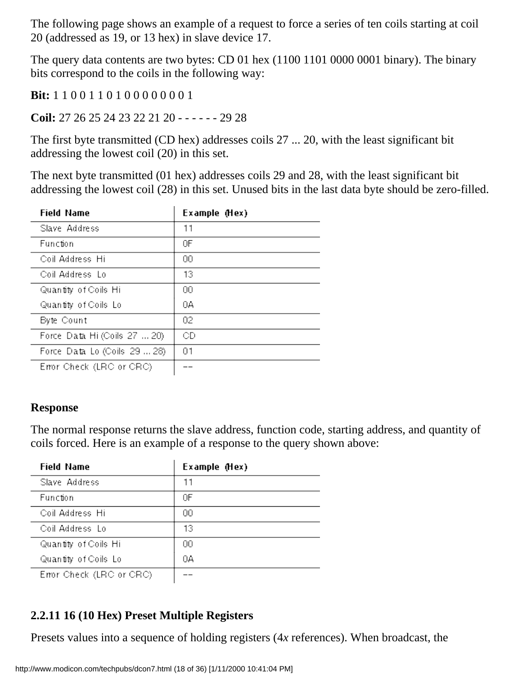The following page shows an example of a request to force a series of ten coils starting at coil 20 (addressed as 19, or 13 hex) in slave device 17.

The query data contents are two bytes: CD 01 hex (1100 1101 0000 0001 binary). The binary bits correspond to the coils in the following way:

**Bit:** 1 1 0 0 1 1 0 1 0 0 0 0 0 0 0 1

**Coil:** 27 26 25 24 23 22 21 20 - - - - - - 29 28

The first byte transmitted (CD hex) addresses coils 27 ... 20, with the least significant bit addressing the lowest coil (20) in this set.

The next byte transmitted (01 hex) addresses coils 29 and 28, with the least significant bit addressing the lowest coil (28) in this set. Unused bits in the last data byte should be zero-filled.

| <b>Field Name</b>            | Example (Hex) |
|------------------------------|---------------|
| Slave Address                | 11            |
| Function                     | 0F            |
| Coil Address Hi              | 00            |
| Coil Address, Lo             | 13            |
| Quantity of Coils Hi         | 00            |
| Quantity of Coils Lo         | 0A            |
| <b>Byte Count</b>            | 02            |
| Force Data Hi (Coils 27  20) | CD            |
| Force Data Lo (Coils 29  28) | 01            |
| Error Check (LRC or CRC)     |               |

#### **Response**

The normal response returns the slave address, function code, starting address, and quantity of coils forced. Here is an example of a response to the query shown above:

| Field Name               | Example (Hex) |
|--------------------------|---------------|
| Slave Address            | 11            |
| Function                 | 0F            |
| Coil Address Hi          | 00            |
| Coil Address, Lo         | 13            |
| Quantity of Coils Hi     | 00            |
| Quantity of Coils Lo     | 0A            |
| Error Check (LRC or CRC) |               |

# <span id="page-24-0"></span>**2.2.11 16 (10 Hex) Preset Multiple Registers**

Presets values into a sequence of holding registers (4*x* references). When broadcast, the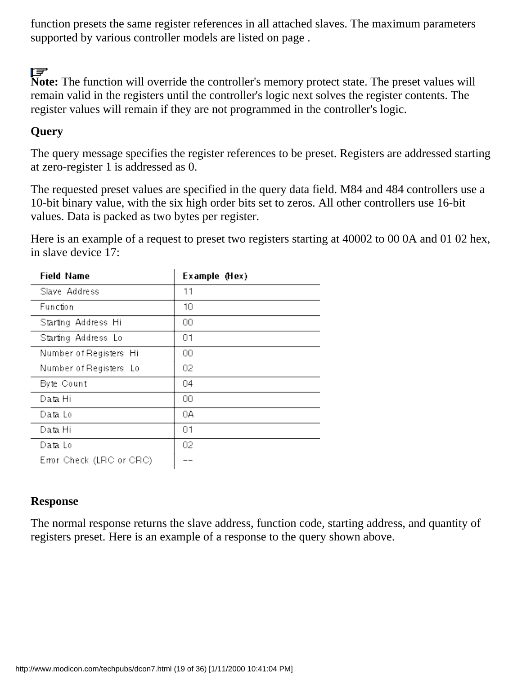function presets the same register references in all attached slaves. The maximum parameters supported by various controller models are listed on page .

**I≡**<br>**Note:** The function will override the controller's memory protect state. The preset values will remain valid in the registers until the controller's logic next solves the register contents. The register values will remain if they are not programmed in the controller's logic.

### **Query**

The query message specifies the register references to be preset. Registers are addressed starting at zero-register 1 is addressed as 0.

The requested preset values are specified in the query data field. M84 and 484 controllers use a 10-bit binary value, with the six high order bits set to zeros. All other controllers use 16-bit values. Data is packed as two bytes per register.

Here is an example of a request to preset two registers starting at 40002 to 00 0A and 01 02 hex, in slave device 17:

| <b>Field Name</b>        | Example (Hex) |
|--------------------------|---------------|
| Slave Address            | 11            |
| Function                 | 10            |
| Starting Address Hi      | 00            |
| Starting Address Lo      | 01            |
| Number of Registers Hi   | 00            |
| Number of Registers Lo   | 02            |
| Byte Count               | 04            |
| Data Hi                  | 00            |
| Data Lo                  | 0A            |
| Data Hi                  | 01            |
| Data Lo                  | 02            |
| Error Check (LRC or CRC) |               |

#### **Response**

The normal response returns the slave address, function code, starting address, and quantity of registers preset. Here is an example of a response to the query shown above.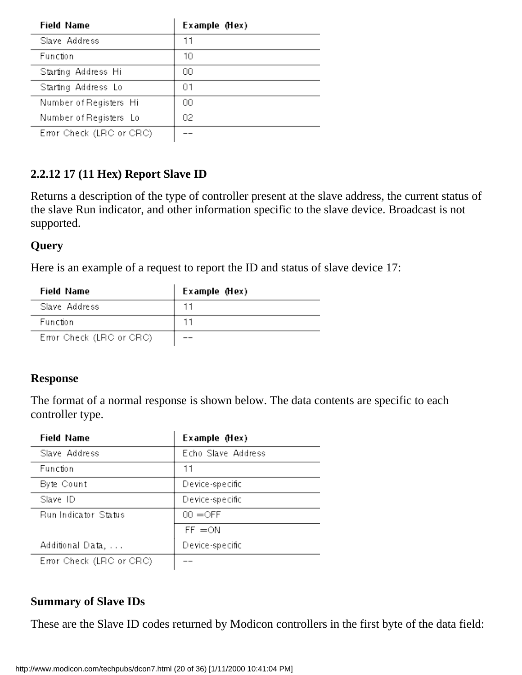| Field Name               | Example (Hex) |
|--------------------------|---------------|
| Slave Address            | 11            |
| Function                 | 10            |
| Starting Address Hi      | 00            |
| Starting Address Lo      | 01            |
| Number of Registers Hi   | 00            |
| Number of Registers Lo   | 02            |
| Error Check (LRC or CRC) |               |

### <span id="page-26-0"></span>**2.2.12 17 (11 Hex) Report Slave ID**

Returns a description of the type of controller present at the slave address, the current status of the slave Run indicator, and other information specific to the slave device. Broadcast is not supported.

#### **Query**

Here is an example of a request to report the ID and status of slave device 17:

| Field Name               | Example (Hex) |
|--------------------------|---------------|
| Slave Address            | 11            |
| <b>Function</b>          | 11            |
| Error Check (LRC or CRC) |               |

#### **Response**

The format of a normal response is shown below. The data contents are specific to each controller type.

| <b>Field Name</b>           | Example (Hex)      |
|-----------------------------|--------------------|
| Slave Address               | Echo Slave Address |
| Function                    | 11                 |
| Byte Count                  | Device-specific    |
| Slave ID                    | Device-specific    |
| <b>Run Indicator Status</b> | $00 =$ OFF         |
|                             | $FF = ON$          |
| Additional Data,            | Device-specific    |
| Error Check (LRC or CRC)    |                    |

#### **Summary of Slave IDs**

These are the Slave ID codes returned by Modicon controllers in the first byte of the data field: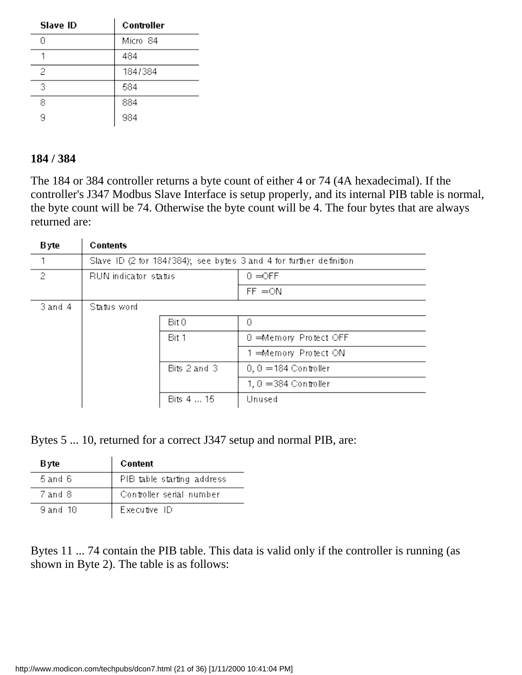| <b>Slave ID</b> | Controller |
|-----------------|------------|
| Ο               | Micro 84   |
|                 | 484        |
| 2               | 184/384    |
| 3               | 584        |
| 8               | 884        |
| я               | 984        |

#### **184 / 384**

The 184 or 384 controller returns a byte count of either 4 or 74 (4A hexadecimal). If the controller's J347 Modbus Slave Interface is setup properly, and its internal PIB table is normal, the byte count will be 74. Otherwise the byte count will be 4. The four bytes that are always returned are:

| B yte        | Contents                                                           |              |                         |
|--------------|--------------------------------------------------------------------|--------------|-------------------------|
| $\mathbf{1}$ | Slave ID (2 for 184/384); see bytes 3 and 4 for further definition |              |                         |
| -2           | <b>RUN</b> indicator status                                        |              | $0 =$ OFF               |
|              |                                                                    |              | $FF = ON$               |
| 3 and 4      | Status word                                                        |              |                         |
|              |                                                                    | Bit 0        | Ω                       |
|              |                                                                    | Bit 1        | 0 = Memory Protect OFF  |
|              |                                                                    |              | 1 = Memory Protect ON   |
|              |                                                                    | Bits 2 and 3 | $0, 0 = 184$ Controller |
|              |                                                                    |              | $1, 0 = 384$ Controller |
|              |                                                                    | Bits 4  15   | Unused                  |

Bytes 5 ... 10, returned for a correct J347 setup and normal PIB, are:

| B yte    | Content                    |
|----------|----------------------------|
| 5 and 6  | PIB table starting address |
| 7 and 8  | Controller serial number   |
| 9 and 10 | Executive ID               |

Bytes 11 ... 74 contain the PIB table. This data is valid only if the controller is running (as shown in Byte 2). The table is as follows: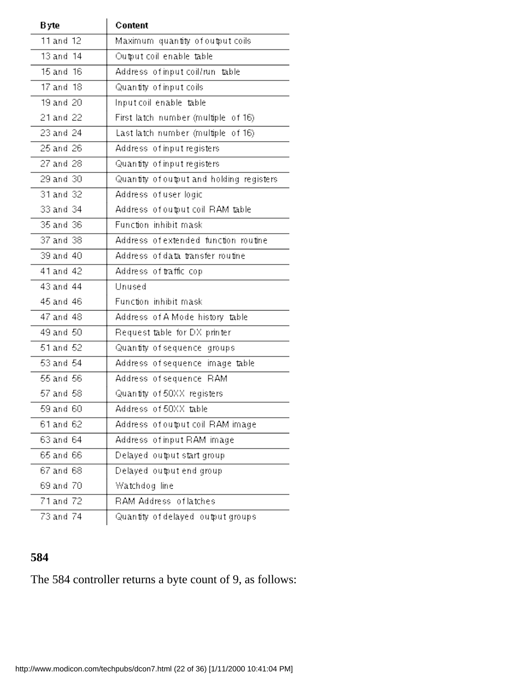| B yte     | <b>Content</b>                            |  |  |
|-----------|-------------------------------------------|--|--|
| 11 and 12 | Maximum quantity of output coils          |  |  |
| 13 and 14 | Output coil enable table                  |  |  |
| 15 and 16 | Address ofinput coil/run table            |  |  |
| 17 and 18 | Quantity of input coils                   |  |  |
| 19 and 20 | Inputcoil enable table                    |  |  |
| 21 and 22 | First latch number (multiple of 16)       |  |  |
| 23 and 24 | Last latch number (multiple of 16)        |  |  |
| 25 and 26 | Address of input registers                |  |  |
| 27 and 28 | Quantity of input registers               |  |  |
| 29 and 30 | Quantity of output and holding registers. |  |  |
| 31 and 32 | Address of user logic                     |  |  |
| 33 and 34 | Address of output coil RAM table          |  |  |
| 35 and 36 | Function inhibit mask                     |  |  |
| 37 and 38 | Address of extended function routine      |  |  |
| 39 and 40 | Address ofdata transfer routine           |  |  |
| 41 and 42 | Address of traffic cop                    |  |  |
| 43 and 44 | Unused                                    |  |  |
| 45 and 46 | Function inhibit mask                     |  |  |
| 47 and 48 | Address of A Mode history table           |  |  |
| 49 and 50 | Request table for DX printer              |  |  |
| 51 and 52 | Quantity ofsequence groups                |  |  |
| 53 and 54 | Address ofsequence image table            |  |  |
| 55 and 56 | Address ofsequence RAM                    |  |  |
| 57 and 58 | Quantity of 50XX registers                |  |  |
| 59 and 60 | Address of 50XX table                     |  |  |
| 61 and 62 | Address of output coil RAM image          |  |  |
| 63 and 64 | Address of input RAM image                |  |  |
| 65 and 66 | Delayed output start group                |  |  |
| 67 and 68 | Delayed output end group                  |  |  |
| 69 and 70 | Watchdog line                             |  |  |
| 71 and 72 | RAM Address of latches                    |  |  |
| 73 and 74 | Quantity of delayed output groups         |  |  |

# **584**

The 584 controller returns a byte count of 9, as follows: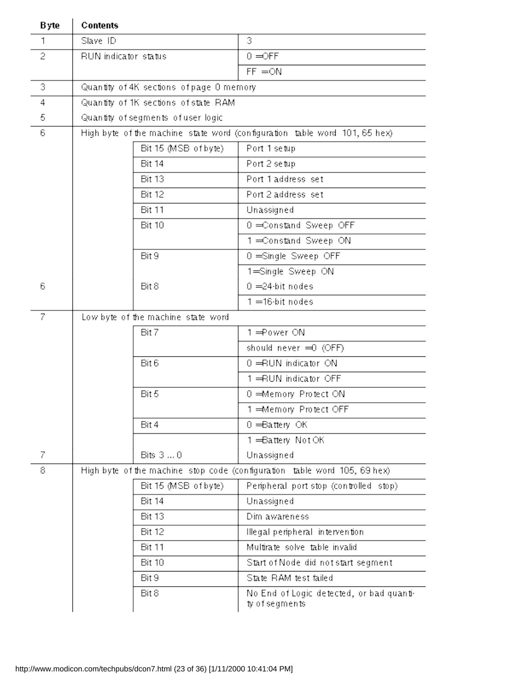| B yte | <b>Contents</b>             |                                                                            |                                                                           |  |  |
|-------|-----------------------------|----------------------------------------------------------------------------|---------------------------------------------------------------------------|--|--|
| 1     | Slave ID                    | 3                                                                          |                                                                           |  |  |
| 2     | <b>RUN</b> indicator status |                                                                            | $0 =$ OFF                                                                 |  |  |
|       |                             |                                                                            | $FF = ON$                                                                 |  |  |
| 3.    |                             | Quantity of 4K sections of page 0 memory                                   |                                                                           |  |  |
| 4     |                             | Quantity of 1K sections of state RAM                                       |                                                                           |  |  |
| 5     |                             | Quantity of segments of user logic                                         |                                                                           |  |  |
| 6     |                             | High byte of the machine state word (configuration table word 101, 65 hex) |                                                                           |  |  |
|       |                             | Bit 15 (MSB of byte)                                                       | Port 1 setup                                                              |  |  |
|       |                             | <b>Bit 14</b>                                                              | Port 2 setup                                                              |  |  |
|       |                             | <b>Bit 13</b>                                                              | Port 1 address set                                                        |  |  |
|       |                             | <b>Bit 12</b>                                                              | Port 2 address set                                                        |  |  |
|       |                             | <b>Bit 11</b>                                                              | Unassigned                                                                |  |  |
|       |                             | <b>Bit 10</b>                                                              | 0 = Constand Sweep OFF                                                    |  |  |
|       |                             |                                                                            | 1=Constand Sweep ON                                                       |  |  |
|       |                             | Bit 9                                                                      | 0 =Single Sweep OFF                                                       |  |  |
|       |                             |                                                                            | 1=Single Sweep ON                                                         |  |  |
| 6     |                             | Bit 8                                                                      | $0 = 24$ -bit nodes<br>$1 = 16$ -bit nodes                                |  |  |
|       |                             |                                                                            |                                                                           |  |  |
| 7     |                             | Low byte of the machine state word                                         |                                                                           |  |  |
|       |                             | Bit 7                                                                      | $1 = Power ON$                                                            |  |  |
|       |                             |                                                                            | should never =0 (OFF)                                                     |  |  |
|       |                             | Bit 6                                                                      | $0 =$ RUN indicator ON                                                    |  |  |
|       |                             |                                                                            | 1 =RUN indicator OFF<br>0 = Memory Protect ON                             |  |  |
|       |                             | Bit 5                                                                      |                                                                           |  |  |
|       |                             |                                                                            | 1 = Memory Protect OFF                                                    |  |  |
|       |                             | Bit 4                                                                      | $0 =$ Battery OK                                                          |  |  |
|       |                             |                                                                            | 1 = Battery Not OK                                                        |  |  |
| 7     |                             | Bits 3  0                                                                  | Unassigned                                                                |  |  |
| 8     |                             |                                                                            | High byte of the machine stop code (configuration table word 105, 69 hex) |  |  |
|       |                             | Bit 15 (MSB of byte)                                                       | Peripheral port stop (controlled stop)                                    |  |  |
|       |                             | <b>Bit 14</b>                                                              | Unassigned                                                                |  |  |
|       |                             | <b>Bit 13</b>                                                              | Dim awareness                                                             |  |  |
|       |                             | <b>Bit 12</b>                                                              | Illegal peripheral intervention                                           |  |  |
|       |                             | <b>Bit 11</b>                                                              | Multirate solve table invalid                                             |  |  |
|       |                             | <b>Bit 10</b>                                                              | Start of Node did not start segment                                       |  |  |
|       |                             | Bit 9                                                                      | State RAM test failed                                                     |  |  |
|       |                             | Bit 8                                                                      | No End of Logic detected, or bad quanti-<br>ty of segments                |  |  |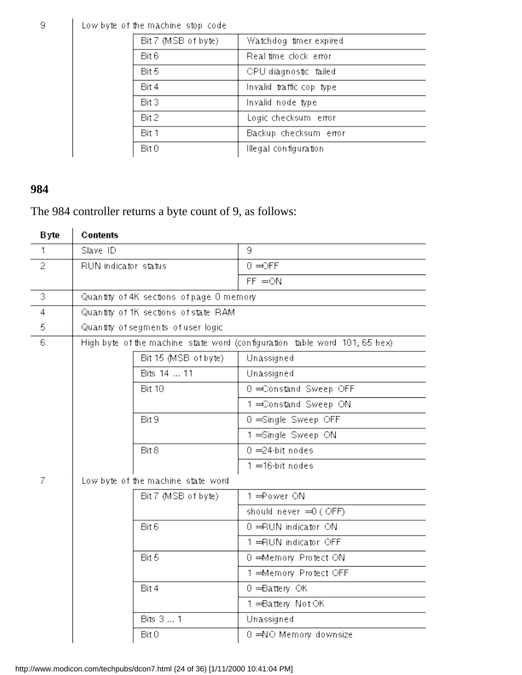Low byte of the machine stop code

| Bit 7 (MSB of byte) | Watchdog timer expired   |
|---------------------|--------------------------|
| Bit 6               | Real time clock error    |
| Bit 5               | CPU diagnostic failed    |
| Bit 4               | Invalid traffic cop type |
| Bit 3               | Invalid node type        |
| Bit 2               | Logic checksum emor      |
| Bit 1               | Backup checksum emor     |
| Bit 0               | Illegal configuration    |

#### **984**

The 984 controller returns a byte count of 9, as follows:

| <b>Byte</b>    | <b>Contents</b>                    |                                          |                                                                            |
|----------------|------------------------------------|------------------------------------------|----------------------------------------------------------------------------|
| $\mathbf{1}$   | Slave ID                           |                                          | 9.                                                                         |
| $\overline{2}$ | <b>RUN</b> indicator status        |                                          | $0 =$ OFF                                                                  |
|                |                                    |                                          | $FF = ON$                                                                  |
| 3.             |                                    | Quantity of 4K sections of page 0 memory |                                                                            |
| 4              |                                    | Quantity of 1K sections of state RAM     |                                                                            |
| 5              | Quantity of segments of user logic |                                          |                                                                            |
| 6              |                                    |                                          | High byte of the machine state word (configuration table word 101, 65 hex) |
|                |                                    | Bit 15 (MSB of byte)                     | Unassigned                                                                 |
|                |                                    | Bits 14  11                              | Unassigned                                                                 |
|                | <b>Bit 10</b>                      |                                          | 0 = Constand Sweep OFF                                                     |
|                |                                    |                                          | 1 = Constand Sweep ON                                                      |
|                | Bit 9                              |                                          | 0 = Single Sweep OFF                                                       |
|                |                                    |                                          | 1 =Single Sweep ON                                                         |
|                | Bit 8                              |                                          | $0 = 24$ -bit nodes                                                        |
|                |                                    | $1 = 16$ -bit nodes                      |                                                                            |
| 7              | Low byte of the machine state word |                                          |                                                                            |
|                |                                    | Bit 7 (MSB of byte)                      | $1 = Power ON$                                                             |
|                |                                    |                                          | should never $=0$ (OFF)                                                    |
|                | Bit 6                              |                                          | $\overline{0}$ =RUN indicator ON                                           |
|                |                                    |                                          | 1 =RUN indicator OFF                                                       |
|                | Bit 5                              |                                          | 0 = Memory Protect ON                                                      |
|                |                                    |                                          | 1 = Memory Protect OFF                                                     |
|                | Bit 4<br>$0 =$ Battery OK          |                                          |                                                                            |
|                |                                    |                                          | 1 = Battery Not OK                                                         |
|                | Bits 3  1<br>Unassigned            |                                          |                                                                            |
|                | Bit 0                              |                                          | 0 =NO Memory downsize                                                      |

http://www.modicon.com/techpubs/dcon7.html (24 of 36) [1/11/2000 10:41:04 PM]

9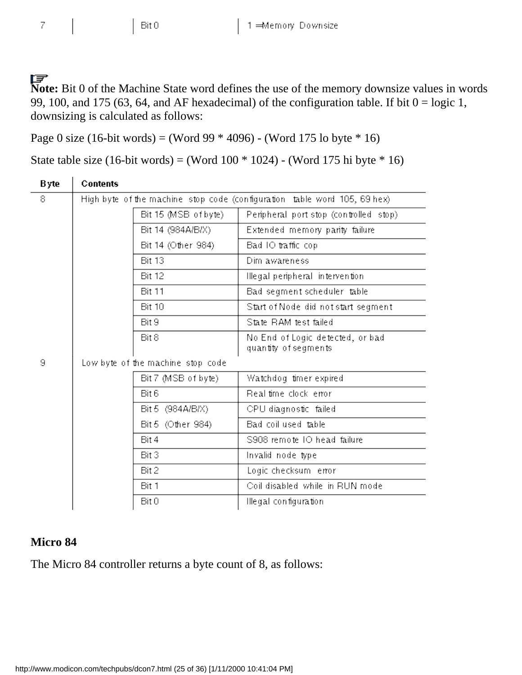|  |  |  | l ⇒Memory Downsizel |
|--|--|--|---------------------|
|--|--|--|---------------------|

**Note:** Bit 0 of the Machine State word defines the use of the memory downsize values in words Note: Bit 0 of the Machine 99, 100, and 175 (63, 64, and AF hexadecimal) of the configuration table. If bit  $0 = \log i$ , downsizing is calculated as follows:

Page 0 size (16-bit words) = (Word 99 \* 4096) - (Word 175 lo byte \* 16)

State table size (16-bit words) = (Word 100  $*$  1024) - (Word 175 hi byte  $*$  16)

| B yte | <b>Contents</b> |                                                                           |                                                          |  |
|-------|-----------------|---------------------------------------------------------------------------|----------------------------------------------------------|--|
| 8     |                 | High byte of the machine stop code (configuration table word 105, 69 hex) |                                                          |  |
|       |                 | Bit 15 (MSB of byte)                                                      | Peripheral port stop (controlled stop)                   |  |
|       |                 | Bit 14 (984A/B/X)                                                         | Extended memory parity failure                           |  |
|       |                 | Bit 14 (Other 984)                                                        | Bad 10 traffic cop                                       |  |
|       |                 | <b>Bit 13</b>                                                             | Dim awareness                                            |  |
|       |                 | <b>Bit 12</b>                                                             | Illegal peripheral intervention                          |  |
|       |                 | <b>Bit 11</b>                                                             | Bad segment scheduler table                              |  |
|       |                 | <b>Bit 10</b>                                                             | Start of Node did not start segment                      |  |
|       |                 | Bit 9                                                                     | State RAM test failed                                    |  |
|       |                 | Bit 8                                                                     | No End of Logic detected, or bad<br>quantity of segments |  |
| 9     |                 | Low byte of the machine stop code                                         |                                                          |  |
|       |                 | Bit 7 (MSB of byte)                                                       | Watchdog timer expired                                   |  |
|       |                 | Bit 6                                                                     | Real time clock error                                    |  |
|       |                 | Bit 5 (984A/B/X)                                                          | CPU diagnostic failed                                    |  |
|       |                 | Bit 5 (Other 984)                                                         | Bad coil used table                                      |  |
|       |                 | Bit 4                                                                     | S908 remote IO head failure                              |  |
|       |                 | Bit 3                                                                     | Invalid node type                                        |  |
|       |                 | Bit 2                                                                     | Logic checksum error                                     |  |
|       |                 | Bit 1                                                                     | Coil disabled while in RUN mode                          |  |
|       |                 | Bit 0                                                                     | Illegal configuration                                    |  |

#### **Micro 84**

The Micro 84 controller returns a byte count of 8, as follows: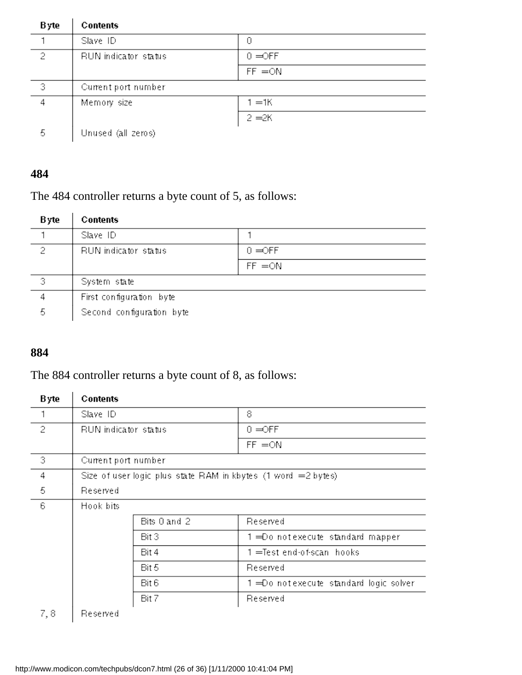| <b>Byte</b> | <b>Contents</b>      |           |
|-------------|----------------------|-----------|
|             | Slave ID             | 0         |
| 2           | RUN indicator status | $0 =$ OFF |
|             |                      | $FF = ON$ |
| 3           | Current port number  |           |
| 4           | Memory size          | $1 = 1K$  |
|             |                      | $2 = 2K$  |
| 5           | Unused (all zeros)   |           |

#### **484**

The 484 controller returns a byte count of 5, as follows:

| <b>Byte</b>    | <b>Contents</b>             |           |
|----------------|-----------------------------|-----------|
|                | Slave ID                    |           |
| $\overline{2}$ | <b>RUN</b> indicator status | $0 = OFF$ |
|                |                             | $FF = ON$ |
| 3              | System state                |           |
| 4              | First configuration byte    |           |
| 5              | Second configuration byte   |           |

#### **884**

The 884 controller returns a byte count of 8, as follows:

| B yte | <b>Contents</b>             |                                                                    |                                        |  |
|-------|-----------------------------|--------------------------------------------------------------------|----------------------------------------|--|
| 1     | Slave ID                    |                                                                    | 8                                      |  |
| 2     | <b>RUN</b> indicator status |                                                                    | $0 =$ OFF                              |  |
|       |                             |                                                                    | $FF = ON$                              |  |
| 3     | Current port number         |                                                                    |                                        |  |
| 4     |                             | Size of user logic plus state RAM in kbytes $(1$ word $=$ 2 bytes) |                                        |  |
| 5     | Reserved                    |                                                                    |                                        |  |
| 6     | Hook bits                   |                                                                    |                                        |  |
|       |                             | Bits 0 and 2                                                       | Reserved                               |  |
|       |                             | Bit 3                                                              | 1 =Do notexecute standard mapper       |  |
|       |                             | Bit 4                                                              | 1 =Test end-of-scan hooks              |  |
|       |                             | Bit 5                                                              | Reserved                               |  |
|       |                             | Bit 6                                                              | 1 =Do notexecute standard logic solver |  |
|       |                             | Bit 7                                                              | Reserved                               |  |
| 7,8   | Reserved                    |                                                                    |                                        |  |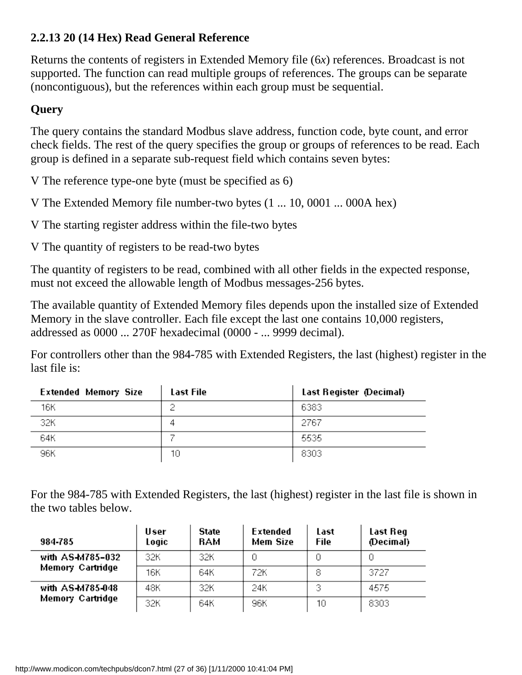# <span id="page-33-0"></span>**2.2.13 20 (14 Hex) Read General Reference**

Returns the contents of registers in Extended Memory file (6*x*) references. Broadcast is not supported. The function can read multiple groups of references. The groups can be separate (noncontiguous), but the references within each group must be sequential.

# **Query**

The query contains the standard Modbus slave address, function code, byte count, and error check fields. The rest of the query specifies the group or groups of references to be read. Each group is defined in a separate sub-request field which contains seven bytes:

V The reference type-one byte (must be specified as 6)

V The Extended Memory file number-two bytes (1 ... 10, 0001 ... 000A hex)

V The starting register address within the file-two bytes

V The quantity of registers to be read-two bytes

The quantity of registers to be read, combined with all other fields in the expected response, must not exceed the allowable length of Modbus messages-256 bytes.

The available quantity of Extended Memory files depends upon the installed size of Extended Memory in the slave controller. Each file except the last one contains 10,000 registers, addressed as 0000 ... 270F hexadecimal (0000 - ... 9999 decimal).

For controllers other than the 984-785 with Extended Registers, the last (highest) register in the last file is:

| <b>Extended Memory Size</b> | Last File | Last Register (Decimal) |
|-----------------------------|-----------|-------------------------|
| 16K                         |           | 6383                    |
| 32K                         |           | 2767                    |
| 64K                         |           | 5535                    |
| 96K                         | 10        | 8303                    |

For the 984-785 with Extended Registers, the last (highest) register in the last file is shown in the two tables below.

| 984-785                 | User<br>Logic | <b>State</b><br>RAM | <b>Extended</b><br><b>Mem Size</b> | Last<br>File | Last Reg<br>(Decimal) |
|-------------------------|---------------|---------------------|------------------------------------|--------------|-----------------------|
| with AS-M785-032        | 32K           | 32K                 | Ū                                  | 0            |                       |
| <b>Memory Cartridge</b> | 16K           | 64K                 | 72K                                | 8            | 3727                  |
| with AS-M785-048        | 48K           | 32K                 | 24K                                | 3            | 4575                  |
| Memory Cartridge        | 32K           | 64K                 | 96K                                | 10           | 8303                  |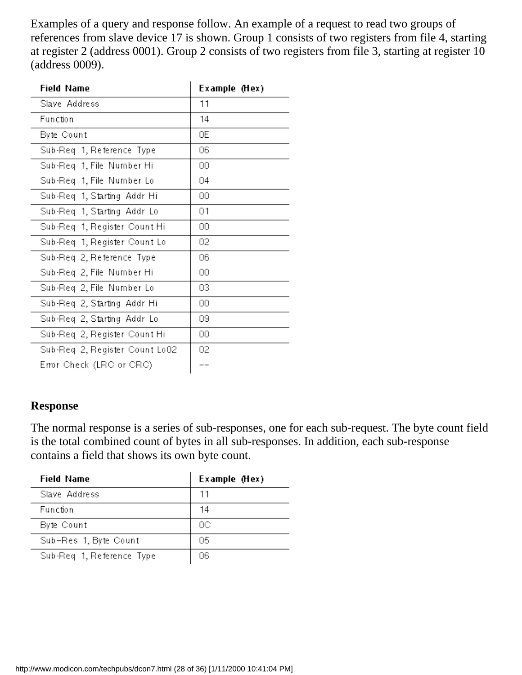Examples of a query and response follow. An example of a request to read two groups of references from slave device 17 is shown. Group 1 consists of two registers from file 4, starting at register 2 (address 0001). Group 2 consists of two registers from file 3, starting at register 10 (address 0009).

| <b>Field Name</b>              | Example (Hex) |
|--------------------------------|---------------|
| Slave Address                  | 11            |
| Function                       | 14            |
| Byte Count                     | 0E            |
| Sub-Reg 1, Reference Type      | 06            |
| Sub-Reg 1, File Number Hi      | 00            |
| Sub-Reg 1, File Number Lo      | 04            |
| Sub-Reg 1, Starting Addr Hi    | 00            |
| Sub-Reg 1, Starting Addr Lo    | 01            |
| Sub-Req 1, Register Count Hi   | 00            |
| Sub-Reg 1, Register Count Lo   | 02            |
| Sub-Reg 2, Reference Type      | 06            |
| Sub-Req 2, File Number Hi      | 00            |
| Sub-Reg 2, File Number Lo      | 03            |
| Sub-Reg 2, Starting Addr Hi    | 00            |
| Sub-Reg 2, Starting Addr Lo    | 09            |
| Sub-Reg. 2, Register Count Hi  | 00            |
| Sub-Reg 2, Register Count LoO2 | 02            |
| Error Check (LRC or CRC)       |               |

#### **Response**

The normal response is a series of sub-responses, one for each sub-request. The byte count field is the total combined count of bytes in all sub-responses. In addition, each sub-response contains a field that shows its own byte count.

| Field Name                | Example (Hex) |
|---------------------------|---------------|
| Slave Address             | 11            |
| Function                  | 14            |
| <b>Byte Count</b>         | 0C            |
| Sub-Res 1, Byte Count     | 05            |
| Sub-Reg 1, Reference Type | 06            |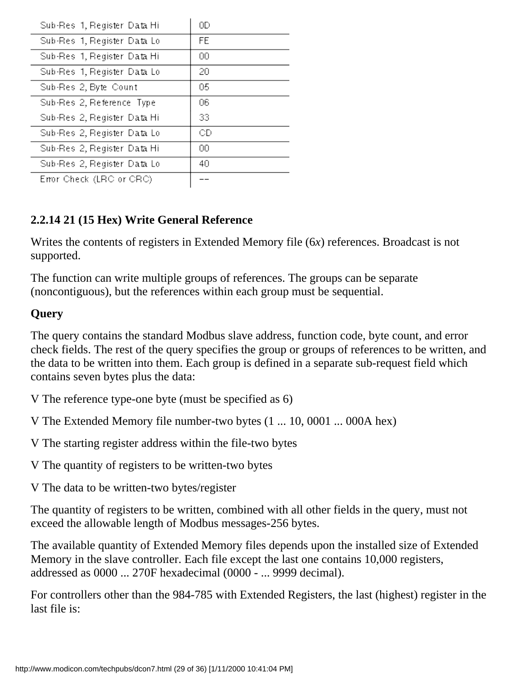| Sub-Res 1, Register Data Hi | 0D |
|-----------------------------|----|
| Sub-Res 1, Register Data Lo | FE |
| Sub-Res 1, Register Data Hi | 00 |
| Sub-Res 1, Register Data Lo | 20 |
| Sub-Res 2, Byte Count       | 05 |
| Sub-Res 2, Reference Type   | 06 |
| Sub-Res 2, Register Data Hi | 33 |
| Sub-Res 2, Register Data Lo | CD |
| Sub-Res 2, Register Data Hi | 00 |
| Sub-Res 2, Register Data Lo | 40 |
| Error Check (LRC or CRC)    |    |

### <span id="page-35-0"></span>**2.2.14 21 (15 Hex) Write General Reference**

Writes the contents of registers in Extended Memory file (6*x*) references. Broadcast is not supported.

The function can write multiple groups of references. The groups can be separate (noncontiguous), but the references within each group must be sequential.

#### **Query**

The query contains the standard Modbus slave address, function code, byte count, and error check fields. The rest of the query specifies the group or groups of references to be written, and the data to be written into them. Each group is defined in a separate sub-request field which contains seven bytes plus the data:

V The reference type-one byte (must be specified as 6)

V The Extended Memory file number-two bytes (1 ... 10, 0001 ... 000A hex)

V The starting register address within the file-two bytes

V The quantity of registers to be written-two bytes

V The data to be written-two bytes/register

The quantity of registers to be written, combined with all other fields in the query, must not exceed the allowable length of Modbus messages-256 bytes.

The available quantity of Extended Memory files depends upon the installed size of Extended Memory in the slave controller. Each file except the last one contains 10,000 registers, addressed as 0000 ... 270F hexadecimal (0000 - ... 9999 decimal).

For controllers other than the 984-785 with Extended Registers, the last (highest) register in the last file is: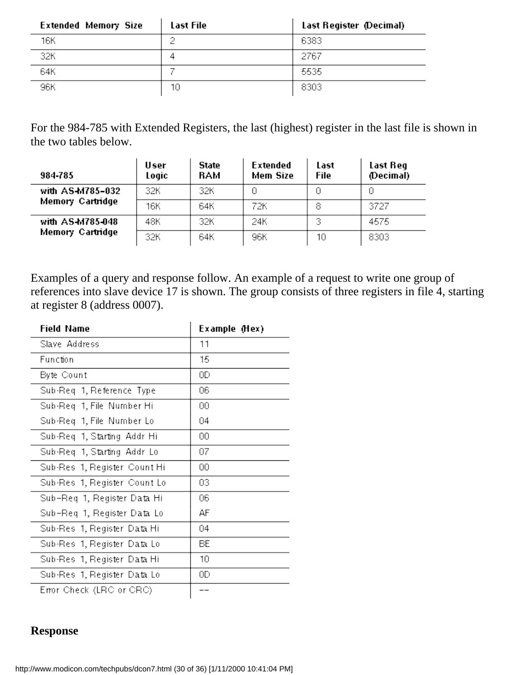| <b>Extended Memory Size</b> | Last File | Last Register (Decimal) |
|-----------------------------|-----------|-------------------------|
| 16K                         |           | 6383                    |
| 32K                         |           | 2767                    |
| 64K                         |           | 5535                    |
| 96K                         | 10        | 8303                    |

For the 984-785 with Extended Registers, the last (highest) register in the last file is shown in the two tables below.

| 984-785          | User<br>Logic | State<br>RAM | Extended<br><b>Mem Size</b> | Last<br>File | Last Reg<br>(Decimal) |
|------------------|---------------|--------------|-----------------------------|--------------|-----------------------|
| with AS-M785-032 | 32K           | 32K          |                             |              |                       |
| Memory Cartridge | 16K           | 64K          | 72K                         | 8            | 3727                  |
| with AS-M785-048 | 48K           | 32K          | 24K                         | з            | 4575                  |
| Memory Cartridge | 32K           | 64K          | 96K                         | 10           | 8303                  |

Examples of a query and response follow. An example of a request to write one group of references into slave device 17 is shown. The group consists of three registers in file 4, starting at register 8 (address 0007).

| Field Name                   | Example (Hex) |
|------------------------------|---------------|
| Slave Address                | 11            |
| Function                     | 15            |
| <b>Byte Count</b>            | 0D            |
| Sub-Reg 1, Reference Type    | 06            |
| Sub-Reg 1, File Number Hi    | OO.           |
| Sub-Reg 1, File Number Lo    | 04            |
| Sub-Reg 1, Starting Addr Hi  | 00            |
| Sub-Req 1, Starting Addr Lo  | 07            |
| Sub-Res 1, Register Count Hi | OO.           |
| Sub-Res 1, Register Count Lo | 03            |
| Sub-Reg 1, Register Data Hi  | 06            |
| Sub-Reg 1, Register Data Lo  | AF            |
| Sub-Res 1, Register Data Hi  | 04            |
| Sub-Res 1, Register Data Lo  | BЕ            |
| Sub-Res 1, Register Data Hi  | 10            |
| Sub-Res 1, Register Data Lo  | 0D            |
| Error Check (LRC or CRC)     |               |

# **Response**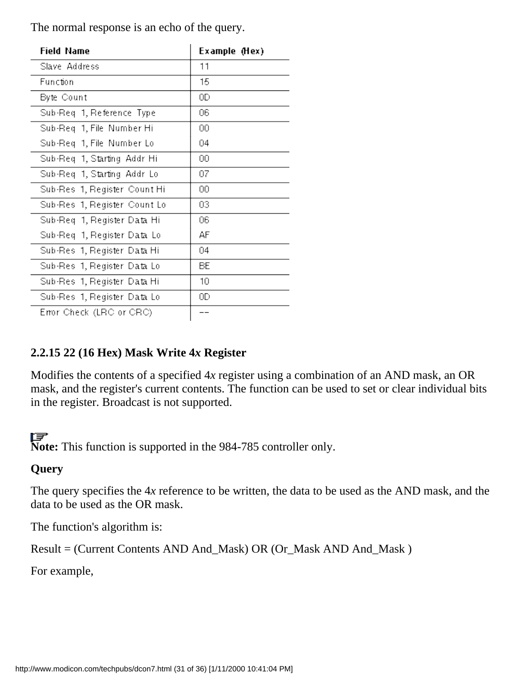The normal response is an echo of the query.

| <b>Field Name</b>            | Example (Hex) |
|------------------------------|---------------|
| Slave Address                | 11            |
| Function                     | 15            |
| <b>Byte Count</b>            | 0D            |
| Sub-Reg 1, Reference Type    | 06            |
| Sub-Reg 1, File Number Hi    | 00            |
| Sub-Reg 1, File Number Lo    | 04            |
| Sub-Req 1, Starting Addr Hi  | 00            |
| Sub-Reg 1, Starting Addr Lo  | 07            |
| Sub-Res 1, Register Count Hi | 00            |
| Sub-Res 1, Register Count Lo | 03            |
| Sub-Reg 1, Register Data Hi  | 06            |
| Sub-Reg 1, Register Data Lo  | AF            |
| Sub-Res 1, Register Data Hi  | 04            |
| Sub-Res 1, Register Data Lo  | BЕ            |
| Sub-Res 1, Register Data Hi  | 10            |
| Sub-Res 1, Register Data Lo  | 0D            |
| Error Check (LRC or CRC)     |               |

# **2.2.15 22 (16 Hex) Mask Write 4***x* **Register**

Modifies the contents of a specified 4*x* register using a combination of an AND mask, an OR mask, and the register's current contents. The function can be used to set or clear individual bits in the register. Broadcast is not supported.

**Note:** This function is supported in the 984-785 controller only.

# **Query**

The query specifies the 4*x* reference to be written, the data to be used as the AND mask, and the data to be used as the OR mask.

The function's algorithm is:

Result = (Current Contents AND And\_Mask) OR (Or\_Mask AND And\_Mask )

For example,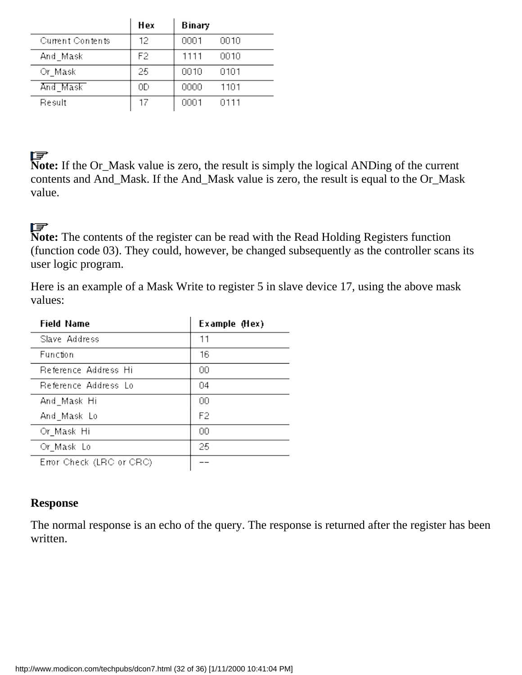|                         | Hex | Binary       |
|-------------------------|-----|--------------|
| <b>Current Contents</b> | 12  | 0001<br>0010 |
| And Mask                | F2  | 1111<br>0010 |
| Or Mask                 | 25  | 0010<br>0101 |
| And Mask                | 0D  | 0000<br>1101 |
| Result                  | 17  | 0001<br>0111 |

**Note:** If the Or\_Mask value is zero, the result is simply the logical ANDing of the current Note: If the Or Mask contents and And\_Mask. If the And\_Mask value is zero, the result is equal to the Or\_Mask value.

**Note:** The contents of the register can be read with the Read Holding Registers function<br>Note: The contents of the register can be read with the Read Holding Registers function (function code 03). They could, however, be changed subsequently as the controller scans its user logic program.

Here is an example of a Mask Write to register 5 in slave device 17, using the above mask values:

| <b>Field Name</b>        | Example (Hex)  |
|--------------------------|----------------|
| Slave Address            | 11             |
| Function                 | 16             |
| Reference Address Hi     | 00             |
| Reference Address Lo     | 04             |
| And_Mask Hi              | 00             |
| And_Mask Lo              | F <sub>2</sub> |
| Or Mask Hi               | 00             |
| Or Mask Lo               | 25             |
| Error Check (LRC or CRC) |                |

# **Response**

The normal response is an echo of the query. The response is returned after the register has been written.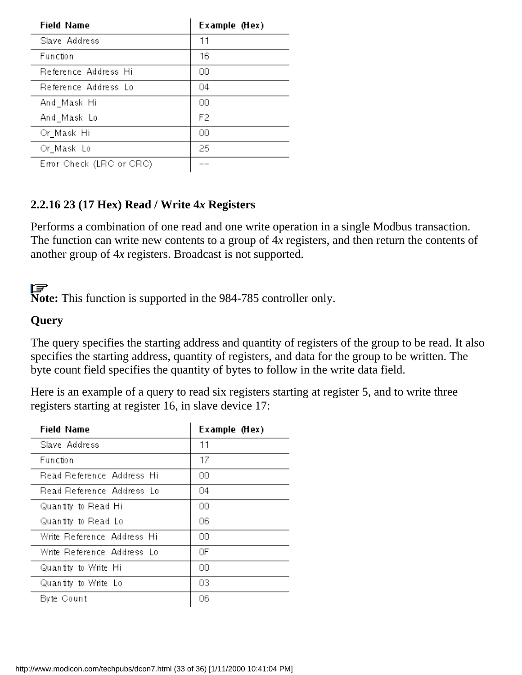| Field Name               | Example (Hex)  |
|--------------------------|----------------|
| Slave Address            | 11             |
| Function                 | 16             |
| Reference Address Hi     | 00             |
| Reference Address Lo     | 04             |
| And_Mask Hi              | 00             |
| And_Mask Lo              | F <sub>2</sub> |
| Or_Mask_Hi               | 00             |
| Or_Mask_Lo               | 25             |
| Error Check (LRC or CRC) |                |

# **2.2.16 23 (17 Hex) Read / Write 4***x* **Registers**

Performs a combination of one read and one write operation in a single Modbus transaction. The function can write new contents to a group of 4*x* registers, and then return the contents of another group of 4*x* registers. Broadcast is not supported.

**Note:** This function is supported in the 984-785 controller only.

# **Query**

The query specifies the starting address and quantity of registers of the group to be read. It also specifies the starting address, quantity of registers, and data for the group to be written. The byte count field specifies the quantity of bytes to follow in the write data field.

Here is an example of a query to read six registers starting at register 5, and to write three registers starting at register 16, in slave device 17:

| <b>Field Name</b>          | Example (Hex) |
|----------------------------|---------------|
| Slave Address              | 11            |
| Function                   | 17            |
| Read Reference Address Hi  | 00            |
| Read Reference Address Lo  | 04            |
| Quantity to Read Hi        | 00            |
| Quantity to Read Lo        | 06            |
| Write Reference Address Hi | 00            |
| Write Reference Address Lo | 0F            |
| Quantity to Write Hi       | 00            |
| Quantity to Write Lo       | 03            |
| Byte Count                 | 06            |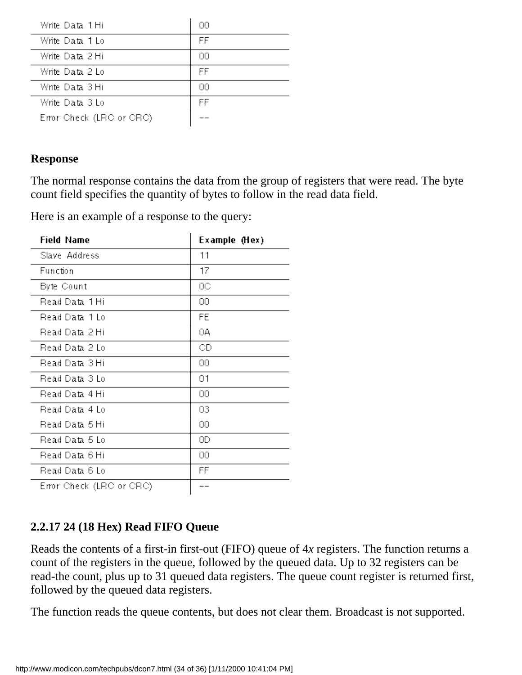| Write Data 1 Hi          | ΩO  |
|--------------------------|-----|
| Write Data 1 Lo          | FF  |
| Write Data 2 Hi          | 00. |
| Write Data 2 Lo          | FF  |
| Write Data 3 Hi          | 00  |
| Write Data 3 Lo          | FF  |
| Error Check (LRC or CRC) |     |

# **Response**

The normal response contains the data from the group of registers that were read. The byte count field specifies the quantity of bytes to follow in the read data field.

Here is an example of a response to the query:

| <b>Field Name</b>        | Example (Hex) |
|--------------------------|---------------|
| Slave Address            | 11            |
| Function                 | 17            |
| Byte Count               | 0C            |
| Read Data 1 Hi           | 00            |
| Read Data 1 Lo           | FE            |
| Read Data 2 Hi           | 0A            |
| Read Data 2 Lo           | СD            |
| Read Data 3 Hi           | 00            |
| Read Data 3 Lo           | 01            |
| Read Data 4 Hi           | 00            |
| Read Data 4 Lo           | 03            |
| Read Data 5 Hi           | 00            |
| Read Data 5 Lo           | 0D            |
| Read Data 6 Hi           | 00            |
| Read Data 6 Lo           | FF            |
| Error Check (LRC or CRC) |               |

# **2.2.17 24 (18 Hex) Read FIFO Queue**

Reads the contents of a first-in first-out (FIFO) queue of 4*x* registers. The function returns a count of the registers in the queue, followed by the queued data. Up to 32 registers can be read-the count, plus up to 31 queued data registers. The queue count register is returned first, followed by the queued data registers.

The function reads the queue contents, but does not clear them. Broadcast is not supported.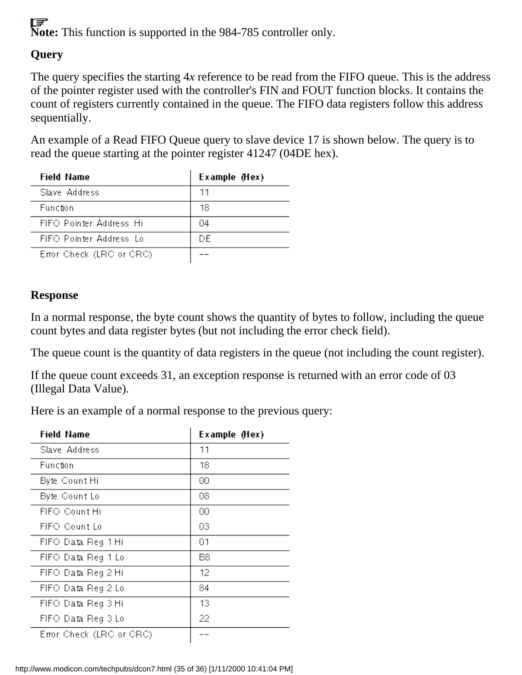**■■**<br>**Note:** This function is supported in the 984-785 controller only.

# **Query**

The query specifies the starting 4*x* reference to be read from the FIFO queue. This is the address of the pointer register used with the controller's FIN and FOUT function blocks. It contains the count of registers currently contained in the queue. The FIFO data registers follow this address sequentially.

An example of a Read FIFO Queue query to slave device 17 is shown below. The query is to read the queue starting at the pointer register 41247 (04DE hex).

| Field Name               | Example (Hex) |
|--------------------------|---------------|
| Slave Address            | 11            |
| <b>Function</b>          | 18            |
| FIFO Pointer Address Hi  | 04            |
| FIFO Pointer Address Lo  | DE            |
| Error Check (LRC or CRC) |               |

# **Response**

In a normal response, the byte count shows the quantity of bytes to follow, including the queue count bytes and data register bytes (but not including the error check field).

The queue count is the quantity of data registers in the queue (not including the count register).

If the queue count exceeds 31, an exception response is returned with an error code of 03 (Illegal Data Value).

Here is an example of a normal response to the previous query:

| <b>Field Name</b>        | Example (Hex) |
|--------------------------|---------------|
| Slave Address            | 11            |
| Function                 | 18            |
| Byte Count Hi            | 00            |
| Byte Count Lo            | 08            |
| FIFO Count Hi            | 00            |
| FIFO Count Lo            | 03            |
| FIFO Data Reg 1 Hi       | 01            |
| FIFO Data Reg 1 Lo       | В8            |
| FIFO Data Reg 2 Hi       | 12            |
| FIFO Data Reg 2 Lo       | 84            |
| FIFO Data Reg 3 Hi       | 13            |
| FIFO Data Reg 3 Lo       | 22            |
| Error Check (LRC or CRC) |               |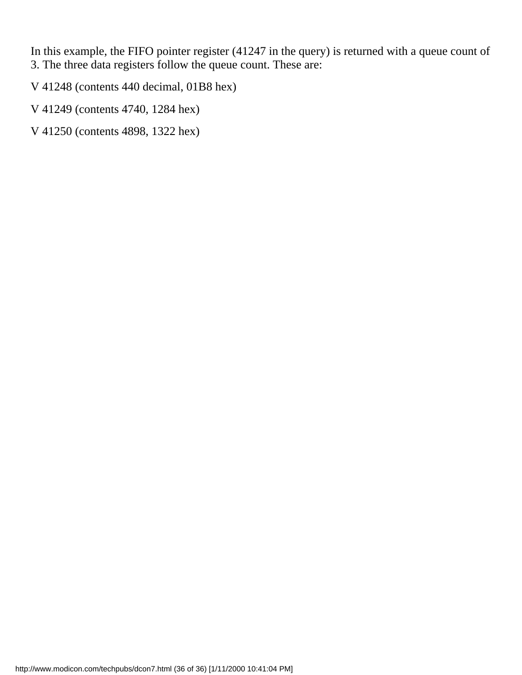In this example, the FIFO pointer register (41247 in the query) is returned with a queue count of 3. The three data registers follow the queue count. These are:

V 41248 (contents 440 decimal, 01B8 hex)

- V 41249 (contents 4740, 1284 hex)
- V 41250 (contents 4898, 1322 hex)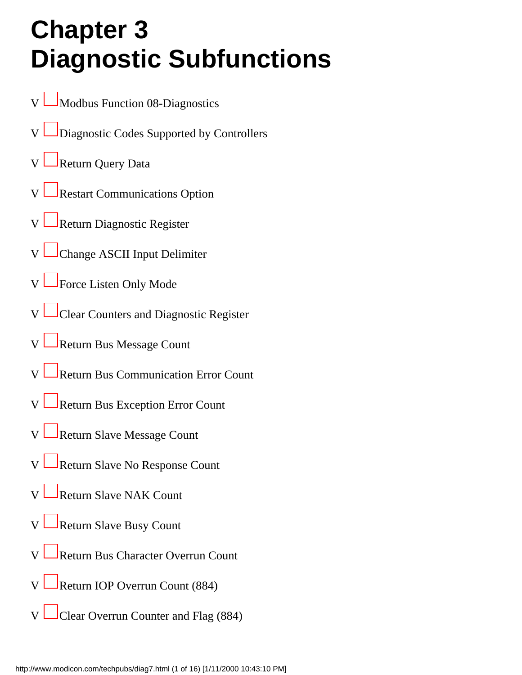# **Chapter 3 Diagnostic Subfunctions**

- Modbus Function 08-Diagnostics
- V Diagnostic Codes Supported by Controllers
- Return Query Data
- **Restart Communications Option**
- V Return Diagnostic Register
- V Change ASCII Input Delimiter
- Force Listen Only Mode
- Clear Counters and Diagnostic Register
- V Return Bus Message Count
- Return Bus Communication Error Count
- V Return Bus Exception Error Count
- Return Slave Message Count
- Return Slave No Response Count
- Return Slave NAK Count
- Return Slave Busy Count
- V Return Bus Character Overrun Count
- $V$  Return IOP Overrun Count (884)
- Clear Overrun Counter and Flag (884)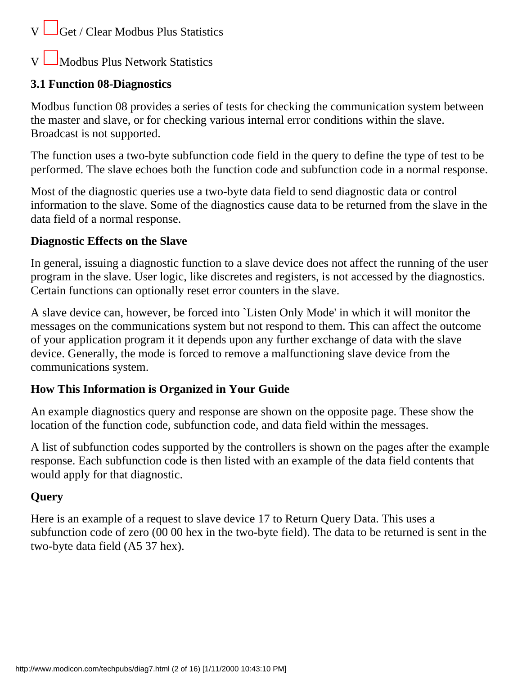$V \Box$  Get / Clear Modbus Plus Statistics

# V Modbus Plus Network Statistics

# <span id="page-44-0"></span>**3.1 Function 08-Diagnostics**

Modbus function 08 provides a series of tests for checking the communication system between the master and slave, or for checking various internal error conditions within the slave. Broadcast is not supported.

The function uses a two-byte subfunction code field in the query to define the type of test to be performed. The slave echoes both the function code and subfunction code in a normal response.

Most of the diagnostic queries use a two-byte data field to send diagnostic data or control information to the slave. Some of the diagnostics cause data to be returned from the slave in the data field of a normal response.

# **Diagnostic Effects on the Slave**

In general, issuing a diagnostic function to a slave device does not affect the running of the user program in the slave. User logic, like discretes and registers, is not accessed by the diagnostics. Certain functions can optionally reset error counters in the slave.

A slave device can, however, be forced into `Listen Only Mode' in which it will monitor the messages on the communications system but not respond to them. This can affect the outcome of your application program it it depends upon any further exchange of data with the slave device. Generally, the mode is forced to remove a malfunctioning slave device from the communications system.

# **How This Information is Organized in Your Guide**

An example diagnostics query and response are shown on the opposite page. These show the location of the function code, subfunction code, and data field within the messages.

A list of subfunction codes supported by the controllers is shown on the pages after the example response. Each subfunction code is then listed with an example of the data field contents that would apply for that diagnostic.

# **Query**

Here is an example of a request to slave device 17 to Return Query Data. This uses a subfunction code of zero (00 00 hex in the two-byte field). The data to be returned is sent in the two-byte data field (A5 37 hex).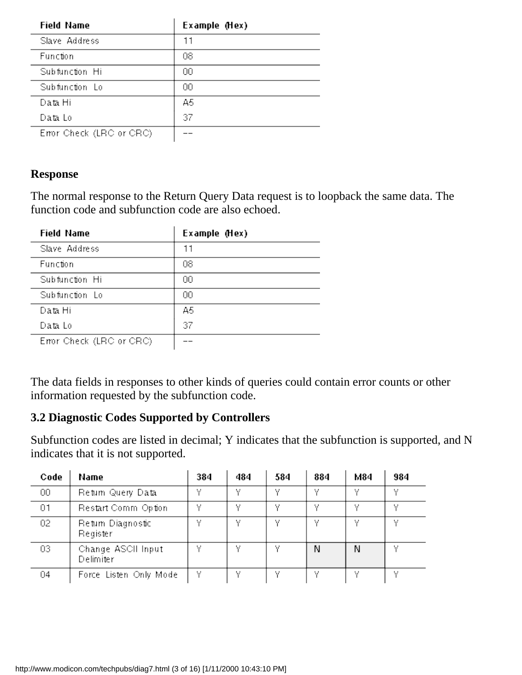| <b>Field Name</b>        | Example (Hex) |
|--------------------------|---------------|
| Slave Address            | 11            |
| Function                 | 08            |
| Subfunction Hi           | 00            |
| Subfunction Lo           | 00            |
| Data Hi                  | A5            |
| Data Lo                  | 37            |
| Error Check (LRC or CRC) |               |

# **Response**

The normal response to the Return Query Data request is to loopback the same data. The function code and subfunction code are also echoed.

| Field Name               | Example (Hex) |
|--------------------------|---------------|
| Slave Address            | 11            |
| <b>Function</b>          | 08            |
| Subfunction Hi           | 00            |
| Subfunction Lo           | 00            |
| Data Hi                  | A5            |
| Data Lo                  | 37            |
| Error Check (LRC or CRC) |               |

The data fields in responses to other kinds of queries could contain error counts or other information requested by the subfunction code.

# <span id="page-45-0"></span>**3.2 Diagnostic Codes Supported by Controllers**

Subfunction codes are listed in decimal; Y indicates that the subfunction is supported, and N indicates that it is not supported.

| Code | Name                            | 384 | 484 | 584 | 884 | M84 | 984 |
|------|---------------------------------|-----|-----|-----|-----|-----|-----|
| 00   | Retum Query Data                | v   | w   | v   | v   | v   | v   |
| 01   | Restart Comm Option             | v   | w   | v   | v   | w   | w   |
| 02   | Retum Diagnostic<br>Register    | v   | w   | v   | v   | w   | v   |
| 03   | Change ASCII Input<br>Delimiter | v   | w   | v   | Ν   | Ν   | v   |
| 04   | Force Listen Only Mode          | v   | w   | v   | v   | v   | v   |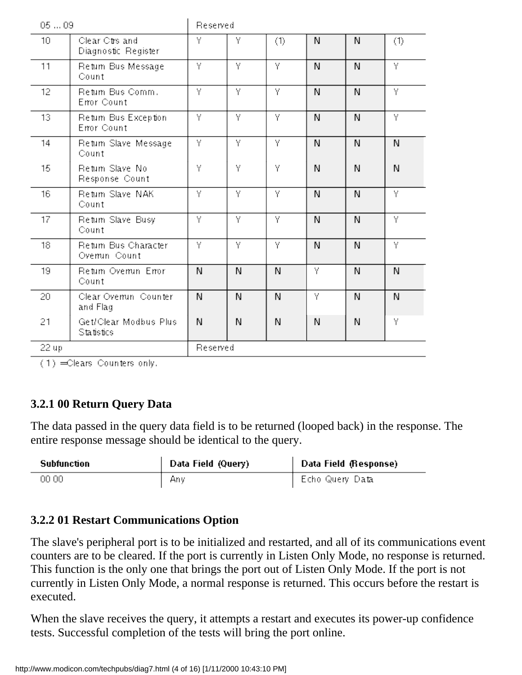| 0509              |                                       | Reserved |   |                     |   |   |     |
|-------------------|---------------------------------------|----------|---|---------------------|---|---|-----|
| 10                | Clear Ctrs and<br>Diagnostic Register | ٧        | Υ | $\langle 1 \rangle$ | Ν | Ν | (1) |
| 11                | Retum Bus Message<br>Count            | Y        | Υ | Υ                   | N | N | Y   |
| $12 \overline{ }$ | Retum Bus Comm.<br>Error Count        | Y        | Υ | ٧                   | Ν | Ν | Y   |
| 13                | Retum Bus Exception<br>Error Count    | Υ        | Υ | Y                   | Ν | Ν | Y   |
| 14                | Retum Slave Message<br>Count          | Υ        | Y | Υ                   | Ν | N | N   |
| 15                | Retum Slave No.<br>Response Count     | Y        | Υ | ٧                   | Ν | Ν | Ν   |
| 16                | Retum Slave NAK<br>Count              | ٧        | Y | ٧                   | N | N | Υ.  |
| 17                | Retum Slave Busy<br>Count             | Y        | Y | Y                   | N | N | Y   |
| 18                | Retum Bus Character<br>Ovemun Count   | Υ        | Υ | Y                   | Ν | N | Y   |
| 19                | Retum Ovemun Emor<br>Count            | N        | Ν | Ν                   | Y | Ν | Ν   |
| 20                | Clear Overrun Counter<br>and Flag     | Ν        | N | Ν                   | Y | Ν | Ν   |
| 21                | Get/Clear Modbus Plus<br>Statistics   | Ν        | Ν | Ν                   | N | Ν | Y   |
| 22 up             |                                       | Reserved |   |                     |   |   |     |

(1) = Clears Counters only.

# <span id="page-46-0"></span>**3.2.1 00 Return Query Data**

The data passed in the query data field is to be returned (looped back) in the response. The entire response message should be identical to the query.

| Subfunction | Data Field (Query) | Data Field (Response) |
|-------------|--------------------|-----------------------|
| 00 00       | Any                | Echo Query Data-      |

# <span id="page-46-1"></span>**3.2.2 01 Restart Communications Option**

The slave's peripheral port is to be initialized and restarted, and all of its communications event counters are to be cleared. If the port is currently in Listen Only Mode, no response is returned. This function is the only one that brings the port out of Listen Only Mode. If the port is not currently in Listen Only Mode, a normal response is returned. This occurs before the restart is executed.

When the slave receives the query, it attempts a restart and executes its power-up confidence tests. Successful completion of the tests will bring the port online.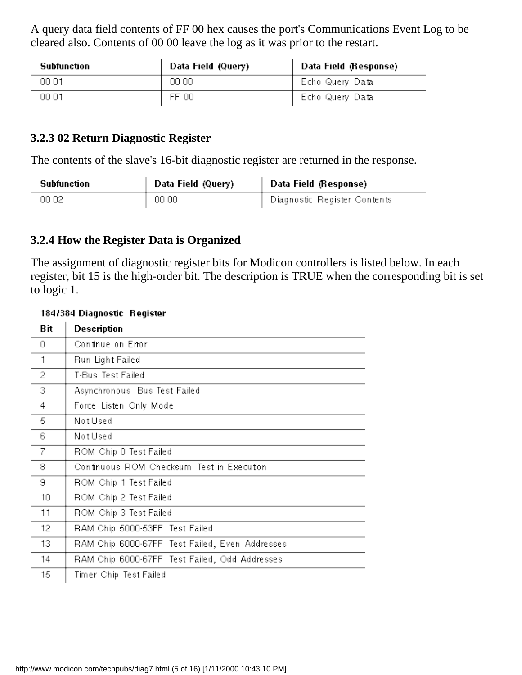A query data field contents of FF 00 hex causes the port's Communications Event Log to be cleared also. Contents of 00 00 leave the log as it was prior to the restart.

| Subfunction | Data Field (Query) | Data Field (Response) |
|-------------|--------------------|-----------------------|
| 00.01       | 00 00              | Echo Query Data       |
| 00 01       | FF 00              | Echo Query Data       |

# <span id="page-47-0"></span>**3.2.3 02 Return Diagnostic Register**

The contents of the slave's 16-bit diagnostic register are returned in the response.

| Subfunction | Data Field (Query) | Data Field (Response)        |  |
|-------------|--------------------|------------------------------|--|
| 00 02       | 00 00              | Diagnostic Register Contents |  |

# **3.2.4 How the Register Data is Organized**

The assignment of diagnostic register bits for Modicon controllers is listed below. In each register, bit 15 is the high-order bit. The description is TRUE when the corresponding bit is set to logic 1.

### 184/384 Diagnostic Register

| Bit            | Description                                    |
|----------------|------------------------------------------------|
| 0              | Continue on Error                              |
| $\overline{1}$ | Run Light Failed                               |
| 2              | <b>T-Bus Test Failed</b>                       |
| 3              | Asynchronous Bus Test Failed                   |
| 4              | Force Listen Only Mode                         |
| 5              | NotUsed                                        |
| 6              | NotUsed                                        |
| 7              | ROM Chip 0 Test Failed                         |
| 8.             | Continuous ROM Checksum Test in Execution      |
| 9              | ROM Chip 1 Test Failed                         |
| 10             | ROM Chip 2 Test Failed                         |
| 11             | ROM Chip 3 Test Failed                         |
| 12             | RAM Chip 5000-53FF Test Failed                 |
| 13.            | RAM Chip 6000-67FF Test Failed, Even Addresses |
| 14             | RAM Chip 6000-67FF Test Failed, Odd Addresses  |
| 15             | Timer Chip Test Failed                         |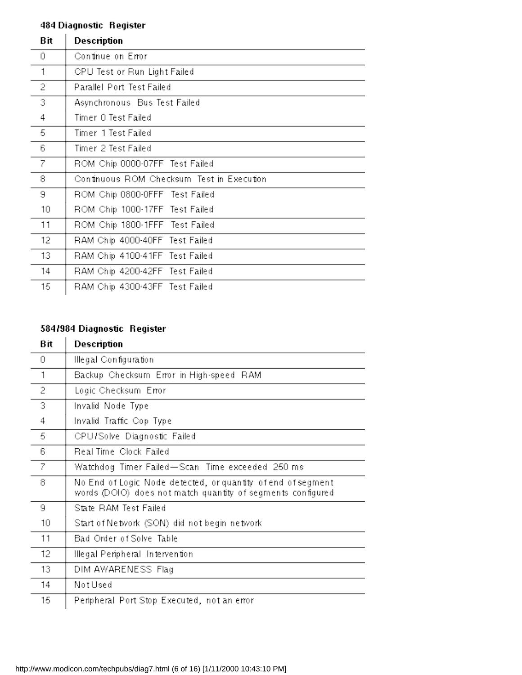# 484 Diagnostic Register

| Bit            | Description                               |
|----------------|-------------------------------------------|
| 0              | Continue on Error                         |
| $\mathbf{1}$   | CPU Test or Run Light Failed              |
| $\overline{2}$ | Parallel Port Test Failed                 |
| 3              | Asynchronous Bus Test Failed              |
| 4              | Timer O Test Failed                       |
| 5.             | Timer 1 Test Failed                       |
| 6              | Timer 2 Test Failed                       |
| 7              | ROM Chip 0000-07FF Test Failed            |
| 8.             | Continuous ROM Checksum Test in Execution |
| 9              | ROM Chip 0800-0FFF Test Failed            |
| 10             | ROM Chip 1000-17FF Test Failed            |
| 11             | ROM Chip 1800-1FFF Test Failed            |
| 12             | RAM Chip 4000-40FF Test Failed            |
| 13.            | RAM Chip 4100-41FF Test Failed            |
| 14             | RAM Chip 4200-42FF Test Failed            |
| 15             | RAM Chip 4300-43FF Test Failed            |

## 584/984 Diagnostic Register

| Bit               | <b>Description</b>                                                                                                         |
|-------------------|----------------------------------------------------------------------------------------------------------------------------|
| 0.                | Illegal Configuration                                                                                                      |
| 1                 | Backup Checksum Error in High-speed RAM                                                                                    |
| 2                 | Logic Checksum Error                                                                                                       |
| 3                 | Invalid Node Type                                                                                                          |
| 4                 | Invalid Traffic Cop Type                                                                                                   |
| 5                 | CPU/Solve Diagnostic Failed                                                                                                |
| 6                 | Real Time, Clock, Failed                                                                                                   |
| 7                 | Watchdog Timer Failed-Scan Time exceeded 250 ms                                                                            |
| 8                 | No End of Logic Node detected, orguantity of end of segment<br>words (DOIO) does not match quantity of segments configured |
| 9.                | State RAM Test Failed                                                                                                      |
| 10                | Start of Network (SON) did not begin network.                                                                              |
| 11                | Bad Order of Solve Table                                                                                                   |
| $12 \overline{ }$ | Illegal Peripheral Intervention                                                                                            |
| 13                | DIM AWARENESS Flag                                                                                                         |
| 14                | NotUsed                                                                                                                    |
| 15                | Peripheral Port Stop Executed, not an error                                                                                |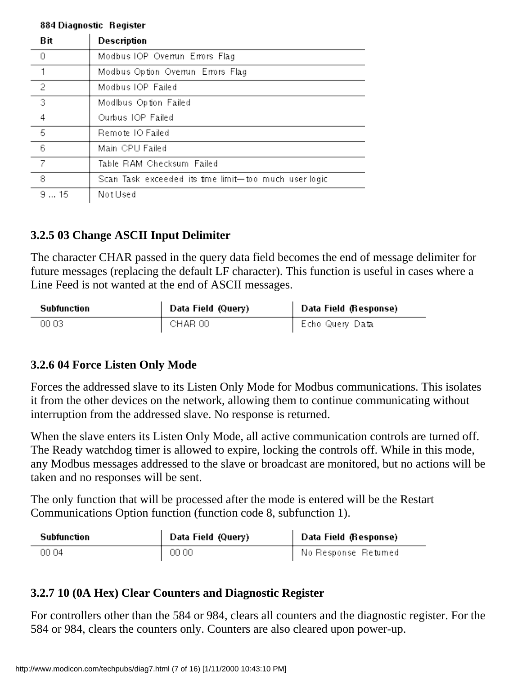### 884 Diagnostic Register

| Bit                        | <b>Description</b>                                    |
|----------------------------|-------------------------------------------------------|
| $\overline{\phantom{0}}$   | Modbus IOP Overrun Errors Flag                        |
| $\mathbf{1}$               | Modbus Option Overrun Errors Flag                     |
| $\overline{2}$             | Modbus IOP Failed                                     |
| $\overline{\phantom{a}}_3$ | Modibus Option Failed                                 |
| 4                          | Ourbus IOP Failed                                     |
| $\overline{\phantom{a}}$   | Remote 10 Failed                                      |
| 6                          | Main CPU Failed                                       |
| $\overline{7}$             | Table RAM Checksum Failed                             |
| 8                          | Scan Task exceeded its time limit-too much user logic |
| 915                        | NotUsed                                               |

# <span id="page-49-0"></span>**3.2.5 03 Change ASCII Input Delimiter**

The character CHAR passed in the query data field becomes the end of message delimiter for future messages (replacing the default LF character). This function is useful in cases where a Line Feed is not wanted at the end of ASCII messages.

| Subfunction | Data Field (Query) | Data Field (Response) |
|-------------|--------------------|-----------------------|
| 00 03       | CHAR 00            | Echo Query Data       |

# <span id="page-49-1"></span>**3.2.6 04 Force Listen Only Mode**

Forces the addressed slave to its Listen Only Mode for Modbus communications. This isolates it from the other devices on the network, allowing them to continue communicating without interruption from the addressed slave. No response is returned.

When the slave enters its Listen Only Mode, all active communication controls are turned off. The Ready watchdog timer is allowed to expire, locking the controls off. While in this mode, any Modbus messages addressed to the slave or broadcast are monitored, but no actions will be taken and no responses will be sent.

The only function that will be processed after the mode is entered will be the Restart Communications Option function (function code 8, subfunction 1).

| <b>Subfunction</b> | Data Field (Query) | Data Field (Response) |
|--------------------|--------------------|-----------------------|
| 00 04              | 00 00              | No Response Retumed   |

# <span id="page-49-2"></span>**3.2.7 10 (0A Hex) Clear Counters and Diagnostic Register**

For controllers other than the 584 or 984, clears all counters and the diagnostic register. For the 584 or 984, clears the counters only. Counters are also cleared upon power-up.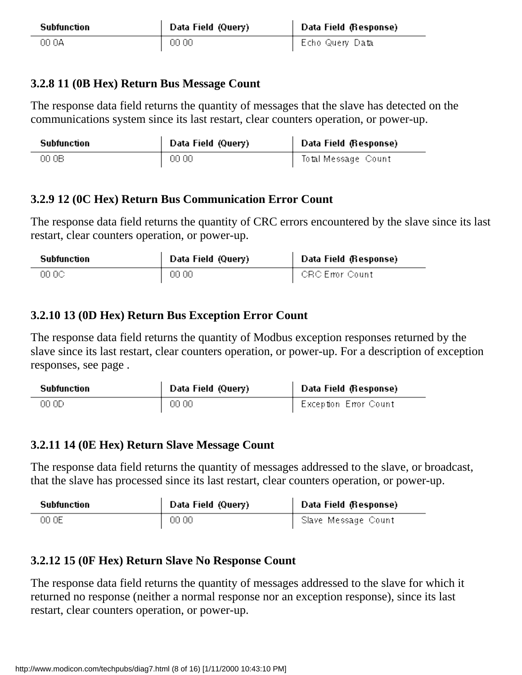| Subfunction | Data Field (Query) | Data Field (Response) |
|-------------|--------------------|-----------------------|
| 00 OA       | 00 00              | Echo Query Data       |

# <span id="page-50-0"></span>**3.2.8 11 (0B Hex) Return Bus Message Count**

The response data field returns the quantity of messages that the slave has detected on the communications system since its last restart, clear counters operation, or power-up.

| Subfunction | Data Field (Query) | Data Field (Response) |
|-------------|--------------------|-----------------------|
| 00 OB       | 00 00              | Total Message Count   |

# <span id="page-50-1"></span>**3.2.9 12 (0C Hex) Return Bus Communication Error Count**

The response data field returns the quantity of CRC errors encountered by the slave since its last restart, clear counters operation, or power-up.

| Subfunction | Data Field (Query) | Data Field (Response) |
|-------------|--------------------|-----------------------|
| 00 OC       | 00 00              | <b>CRC Emor Count</b> |

# <span id="page-50-2"></span>**3.2.10 13 (0D Hex) Return Bus Exception Error Count**

The response data field returns the quantity of Modbus exception responses returned by the slave since its last restart, clear counters operation, or power-up. For a description of exception responses, see page .

| Subfunction | Data Field (Query) | Data Field (Response)        |
|-------------|--------------------|------------------------------|
| 00 OD       | 00 00              | <b>Exception Error Count</b> |

# <span id="page-50-3"></span>**3.2.11 14 (0E Hex) Return Slave Message Count**

The response data field returns the quantity of messages addressed to the slave, or broadcast, that the slave has processed since its last restart, clear counters operation, or power-up.

| <b>Subfunction</b> | Data Field (Query) | Data Field (Response) |
|--------------------|--------------------|-----------------------|
| 00 OE              | 00 00              | Slave Message Count   |

# <span id="page-50-4"></span>**3.2.12 15 (0F Hex) Return Slave No Response Count**

The response data field returns the quantity of messages addressed to the slave for which it returned no response (neither a normal response nor an exception response), since its last restart, clear counters operation, or power-up.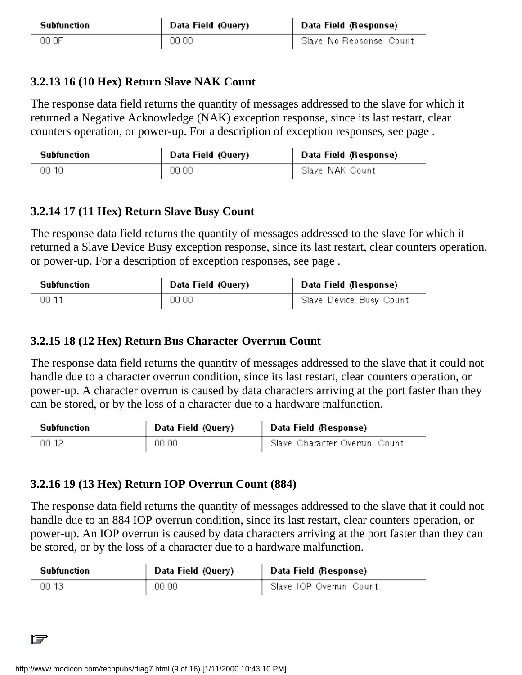| Subfunction | Data Field (Query) | Data Field (Response)   |
|-------------|--------------------|-------------------------|
| 00 OF       | 00 00              | Slave No Repsonse Count |

# <span id="page-51-0"></span>**3.2.13 16 (10 Hex) Return Slave NAK Count**

The response data field returns the quantity of messages addressed to the slave for which it returned a Negative Acknowledge (NAK) exception response, since its last restart, clear counters operation, or power-up. For a description of exception responses, see page .

| Subfunction | Data Field (Query) | Data Field (Response) |
|-------------|--------------------|-----------------------|
| 00 10       | 00 00              | Slave NAK Count       |

# <span id="page-51-1"></span>**3.2.14 17 (11 Hex) Return Slave Busy Count**

The response data field returns the quantity of messages addressed to the slave for which it returned a Slave Device Busy exception response, since its last restart, clear counters operation, or power-up. For a description of exception responses, see page .

| Subfunction | Data Field (Query) | Data Field (Response)   |
|-------------|--------------------|-------------------------|
| 00 11       | 00 00              | Slave Device Busy Count |

# <span id="page-51-2"></span>**3.2.15 18 (12 Hex) Return Bus Character Overrun Count**

The response data field returns the quantity of messages addressed to the slave that it could not handle due to a character overrun condition, since its last restart, clear counters operation, or power-up. A character overrun is caused by data characters arriving at the port faster than they can be stored, or by the loss of a character due to a hardware malfunction.

| Subfunction | Data Field (Query) | Data Field (Response)         |
|-------------|--------------------|-------------------------------|
| 00 12       | 00 00              | Slave Character Overrun Count |

# <span id="page-51-3"></span>**3.2.16 19 (13 Hex) Return IOP Overrun Count (884)**

The response data field returns the quantity of messages addressed to the slave that it could not handle due to an 884 IOP overrun condition, since its last restart, clear counters operation, or power-up. An IOP overrun is caused by data characters arriving at the port faster than they can be stored, or by the loss of a character due to a hardware malfunction.

| Subfunction | Data Field (Query) | Data Field (Response)   |
|-------------|--------------------|-------------------------|
| 00 13       | 00 00              | Slave IOP Overrun Count |

哼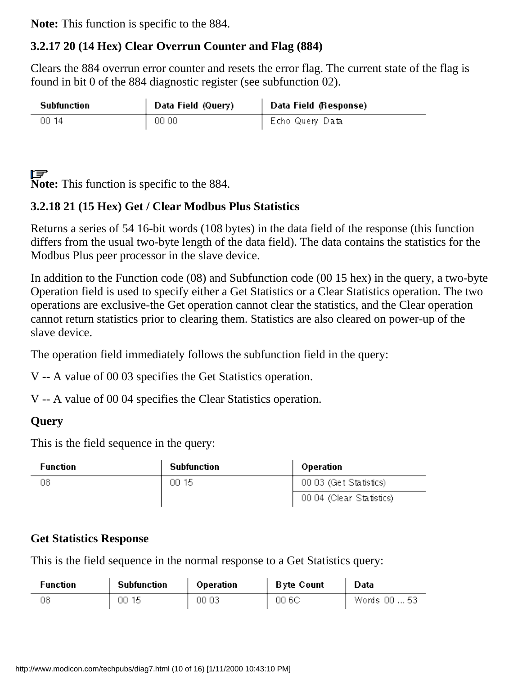**Note:** This function is specific to the 884.

# <span id="page-52-0"></span>**3.2.17 20 (14 Hex) Clear Overrun Counter and Flag (884)**

Clears the 884 overrun error counter and resets the error flag. The current state of the flag is found in bit 0 of the 884 diagnostic register (see subfunction 02).

| Subfunction | Data Field (Query) | Data Field (Response) |
|-------------|--------------------|-----------------------|
| 00 14       | 00 00              | Echo Query Data       |

**Note:** This function is specific to the 884.

# <span id="page-52-1"></span>**3.2.18 21 (15 Hex) Get / Clear Modbus Plus Statistics**

Returns a series of 54 16-bit words (108 bytes) in the data field of the response (this function differs from the usual two-byte length of the data field). The data contains the statistics for the Modbus Plus peer processor in the slave device.

In addition to the Function code (08) and Subfunction code (00 15 hex) in the query, a two-byte Operation field is used to specify either a Get Statistics or a Clear Statistics operation. The two operations are exclusive-the Get operation cannot clear the statistics, and the Clear operation cannot return statistics prior to clearing them. Statistics are also cleared on power-up of the slave device.

The operation field immediately follows the subfunction field in the query:

- V -- A value of 00 03 specifies the Get Statistics operation.
- V -- A value of 00 04 specifies the Clear Statistics operation.

# **Query**

This is the field sequence in the query:

| <b>Function</b> | <b>Subfunction</b> | Operation                |
|-----------------|--------------------|--------------------------|
| 08              | 00 15              | 00 03 (Get Statistics)   |
|                 |                    | 00 04 (Clear Statistics) |

# **Get Statistics Response**

This is the field sequence in the normal response to a Get Statistics query:

| <b>Function</b> | <b>Subfunction</b> | Operation | <b>Byte Count</b> | Data         |
|-----------------|--------------------|-----------|-------------------|--------------|
| 08              | 00 15              | 00 03     | 00 6C             | Words 00  53 |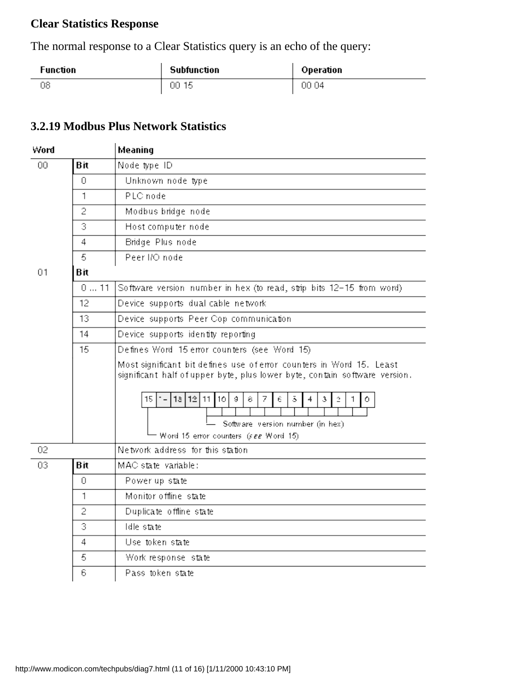# **Clear Statistics Response**

The normal response to a Clear Statistics query is an echo of the query:

| Function | <b>Subfunction</b> | Operation |
|----------|--------------------|-----------|
| 08       | 00 15              | 00 04     |

# <span id="page-53-0"></span>**3.2.19 Modbus Plus Network Statistics**

| Word |      | Meaning                                                                                                                                             |
|------|------|-----------------------------------------------------------------------------------------------------------------------------------------------------|
| 00   | Bit  | Node type ID                                                                                                                                        |
|      | n.   | Unknown node type                                                                                                                                   |
|      | 1    | PLC node                                                                                                                                            |
|      | 2    | Modbus bridge node                                                                                                                                  |
|      | 3    | Host computer node                                                                                                                                  |
|      | 4    | Bridge Plus node                                                                                                                                    |
|      | 5    | Peer I/O node                                                                                                                                       |
| 01   | Rit. |                                                                                                                                                     |
|      | 011  | Software version number in hex (to read, strip bits 12-15 from word)                                                                                |
|      | 12   | Device supports dual cable network                                                                                                                  |
|      | 13   | Device supports Peer Cop communication                                                                                                              |
|      | 14   | Device supports identity reporting                                                                                                                  |
|      | 15   | Defines Word 15 error counters (see Word 15)                                                                                                        |
|      |      | Most significant bit defines use oferror counters in Word 15. Least<br>significant half of upper byte, plus lower byte, contain software version.   |
|      |      | 15  1–  18  12  11  <br>7<br>16<br>э<br>8<br>6<br>3<br>з<br>2<br>4<br>1<br>Software version number (in hex)<br>Word 15 error counters (see Word 15) |
| 02   |      | Network address for this station.                                                                                                                   |
| 03   | Bit  | MAC state variable:                                                                                                                                 |
|      | 0.   | Power up state                                                                                                                                      |
|      | 1    | Monitor offline state                                                                                                                               |
|      | 2    | Duplicate offline state                                                                                                                             |
|      | 3    | Idle state                                                                                                                                          |
|      | 4    | Use token state                                                                                                                                     |
|      | 5    | Work response state                                                                                                                                 |
|      | 6    | Pass token state                                                                                                                                    |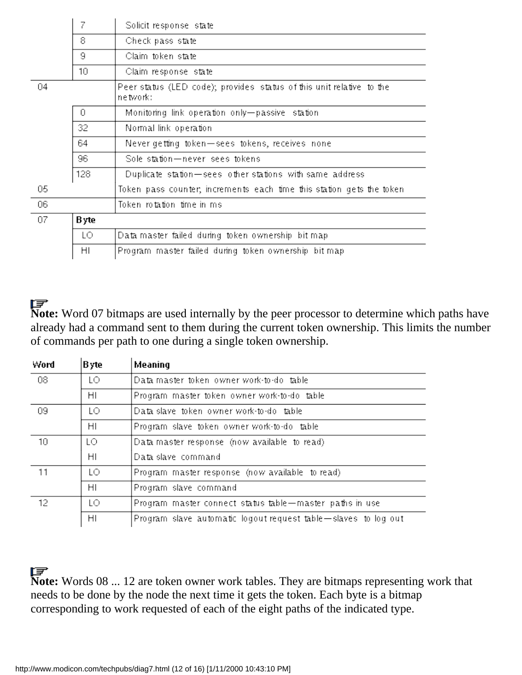|    | 7     | Solicit response state                                                           |
|----|-------|----------------------------------------------------------------------------------|
|    | 8.    | Check pass state                                                                 |
|    | 9     | Claim token state                                                                |
|    | 10    | Claim response state                                                             |
| 04 |       | Peer status (LED code); provides status of this unit relative to the<br>network: |
|    | 0     | Monitoring link operation only—passive station                                   |
|    | 32    | Normal link operation                                                            |
|    | 64    | Never getting token-sees tokens, receives none                                   |
|    | 96    | Sole station-never sees tokens                                                   |
|    | 128   | Duplicate station-sees other stations with same address                          |
| 05 |       | Token pass counter, increments each time this station gets the token.            |
| 06 |       | Token rotation time in ms                                                        |
| 07 | B yte |                                                                                  |
|    | LO.   | Data master failed during token ownership bit map                                |
|    | HI    | Program master failed during token ownership bit map                             |

**Note:** Word 07 bitmaps are used internally by the peer processor to determine which paths have already had a command sent to them during the current token ownership. This limits the number of commands per path to one during a single token ownership.

| Word | <b>Byte</b> | Meaning                                                        |
|------|-------------|----------------------------------------------------------------|
| 08   | LO.         | Data master token owner work-to-do table                       |
|      | HI          | Program master token owner work-to-do table                    |
| 09   | LO.         | Data slave token owner work-to-do table                        |
|      | HI          | Program slave token owner work-to-do table                     |
| 10   | LO.         | Data master response (now available to read)                   |
|      | HI          | Data slave command                                             |
| 11   | LO.         | Program master response (now available to read)                |
|      | HI          | Program slave command                                          |
| 12   | LO.         | Program master connect status table-master paths in use        |
|      | HI          | Program slave automatic logout request table-slaves to log out |

**Note:** Words 08 ... 12 are token owner work tables. They are bitmaps representing work that needs to be done by the node the next time it gets the token. Each byte is a bitmap corresponding to work requested of each of the eight paths of the indicated type.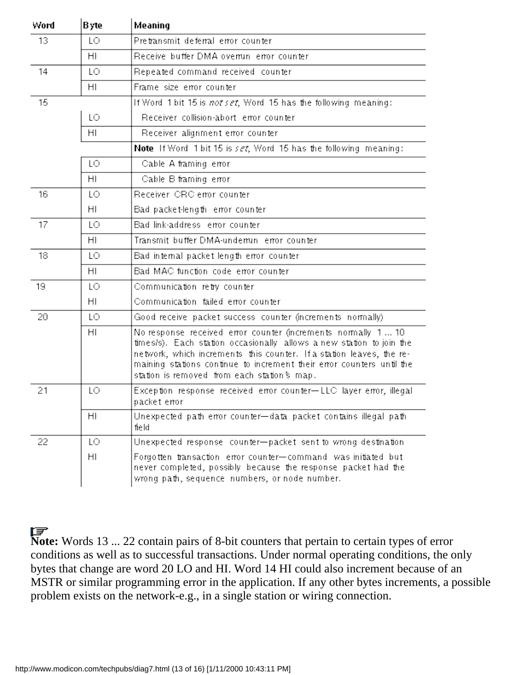| <b>Word</b> | B yte | Meaning                                                                                                                                                                                                                                                                                                                              |
|-------------|-------|--------------------------------------------------------------------------------------------------------------------------------------------------------------------------------------------------------------------------------------------------------------------------------------------------------------------------------------|
| 13          | LO    | Pretransmit deferral error counter                                                                                                                                                                                                                                                                                                   |
|             | HI    | Receive buffer DMA overrun error counter                                                                                                                                                                                                                                                                                             |
| 14          | LO    | Repeated command received counter                                                                                                                                                                                                                                                                                                    |
|             | HI    | Frame size error counter                                                                                                                                                                                                                                                                                                             |
| 15          |       | If Word 1 bit 15 is <i>not set</i> , Word 15 has the following meaning:                                                                                                                                                                                                                                                              |
|             | LO.   | Receiver collision-abort error counter                                                                                                                                                                                                                                                                                               |
|             | HI    | Receiver alignment error counter                                                                                                                                                                                                                                                                                                     |
|             |       | Note If Word 1 bit 15 is set, Word 15 has the following meaning:                                                                                                                                                                                                                                                                     |
|             | LO    | Cable A framing error                                                                                                                                                                                                                                                                                                                |
|             | HI    | Cable B framing error                                                                                                                                                                                                                                                                                                                |
| 16          | LO    | Receiver CRC error counter                                                                                                                                                                                                                                                                                                           |
|             | HI    | Bad packet-length error counter                                                                                                                                                                                                                                                                                                      |
| 17          | LO    | Bad link-address error counter                                                                                                                                                                                                                                                                                                       |
|             | HI    | Transmit buffer DMA-underrun error counter                                                                                                                                                                                                                                                                                           |
| 18          | LO    | Bad internal packet length error counter.                                                                                                                                                                                                                                                                                            |
|             | HI    | Bad MAC function code error counter                                                                                                                                                                                                                                                                                                  |
| 19          | LO    | Communication retry counter                                                                                                                                                                                                                                                                                                          |
|             | HI    | Communication failed error counter                                                                                                                                                                                                                                                                                                   |
| 20          | LO    | Good receive packet success counter (increments normally).                                                                                                                                                                                                                                                                           |
|             | HI    | No response received error counter (increments normally 1 10<br>times/s). Each station occasionally allows a new station to join the<br>network, which increments this counter. If a station leaves, the re-<br>maining stations continue to increment their error counters until the<br>station is removed from each station's map. |
| 21          | LO    | Exception response received error counter-LLC layer error, illegal<br>packet error                                                                                                                                                                                                                                                   |
|             | HI    | Unexpected path error counter-data packet contains illegal path<br>field                                                                                                                                                                                                                                                             |
| 22          | LO    | Unexpected response counter-packet sent to wrong destination                                                                                                                                                                                                                                                                         |
|             | HI    | Forgotten transaction error counter-command was initiated but<br>never completed, possibly because the response packet had the<br>wrong path, sequence numbers, or node number.                                                                                                                                                      |

**Note:** Words 13 ... 22 contain pairs of 8-bit counters that pertain to certain types of error conditions as well as to successful transactions. Under normal operating conditions, the only bytes that change are word 20 LO and HI. Word 14 HI could also increment because of an MSTR or similar programming error in the application. If any other bytes increments, a possible problem exists on the network-e.g., in a single station or wiring connection.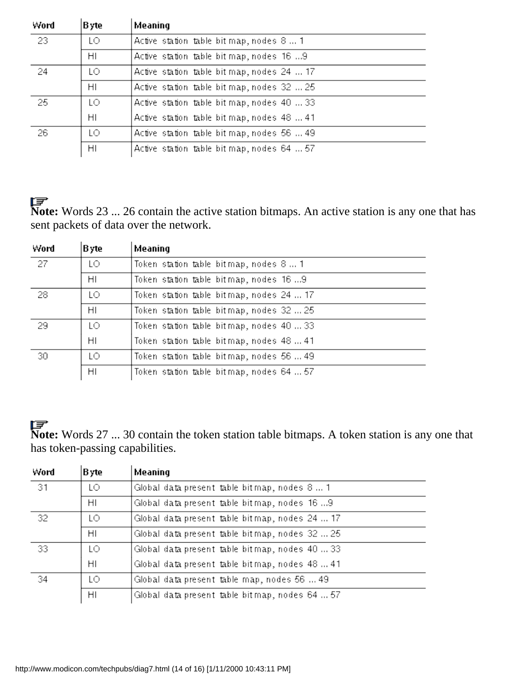| Word | <b>Byte</b> | Meaning                                    |
|------|-------------|--------------------------------------------|
| 23   | LO.         | Active station table bit map, nodes 8  1   |
|      | HI          | Active station table bit map, nodes 16 9   |
| 24   | LO.         | Active station table bit map, nodes 24  17 |
|      | HI          | Active station table bit map, nodes 32  25 |
| 25   | LO.         | Active station table bit map, nodes 40  33 |
|      | HI          | Active station table bit map, nodes 48  41 |
| 26   | LO.         | Active station table bit map, nodes 56  49 |
|      | HI          | Active station table bit map, nodes 64  57 |

**Note:** Words 23 ... 26 contain the active station bitmaps. An active station is any one that has sent packets of data over the network.

| Word | <b>Byte</b> | Meaning                                   |
|------|-------------|-------------------------------------------|
| 27   | LO.         | Token station table bit map, nodes 8  1   |
|      | HI          | Token station table bitmap, nodes 16 9    |
| 28   | LO.         | Token station table bitmap, nodes 24  17  |
|      | HI          | Token station table bitmap, nodes 32  25  |
| 29   | LO.         | Token station table bitmap, nodes 40  33  |
|      | HI          | Token station table bit map, nodes 48  41 |
| 30   | LO.         | Token station table bit map, nodes 56  49 |
|      | HI          | Token station table bitimap, nodes 64  57 |

**Note:** Words 27 ... 30 contain the token station table bitmaps. A token station is any one that has token-passing capabilities.

| Word | B yte | Meaning                                         |
|------|-------|-------------------------------------------------|
| 31   | LO.   | Global data present table bit map, nodes 8  1   |
|      | HI    | Global data present table bit map, nodes 16 9   |
| 32   | LO.   | Global data present table bit map, nodes 24  17 |
|      | HI    | Global data present table bit map, nodes 32  25 |
| 33   | LO.   | Global data present table bit map, nodes 40  33 |
|      | HI    | Global data present table bit map, nodes 48  41 |
| 34   | LO.   | Global data present table map, nodes 56  49     |
|      | HI    | Global data present table bit map, nodes 64  57 |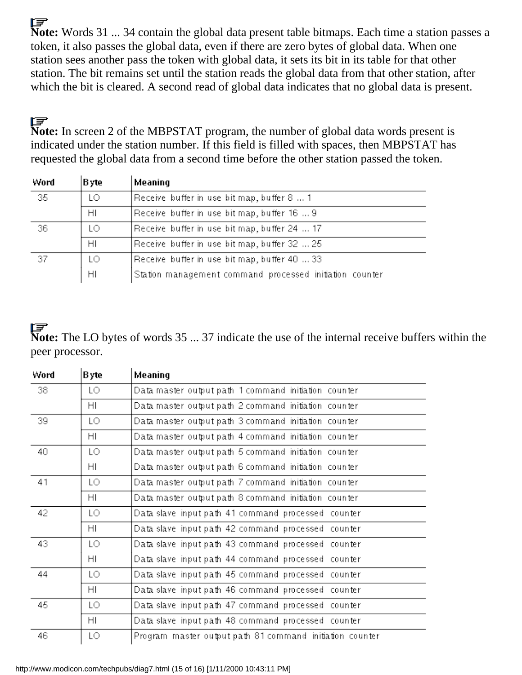**Note:** Words 31 ... 34 contain the global data present table bitmaps. Each time a station passes a **Note:** When one token, it also passes the global data, even if there are zero bytes of global data. When one station sees another pass the token with global data, it sets its bit in its table for that other station. The bit remains set until the station reads the global data from that other station, after which the bit is cleared. A second read of global data indicates that no global data is present.

**Note:** In screen 2 of the MBPSTAT program, the number of global data words present is indicated under the station number. If this field is filled with spaces, then MBPSTAT has requested the global data from a second time before the other station passed the token.

| Word            | <b>Byte</b>    | Meaning                                                  |
|-----------------|----------------|----------------------------------------------------------|
| $\overline{35}$ | LO             | Receive buffer in use bit map, buffer 8 … 1              |
|                 | HI             | Receive buffer in use bit map, buffer 16  9              |
| 36              | LO             | Receive buffer in use bit map, buffer 24  17             |
|                 | HI             | Receive buffer in use bit map, buffer 32  25             |
| -37             | LO             | Receive buffer in use bit map, buffer 40  33             |
|                 | H <sub>1</sub> | 'Station management command processed initiation counter |

**Note:** The LO bytes of words 35 ... 37 indicate the use of the internal receive buffers within the peer processor.

| Word | <b>Byte</b> | Meaning                                                   |
|------|-------------|-----------------------------------------------------------|
| 38   | LO.         | Data master output path 1 command initiation counter.     |
|      | HI          | Data master output path 2 command initiation counter.     |
| 39   | LO.         | Data master output path 3 command initiation counter.     |
|      | HI          | Data master output path 4 command initiation counter.     |
| 40   | LO          | Data master output path 5 command initiation counter.     |
|      | HI          | Data master output path 6 command initiation counter.     |
| 41   | LO          | Data master output path 7 command initiation counter.     |
|      | HI          | Data master output path 8 command initiation counter.     |
| 42   | LO          | Data slave input path 41 command processed counter        |
|      | HI          | Data slave input path 42 command processed counter.       |
| 43   | LO          | Data slave input path 43 command processed counter.       |
|      | HI          | Data slave input path 44 command processed counter        |
| 44   | LO          | Data slave input path 45 command processed counter        |
|      | HI          | Data slave input path 46 command processed counter.       |
| 45   | LO          | Data slave input path 47 command processed counter        |
|      | HI          | Data slave input path 48 command processed counter.       |
| 46   | LO          | Program master output path 81 command initiation counter. |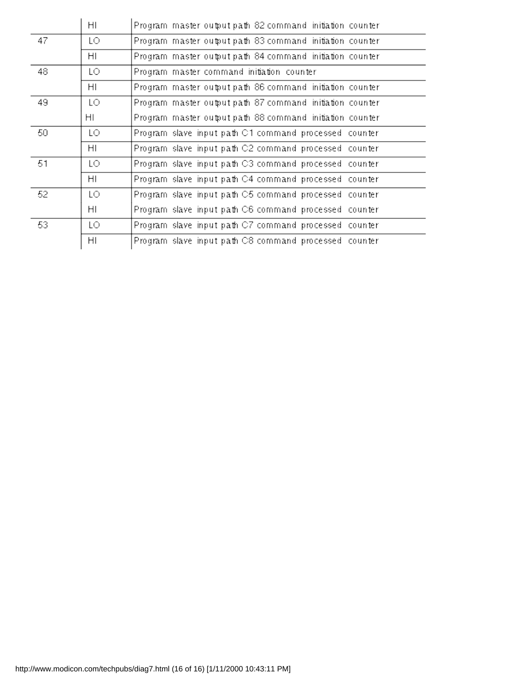|    | HI  | Program master output path 82 command initiation counter  |
|----|-----|-----------------------------------------------------------|
| 47 | LO. | Program master output path 83 command initiation counter  |
|    | HI  | Program master output path 84 command initiation counter  |
| 48 | LO. | Program master command initiation counter                 |
|    | HI  | Program master output path 86 command initiation counter  |
| 49 | LO. | Program master output path 87 command initiation counter  |
|    | HI  | Program master output path 88 command initiation counter. |
| 50 | LO. | Program slave input path C1 command processed counter     |
|    | HI  | Program slave input path C2 command processed counter     |
| 51 | LO. | Program slave input path C3 command processed counter     |
|    | HI  | Program slave input path C4 command processed counter     |
| 52 | LO. | Program slave input path C5 command processed counter     |
|    | HI  | Program slave input path C6 command processed counter     |
| 53 | LO. | Program slave input path C7 command processed counter     |
|    | HI  | Program slave input path C8 command processed counter     |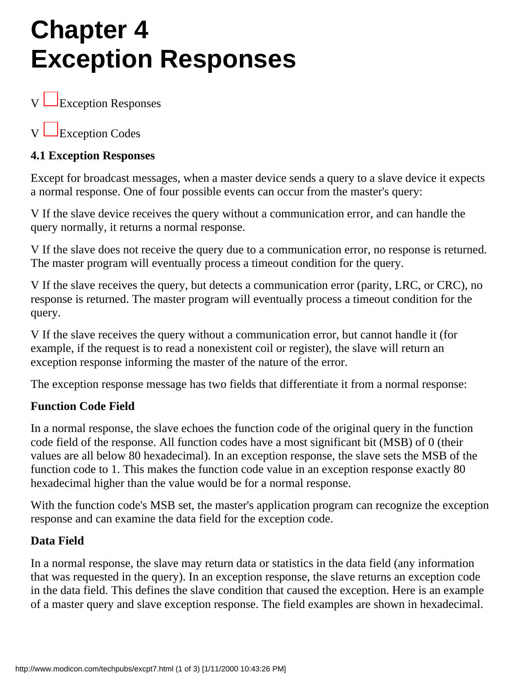# **Chapter 4 Exception Responses**

 $\mathcal{L}_{\text{Exception} }$  Responses

# $\perp$ Exception Codes

# <span id="page-59-0"></span>**4.1 Exception Responses**

Except for broadcast messages, when a master device sends a query to a slave device it expects a normal response. One of four possible events can occur from the master's query:

V If the slave device receives the query without a communication error, and can handle the query normally, it returns a normal response.

V If the slave does not receive the query due to a communication error, no response is returned. The master program will eventually process a timeout condition for the query.

V If the slave receives the query, but detects a communication error (parity, LRC, or CRC), no response is returned. The master program will eventually process a timeout condition for the query.

V If the slave receives the query without a communication error, but cannot handle it (for example, if the request is to read a nonexistent coil or register), the slave will return an exception response informing the master of the nature of the error.

The exception response message has two fields that differentiate it from a normal response:

# **Function Code Field**

In a normal response, the slave echoes the function code of the original query in the function code field of the response. All function codes have a most significant bit (MSB) of 0 (their values are all below 80 hexadecimal). In an exception response, the slave sets the MSB of the function code to 1. This makes the function code value in an exception response exactly 80 hexadecimal higher than the value would be for a normal response.

With the function code's MSB set, the master's application program can recognize the exception response and can examine the data field for the exception code.

# **Data Field**

In a normal response, the slave may return data or statistics in the data field (any information that was requested in the query). In an exception response, the slave returns an exception code in the data field. This defines the slave condition that caused the exception. Here is an example of a master query and slave exception response. The field examples are shown in hexadecimal.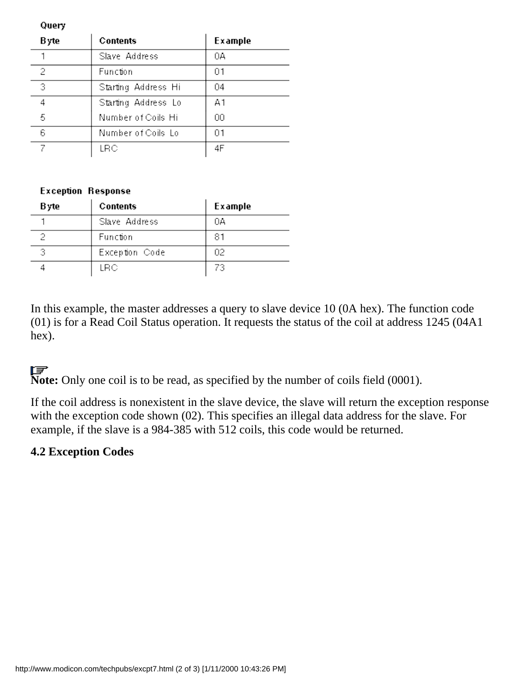| Query |                     |         |
|-------|---------------------|---------|
| B yte | <b>Contents</b>     | Example |
|       | Slave Address       | 0A      |
| 2     | <b>Function</b>     | 01      |
| -3    | Starting Address Hi | 04      |
| 4     | Starting Address Lo | А1      |
| 5     | Number of Coils Hi  | 00      |
| 6     | Number of Coils Lo  | 01      |
| 7     | LRC                 | 4F      |

## **Exception Response**

| B yte | <b>Contents</b> | Example |
|-------|-----------------|---------|
|       | Slave Address   | 0A      |
|       | Function        | 81      |
| 3     | Exception Code  | 02      |
|       | LRC             | 73      |

In this example, the master addresses a query to slave device 10 (0A hex). The function code (01) is for a Read Coil Status operation. It requests the status of the coil at address 1245 (04A1 hex).

# **Note:** Only one coil is to be read, as specified by the number of coils field (0001).

If the coil address is nonexistent in the slave device, the slave will return the exception response with the exception code shown (02). This specifies an illegal data address for the slave. For example, if the slave is a 984-385 with 512 coils, this code would be returned.

# <span id="page-60-0"></span>**4.2 Exception Codes**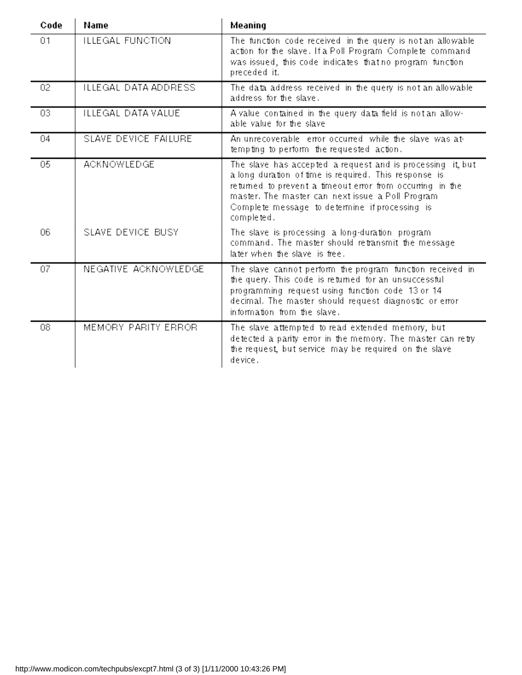| Code | <b>Name</b>                 | Meaning                                                                                                                                                                                                                                                                                              |
|------|-----------------------------|------------------------------------------------------------------------------------------------------------------------------------------------------------------------------------------------------------------------------------------------------------------------------------------------------|
| 01   | <b>ILLEGAL FUNCTION</b>     | The function code received in the query is not an allowable<br>action for the slave. If a Poll Program Complete command<br>was issued, this code indicates that no program function.<br>preceded it.                                                                                                 |
| 02   | <b>ILLEGAL DATA ADDRESS</b> | The data address received in the query is not an allowable<br>address for the slave.                                                                                                                                                                                                                 |
| 03   | <b>ILLEGAL DATA VALUE</b>   | A value contained in the query data field is not an allow-<br>able value for the slave                                                                                                                                                                                                               |
| 04   | SLAVE DEVICE FAILURE        | An unrecoverable error occurred while the slave was at-<br>tempting to perform the requested action.                                                                                                                                                                                                 |
| 05   | <b>ACKNOWLEDGE</b>          | The slave has accepted a request and is processing it, but<br>a long duration of time is required. This response is<br>returned to prevent a timeout error from occurring in the<br>master. The master can next issue a Poll Program<br>Complete message to determine if processing is<br>completed. |
| 06   | SLAVE DEVICE BUSY           | The slave is processing a long-duration program<br>command. The master should retransmit the message<br>later when the slave is free.                                                                                                                                                                |
| 07   | NEGATIVE ACKNOWLEDGE        | The slave cannot perform the program function received in<br>the query. This code is returned for an unsuccessful<br>programming request using function code 13 or 14<br>decimal. The master should request diagnostic or error<br>information from the slave.                                       |
| 08   | MEMORY PARITY ERROR         | The slave attempted to read extended memory, but<br>detected a parity error in the memory. The master can retry<br>the request, but service may be required on the slave<br>device.                                                                                                                  |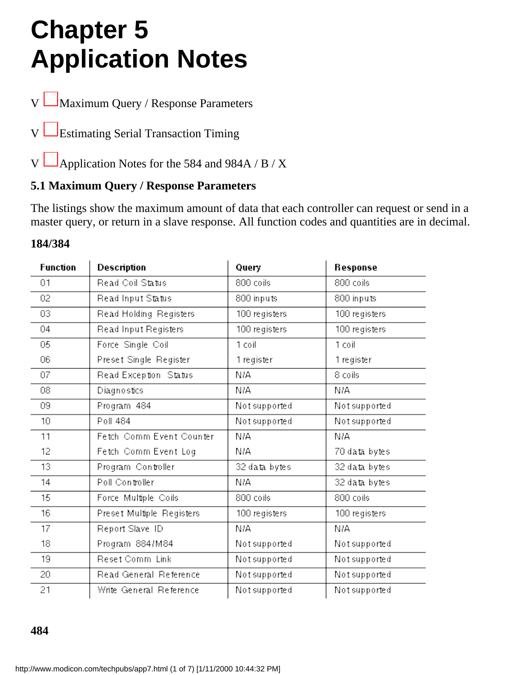# **Chapter 5 Application Notes**

V Maximum Query / Response Parameters

V **Estimating Serial Transaction Timing** 

V  $\Box$  Application Notes for the 584 and 984A / B / X

# <span id="page-62-0"></span>**5.1 Maximum Query / Response Parameters**

The listings show the maximum amount of data that each controller can request or send in a master query, or return in a slave response. All function codes and quantities are in decimal.

# **184/384**

| <b>Function</b>  | <b>Description</b>        | Query         | Response      |
|------------------|---------------------------|---------------|---------------|
| 01               | Read Coil Status          | 800 coils     | 800 coils     |
| 02               | Read Input Status         | 800 inputs    | 800 inputs    |
| 03               | Read Holding Registers    | 100 registers | 100 registers |
| 04               | Read Input Registers      | 100 registers | 100 registers |
| 05               | Force Single Coil         | 1 coil        | 1 coil        |
| 06               | Preset Single Register    | 1 register    | 1 register    |
| 07               | Read Exception Status     | NIA           | 8 coils       |
| 08               | Diagnostics               | NIA           | NIA           |
| 09               | Program 484               | Not supported | Not supported |
| 10 <sub>10</sub> | Poll 484                  | Not supported | Not supported |
| 11               | Fetch, Comm Event Counter | <b>N/A</b>    | NIA           |
| 12               | Fetch Comm Event Log      | NIA           | 70 data bytes |
| 13               | Program Controller        | 32 data bytes | 32 data bytes |
| 14               | Poll Controller           | NIA           | 32 data bytes |
| 15               | Force Multiple Coils      | 800 coils     | 800 coils     |
| 16               | Preset Multiple Registers | 100 registers | 100 registers |
| 17               | Report Slave ID           | NIA           | N/A           |
| 18               | Program 884/M84           | Not supported | Not supported |
| 19               | Reset Comm Link           | Not supported | Not supported |
| 20               | Read General Reference    | Not supported | Not supported |
| 21               | Write General Reference   | Not supported | Not supported |

**484**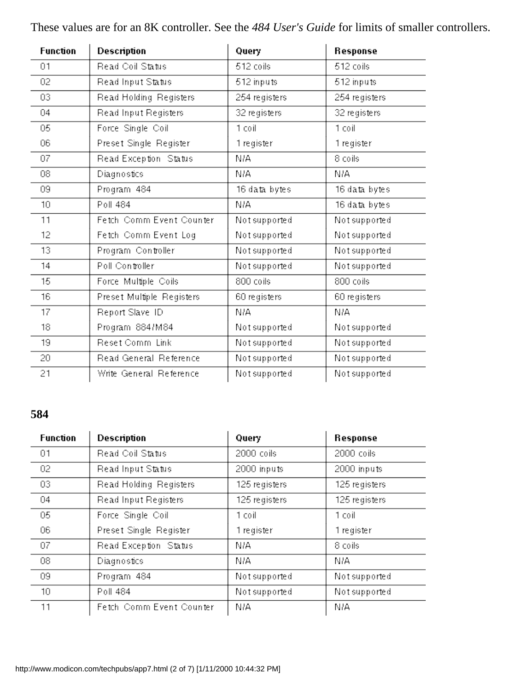| <b>Function</b> | <b>Description</b>        | Query         | Response      |
|-----------------|---------------------------|---------------|---------------|
| 01              | Read Coil Status          | 512 coils     | 512 coils     |
| 02              | Read Input Status         | 512 inputs    | 512 inputs    |
| 03              | Read Holding Registers    | 254 registers | 254 registers |
| 04              | Read Input Registers      | 32 registers  | 32 registers  |
| 05              | Force Single Coil         | 1 coil        | 1 coil        |
| 06              | Preset Single Register    | 1 register    | 1 register    |
| 07              | Read Exception Status     | NIA           | 8 coils       |
| 08              | Diagnostics               | NIA           | NIA           |
| 09              | Program 484               | 16 data bytes | 16 data bytes |
| 10              | <b>Poll 484</b>           | NIA           | 16 data bytes |
| 11              | Fetch, Comm Event Counter | Not supported | Not supported |
| 12              | Fetch Comm Event Log      | Not supported | Not supported |
| 13              | Program Controller        | Not supported | Not supported |
| 14              | Poll Controller           | Not supported | Not supported |
| 15              | Force Multiple Coils      | 800 coils     | 800 coils     |
| 16              | Preset Multiple Registers | 60 registers  | 60 registers. |
| 17              | Report Slave ID           | NIA           | NIA           |
| 18              | Program 884/M84           | Not supported | Not supported |
| 19              | Reset Comm Link           | Not supported | Not supported |
| 20              | Read General Reference    | Not supported | Not supported |
| 21              | Write General Reference   | Not supported | Not supported |

These values are for an 8K controller. See the *484 User's Guide* for limits of smaller controllers.

# **584**

| <b>Function</b> | Description               | Query         | Response      |
|-----------------|---------------------------|---------------|---------------|
| 01              | Read Coil Status          | 2000 coils    | 2000 coils    |
| 02              | Read Input Status         | 2000 inputs   | 2000 inputs   |
| 03              | Read Holding Registers    | 125 registers | 125 registers |
| 04              | Read Input Registers      | 125 registers | 125 registers |
| 05              | Force Single Coil         | 1 coil        | 1 coil        |
| 06              | Preset Single Register    | 1 register    | 1 register    |
| 07              | Read Exception Status     | N/A           | 8 coils       |
| 08              | Diagnostics               | NIA           | N/A           |
| 09              | Program 484               | Not supported | Not supported |
| 10              | Poll 484                  | Not supported | Not supported |
| 11              | Fetch, Comm Event Counter | NIA           | NIA           |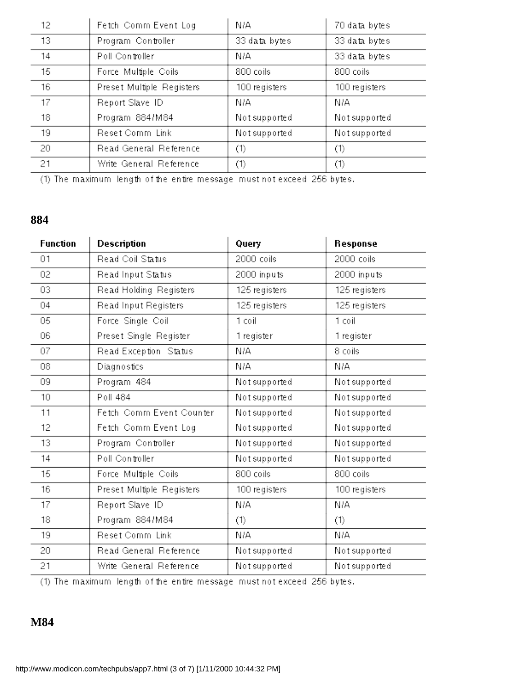| 12 | Fetch Comm Event Log      | NIA           | 70 data bytes |
|----|---------------------------|---------------|---------------|
| 13 | Program Controller        | 33 data bytes | 33 data bytes |
| 14 | Poll Controller           | N/A.          | 33 data bytes |
| 15 | Force Multiple Coils      | 800 coils     | 800 coils     |
| 16 | Preset Multiple Registers | 100 registers | 100 registers |
| 17 | Report Slave ID           | N/A           | N/A           |
| 18 | Program 884/M84           | Not supported | Not supported |
| 19 | Reset Comm Link           | Not supported | Not supported |
| 20 | Read General Reference    | (1)           | O)            |
| 21 | Write General Reference   | (1)           | $\langle$ 1)  |

ł.

(1) The maximum length of the entire message must not exceed 256 bytes.

## **884**

| <b>Function</b> | Description                   | Query               | Response            |
|-----------------|-------------------------------|---------------------|---------------------|
| 01              | Read Coil Status              | 2000 coils          | 2000 coils          |
| 02              | Read Input Status             | 2000 inputs         | 2000 inputs         |
| 03              | <b>Read Holding Registers</b> | 125 registers       | 125 registers       |
| 04              | Read Input Registers          | 125 registers       | 125 registers       |
| 05              | Force Single Coil             | 1 coil              | 1 coil              |
| 06              | Preset Single Register        | 1 register          | 1 register          |
| 07              | Read Exception Status         | NIA                 | 8 coils             |
| 08              | Diagnostics                   | NIA                 | NIA                 |
| 09              | Program 484                   | Not supported       | Not supported       |
| 10 <sub>1</sub> | <b>Poll 484</b>               | Not supported       | Not supported       |
| 11              | Fetch, Comm Event Counter     | Not supported       | Not supported       |
| 12              | Fetch Comm Event Log          | Not supported       | Not supported       |
| 13              | Program Controller            | Not supported       | Not supported       |
| 14              | Poll Controller               | Not supported       | Not supported       |
| 15              | Force Multiple Coils          | 800 coils           | 800 coils           |
| 16              | Preset Multiple Registers     | 100 registers       | 100 registers       |
| 17              | Report Slave ID               | N/A                 | NIA                 |
| 18              | Program 884/M84               | $\langle 1 \rangle$ | $\langle 1 \rangle$ |
| 19              | Reset Comm Link               | N/A                 | NIA                 |
| 20              | Read General Reference        | Not supported       | Not supported       |
| 21              | Write General Reference       | Not supported       | Not supported       |

(1) The maximum length of the entire message must not exceed 256 bytes.

**M84**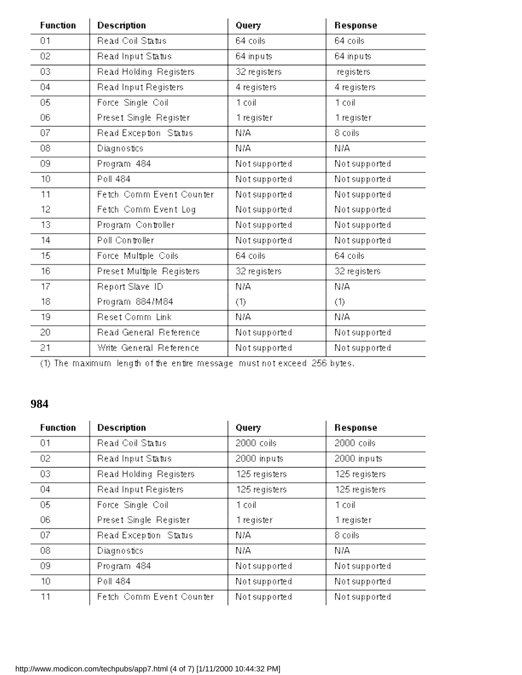| <b>Function</b> | Description                 | Query            | Response      |
|-----------------|-----------------------------|------------------|---------------|
| 01              | Read Coil Status            | 64 coils         | 64 coils      |
| 02              | Read Input Status           | 64 inputs        | 64 inputs     |
| 03              | Read Holding Registers      | 32 registers     | registers     |
| 04              | <b>Read Input Registers</b> | 4 registers      | 4 registers   |
| 05              | Force Single Coil           | 1 coil           | 1 coil        |
| 06              | Preset Single Register      | 1 register       | 1 register    |
| 07              | Read Exception Status       | N/A              | 8 coils       |
| 08              | Diagnostics                 | NIA              | NIA           |
| 09              | Program 484                 | Not supported    | Not supported |
| 10              | Poll 484                    | Not supported    | Not supported |
| 11              | Fetch, Comm Event Counter   | Not supported    | Not supported |
| 12              | Fetch Comm Event Log        | Not supported    | Not supported |
| 13              | Program Controller          | Not supported    | Not supported |
| 14              | Poll Controller             | Not supported    | Not supported |
| 15              | Force Multiple Coils        | 64 coils         | 64 coils      |
| 16              | Preset Multiple Registers   | 32 registers     | 32 registers  |
| 17              | Report Slave ID             | N/A              | N/A           |
| 18              | Program 884/M84             | $\left(1\right)$ | (1)           |
| 19              | Reset Comm Link             | NIA              | NIA           |
| 20              | Read General Reference      | Not supported    | Not supported |
| 21              | Write General Reference     | Not supported    | Not supported |

(1) The maximum length of the entire message must not exceed 256 bytes.

# **984**

| <b>Function</b>  | Description                   | Query         | Response      |
|------------------|-------------------------------|---------------|---------------|
| 01               | Read Coil Status              | 2000 coils    | 2000 coils    |
| 02               | Read Input Status             | 2000 inputs   | 2000 inputs   |
| 03               | <b>Read Holding Registers</b> | 125 registers | 125 registers |
| 04               | Read Input Registers          | 125 registers | 125 registers |
| 05               | Force Single Coil             | 1 coil        | 1 coil        |
| 06               | Preset Single Register        | 1 register    | 1 register    |
| 07               | Read Exception Status         | N/A           | 8 coils       |
| 08               | Diagnostics                   | NIA           | N/A           |
| 09               | Program 484                   | Not supported | Not supported |
| 10 <sub>10</sub> | Poll 484                      | Not supported | Not supported |
| 11               | Fetch, Comm Event Counter     | Not supported | Not supported |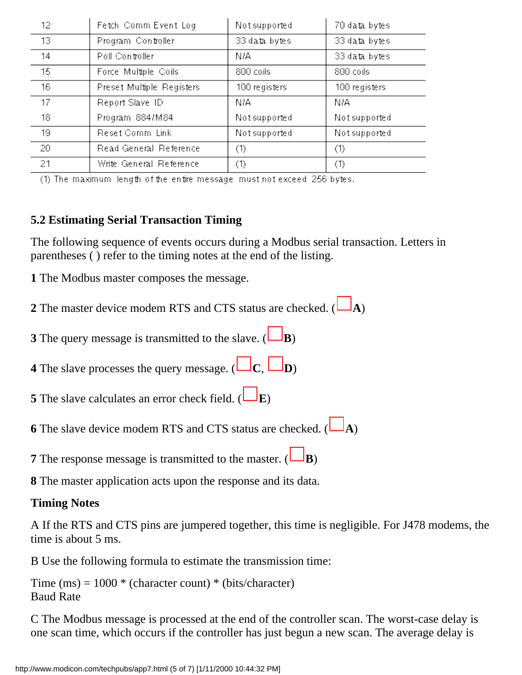| 12 | Fetch Comm Event Log      | Not supported | 70 data bytes |
|----|---------------------------|---------------|---------------|
| 13 | Program Controller        | 33 data bytes | 33 data bytes |
| 14 | Poll Controller           | N/A.          | 33 data bytes |
| 15 | Force Multiple Coils      | 800 coils     | 800 coils     |
| 16 | Preset Multiple Registers | 100 registers | 100 registers |
| 17 | Report Slave ID           | N/A           | N/A           |
| 18 | Program 884/M84           | Not supported | Not supported |
| 19 | Reset Comm Link           | Not supported | Not supported |
| 20 | Read General Reference    | (1)           | O)            |
| 21 | Write General Reference   | (1)           | $\langle$ 1)  |

(1) The maximum length of the entire message must not exceed 256 bytes.

# <span id="page-66-0"></span>**5.2 Estimating Serial Transaction Timing**

The following sequence of events occurs during a Modbus serial transaction. Letters in parentheses ( ) refer to the timing notes at the end of the listing.

**1** The Modbus master composes the message.

- **2** The master device modem RTS and CTS status are checked. ( $\Box$ A)
- **3** The query message is transmitted to the slave.  $(\Box B)$
- **4** The slave processes the query message.  $(\Box C, \Box D)$
- **5** The slave calculates an error check field.  $(\Box \mathbf{E})$
- **6** The slave device modem RTS and CTS status are checked. ( $\Box$ A)

**7** The response message is transmitted to the master.  $(\Box B)$ 

**8** The master application acts upon the response and its data.

# **Timing Notes**

A If the RTS and CTS pins are jumpered together, this time is negligible. For J478 modems, the time is about 5 ms.

B Use the following formula to estimate the transmission time:

Time (ms) =  $1000 *$  (character count) \* (bits/character) Baud Rate

C The Modbus message is processed at the end of the controller scan. The worst-case delay is one scan time, which occurs if the controller has just begun a new scan. The average delay is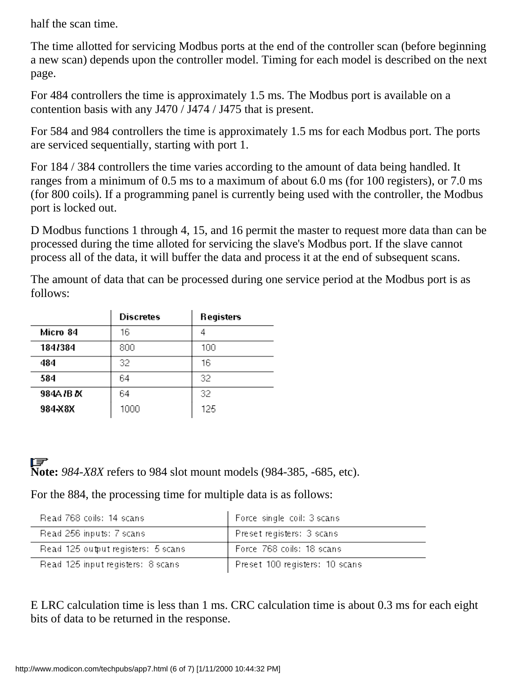half the scan time.

The time allotted for servicing Modbus ports at the end of the controller scan (before beginning a new scan) depends upon the controller model. Timing for each model is described on the next page.

For 484 controllers the time is approximately 1.5 ms. The Modbus port is available on a contention basis with any J470 / J474 / J475 that is present.

For 584 and 984 controllers the time is approximately 1.5 ms for each Modbus port. The ports are serviced sequentially, starting with port 1.

For 184 / 384 controllers the time varies according to the amount of data being handled. It ranges from a minimum of 0.5 ms to a maximum of about 6.0 ms (for 100 registers), or 7.0 ms (for 800 coils). If a programming panel is currently being used with the controller, the Modbus port is locked out.

D Modbus functions 1 through 4, 15, and 16 permit the master to request more data than can be processed during the time alloted for servicing the slave's Modbus port. If the slave cannot process all of the data, it will buffer the data and process it at the end of subsequent scans.

The amount of data that can be processed during one service period at the Modbus port is as follows:

|          | <b>Discretes</b> | <b>Registers</b> |
|----------|------------------|------------------|
| Micro 84 | 16               |                  |
| 184/384  | 800              | 100              |
| 484      | 32               | 16               |
| 584      | 64               | 32               |
| 984A/BM  | 64               | 32               |
| 984-X8X  | 1000             | 125              |

**Note:** *984-X8X* refers to 984 slot mount models (984-385, -685, etc).

For the 884, the processing time for multiple data is as follows:

| Read 768 coils: 14 scans           | Force single coil: 3 scans     |
|------------------------------------|--------------------------------|
| Read 256 inputs: 7 scans           | Preset registers: 3 scans      |
| Read 125 output registers: 5 scans | Force 768 coils: 18 scans      |
| Read 125 input registers: 8 scans  | Preset 100 registers: 10 scans |

E LRC calculation time is less than 1 ms. CRC calculation time is about 0.3 ms for each eight bits of data to be returned in the response.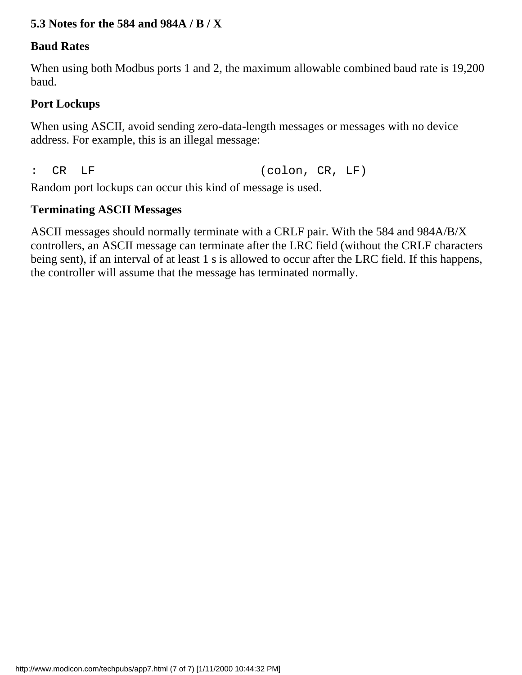# <span id="page-68-0"></span>**5.3 Notes for the 584 and 984A / B / X**

# **Baud Rates**

When using both Modbus ports 1 and 2, the maximum allowable combined baud rate is 19,200 baud.

# **Port Lockups**

When using ASCII, avoid sending zero-data-length messages or messages with no device address. For example, this is an illegal message:

: CR LF (colon, CR, LF)

Random port lockups can occur this kind of message is used.

# **Terminating ASCII Messages**

ASCII messages should normally terminate with a CRLF pair. With the 584 and 984A/B/X controllers, an ASCII message can terminate after the LRC field (without the CRLF characters being sent), if an interval of at least 1 s is allowed to occur after the LRC field. If this happens, the controller will assume that the message has terminated normally.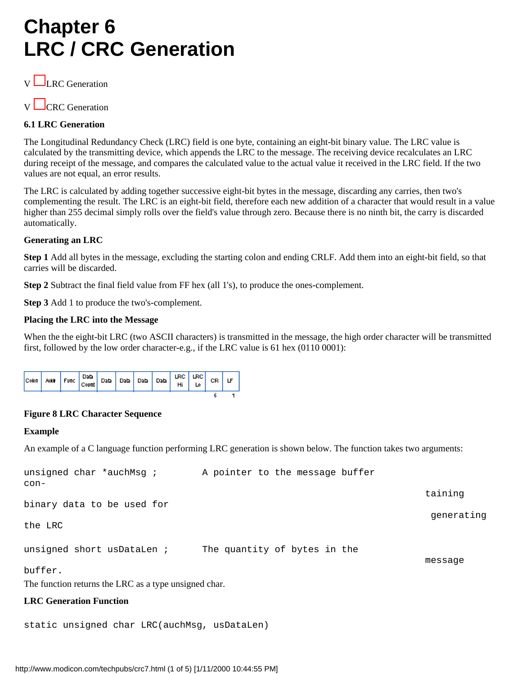# **Chapter 6 LRC / CRC Generation**



### <span id="page-69-0"></span>**6.1 LRC Generation**

The Longitudinal Redundancy Check (LRC) field is one byte, containing an eight-bit binary value. The LRC value is calculated by the transmitting device, which appends the LRC to the message. The receiving device recalculates an LRC during receipt of the message, and compares the calculated value to the actual value it received in the LRC field. If the two values are not equal, an error results.

The LRC is calculated by adding together successive eight-bit bytes in the message, discarding any carries, then two's complementing the result. The LRC is an eight-bit field, therefore each new addition of a character that would result in a value higher than 255 decimal simply rolls over the field's value through zero. Because there is no ninth bit, the carry is discarded automatically.

#### **Generating an LRC**

**Step 1** Add all bytes in the message, excluding the starting colon and ending CRLF. Add them into an eight-bit field, so that carries will be discarded.

**Step 2** Subtract the final field value from FF hex (all 1's), to produce the ones-complement.

**Step 3** Add 1 to produce the two's-complement.

#### **Placing the LRC into the Message**

When the the eight-bit LRC (two ASCII characters) is transmitted in the message, the high order character will be transmitted first, followed by the low order character-e.g., if the LRC value is 61 hex (0110 0001):

| $\vert$ Colon $\vert$ Acks $\vert$ Func $\vert$ Data $\vert$ Data $\vert$ Data $\vert$ Data $\vert$ Data $\vert$ | Count |  |  | $'$ LRC $ $ LRC $ $ .<br>Hi | ι٥ |  |
|------------------------------------------------------------------------------------------------------------------|-------|--|--|-----------------------------|----|--|
|                                                                                                                  |       |  |  |                             |    |  |

#### **Figure 8 LRC Character Sequence**

#### **Example**

An example of a C language function performing LRC generation is shown below. The function takes two arguments:

| unsigned char *auchMsg ;<br>$con-$                               | A pointer to the message buffer |            |
|------------------------------------------------------------------|---------------------------------|------------|
| binary data to be used for                                       |                                 | taining    |
| the LRC                                                          |                                 | qenerating |
| unsigned short usDataLen ;                                       | The quantity of bytes in the    | message    |
| buffer.<br>The function returns the LRC as a type unsigned char. |                                 |            |
| <b>LRC</b> Generation Function                                   |                                 |            |

static unsigned char LRC(auchMsg, usDataLen)

http://www.modicon.com/techpubs/crc7.html (1 of 5) [1/11/2000 10:44:55 PM]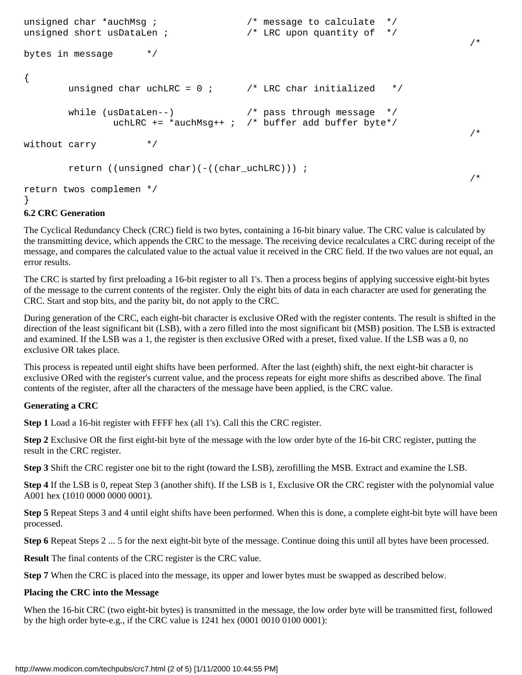```
unsigned char *auchMsg ; /* message to calculate */
unsigned short usDataLen ; \overline{a} /* LRC upon quantity of */
/ *
bytes in message */
{
    unsigned char uchLRC = 0 ; / LRC char initialized */
    while (usDataLen--) \frac{1}{2} /* pass through message */
         uchLRC += *auchMsq++ ; /* buffer add buffer byte*// *
without carry */
     return ((unsigned char)(-((char_uchLRC))) ;
/ *
return twos complemen */
}
```
### <span id="page-70-0"></span>**6.2 CRC Generation**

The Cyclical Redundancy Check (CRC) field is two bytes, containing a 16-bit binary value. The CRC value is calculated by the transmitting device, which appends the CRC to the message. The receiving device recalculates a CRC during receipt of the message, and compares the calculated value to the actual value it received in the CRC field. If the two values are not equal, an error results.

The CRC is started by first preloading a 16-bit register to all 1's. Then a process begins of applying successive eight-bit bytes of the message to the current contents of the register. Only the eight bits of data in each character are used for generating the CRC. Start and stop bits, and the parity bit, do not apply to the CRC.

During generation of the CRC, each eight-bit character is exclusive ORed with the register contents. The result is shifted in the direction of the least significant bit (LSB), with a zero filled into the most significant bit (MSB) position. The LSB is extracted and examined. If the LSB was a 1, the register is then exclusive ORed with a preset, fixed value. If the LSB was a 0, no exclusive OR takes place.

This process is repeated until eight shifts have been performed. After the last (eighth) shift, the next eight-bit character is exclusive ORed with the register's current value, and the process repeats for eight more shifts as described above. The final contents of the register, after all the characters of the message have been applied, is the CRC value.

#### **Generating a CRC**

**Step 1** Load a 16-bit register with FFFF hex (all 1's). Call this the CRC register.

**Step 2** Exclusive OR the first eight-bit byte of the message with the low order byte of the 16-bit CRC register, putting the result in the CRC register.

**Step 3** Shift the CRC register one bit to the right (toward the LSB), zerofilling the MSB. Extract and examine the LSB.

**Step 4** If the LSB is 0, repeat Step 3 (another shift). If the LSB is 1, Exclusive OR the CRC register with the polynomial value A001 hex (1010 0000 0000 0001).

**Step 5** Repeat Steps 3 and 4 until eight shifts have been performed. When this is done, a complete eight-bit byte will have been processed.

**Step 6** Repeat Steps 2 ... 5 for the next eight-bit byte of the message. Continue doing this until all bytes have been processed.

**Result** The final contents of the CRC register is the CRC value.

**Step 7** When the CRC is placed into the message, its upper and lower bytes must be swapped as described below.

#### **Placing the CRC into the Message**

When the 16-bit CRC (two eight-bit bytes) is transmitted in the message, the low order byte will be transmitted first, followed by the high order byte-e.g., if the CRC value is 1241 hex (0001 0010 0100 0001):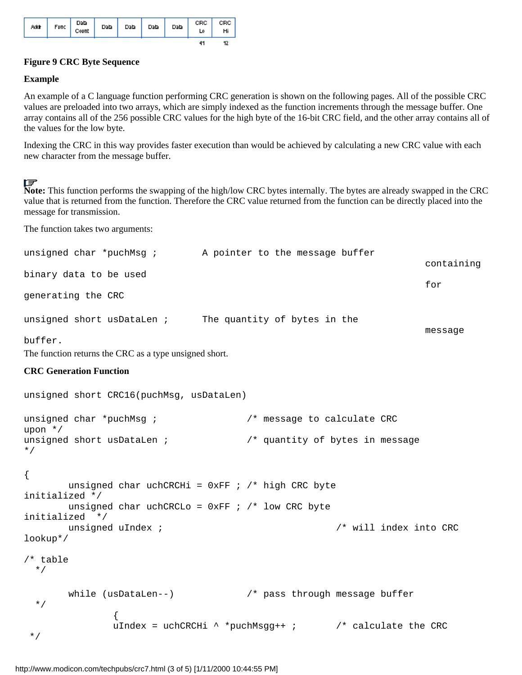| Addr | Func | Data<br>Count | Data | Data | Data | Data | CRC. | CRC |
|------|------|---------------|------|------|------|------|------|-----|
|      |      |               |      |      |      |      |      |     |

### **Figure 9 CRC Byte Sequence**

### **Example**

An example of a C language function performing CRC generation is shown on the following pages. All of the possible CRC values are preloaded into two arrays, which are simply indexed as the function increments through the message buffer. One array contains all of the 256 possible CRC values for the high byte of the 16-bit CRC field, and the other array contains all of the values for the low byte.

Indexing the CRC in this way provides faster execution than would be achieved by calculating a new CRC value with each new character from the message buffer.

### 门

**Note:** This function performs the swapping of the high/low CRC bytes internally. The bytes are already swapped in the CRC value that is returned from the function. Therefore the CRC value returned from the function can be directly placed into the message for transmission.

The function takes two arguments:

```
unsigned char *puchMsg ; The pointer to the message buffer
                                                                            containing
binary data to be used
 for
generating the CRC
unsigned short usDataLen ; The quantity of bytes in the
message and the contract of the contract of the contract of the contract of the contract of the contract of the contract of the contract of the contract of the contract of the contract of the contract of the contract of th
buffer.
The function returns the CRC as a type unsigned short.
CRC Generation Function
unsigned short CRC16(puchMsg, usDataLen)
unsigned char *puchMsg ; /* message to calculate CRC 
upon */<br>unsigned short usDataLen ;
                                         /* quantity of bytes in message
*/
{
        unsigned char uchCRCHi = 0xFF ; /* high CRC byte
initialized */
        unsigned char uchCRCLo = 0xFF ; /* low CRC byte
initialized */
         unsigned uIndex ; /* will index into CRC 
lookup*/
/* table 
   */
        while (usDataLen--) \frac{1}{2} /* pass through message buffer
   */
 {
                 uIndex = uchCRCHi ^ *puchMsgg++ ; /* calculate the CRC 
  */
```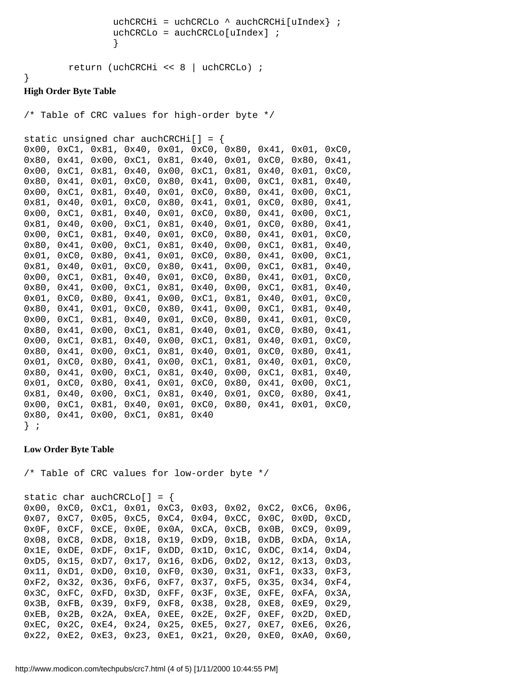```
uchCRCHi = uchCRCLo \land auchCRCHi[uIndex} ;
                uchCRCLo = auchCRCLo[uIndex] ;
 }
        return (uchCRCHi << 8 | uchCRCLo) ;
```
## **High Order Byte Table**

}

/\* Table of CRC values for high-order byte \*/

static unsigned char auchCRCHi[] = {

```
0x00, 0xC1, 0x81, 0x40, 0x01, 0xC0, 0x80, 0x41, 0x01, 0xC0, 
0x80, 0x41, 0x00, 0xC1, 0x81, 0x40, 0x01, 0xC0, 0x80, 0x41, 
0x00, 0xC1, 0x81, 0x40, 0x00, 0xC1, 0x81, 0x40, 0x01, 0xC0,
0x80, 0x41, 0x01, 0xC0, 0x80, 0x41, 0x00, 0xC1, 0x81, 0x40, 
0x00, 0xC1, 0x81, 0x40, 0x01, 0xC0, 0x80, 0x41, 0x00, 0xC1, 
0x81, 0x40, 0x01, 0xC0, 0x80, 0x41, 0x01, 0xC0, 0x80, 0x41, 
0x00, 0xC1, 0x81, 0x40, 0x01, 0xC0, 0x80, 0x41, 0x00, 0xC1, 
0x81, 0x40, 0x00, 0xC1, 0x81, 0x40, 0x01, 0xC0, 0x80, 0x41, 
0x00, 0xC1, 0x81, 0x40, 0x01, 0xC0, 0x80, 0x41, 0x01, 0xC0, 
0x80, 0x41, 0x00, 0xC1, 0x81, 0x40, 0x00, 0xC1, 0x81, 0x40, 
0x01, 0xC0, 0x80, 0x41, 0x01, 0xC0, 0x80, 0x41, 0x00, 0xC1, 
0x81, 0x40, 0x01, 0xC0, 0x80, 0x41, 0x00, 0xC1, 0x81, 0x40, 
0x00, 0xC1, 0x81, 0x40, 0x01, 0xC0, 0x80, 0x41, 0x01, 0xC0, 
0x80, 0x41, 0x00, 0xC1, 0x81, 0x40, 0x00, 0xC1, 0x81, 0x40, 
0x01, 0xC0, 0x80, 0x41, 0x00, 0xC1, 0x81, 0x40, 0x01, 0xC0, 
0x80, 0x41, 0x01, 0xC0, 0x80, 0x41, 0x00, 0xC1, 0x81, 0x40, 
0x00, 0xC1, 0x81, 0x40, 0x01, 0xC0, 0x80, 0x41, 0x01, 0xC0, 
0x80, 0x41, 0x00, 0xC1, 0x81, 0x40, 0x01, 0xC0, 0x80, 0x41, 
0x00, 0xC1, 0x81, 0x40, 0x00, 0xC1, 0x81, 0x40, 0x01, 0xC0, 
0x80, 0x41, 0x00, 0xC1, 0x81, 0x40, 0x01, 0xC0, 0x80, 0x41, 
0x01, 0xC0, 0x80, 0x41, 0x00, 0xC1, 0x81, 0x40, 0x01, 0xC0, 
0x80, 0x41, 0x00, 0xC1, 0x81, 0x40, 0x00, 0xC1, 0x81, 0x40, 
0x01, 0xC0, 0x80, 0x41, 0x01, 0xC0, 0x80, 0x41, 0x00, 0xC1, 
0x81, 0x40, 0x00, 0xC1, 0x81, 0x40, 0x01, 0xC0, 0x80, 0x41, 
0x00, 0xC1, 0x81, 0x40, 0x01, 0xC0, 0x80, 0x41, 0x01, 0xC0, 
0x80, 0x41, 0x00, 0xC1, 0x81, 0x40
} ;
```
## **Low Order Byte Table**

/\* Table of CRC values for low-order byte \*/

```
static char auchCRCLo[] = \{0x00, 0xC0, 0xC1, 0x01, 0xC3, 0x03, 0x02, 0xC2, 0xC6, 0x06, 
0x07, 0xC7, 0x05, 0xC5, 0xC4, 0x04, 0xCC, 0x0C, 0x0D, 0xCD, 
0x0F, 0xCF, 0xCE, 0x0E, 0x0A, 0xCA, 0xCB, 0x0B, 0xC9, 0x09, 
0x08, 0xC8, 0xD8, 0x18, 0x19, 0xD9, 0x1B, 0xDB, 0xDA, 0x1A, 
0x1E, 0xDE, 0xDF, 0x1F, 0xDD, 0x1D, 0x1C, 0xDC, 0x14, 0xD4, 
0xD5, 0x15, 0xD7, 0x17, 0x16, 0xD6, 0xD2, 0x12, 0x13, 0xD3, 
0x11, 0xD1, 0xD0, 0x10, 0xF0, 0x30, 0x31, 0xF1, 0x33, 0xF3, 
0xF2, 0x32, 0x36, 0xF6, 0xF7, 0x37, 0xF5, 0x35, 0x34, 0xF4, 
0x3C, 0xFC, 0xFD, 0x3D, 0xFF, 0x3F, 0x3E, 0xFE, 0xFA, 0x3A, 
0x3B, 0xFB, 0x39, 0xF9, 0xF8, 0x38, 0x28, 0xE8, 0xE9, 0x29, 
0xEB, 0x2B, 0x2A, 0xEA, 0xEE, 0x2E, 0x2F, 0xEF, 0x2D, 0xED, 
0xEC, 0x2C, 0xE4, 0x24, 0x25, 0xE5, 0x27, 0xE7, 0xE6, 0x26, 
0x22, 0xE2, 0xE3, 0x23, 0xE1, 0x21, 0x20, 0xE0, 0xA0, 0x60,
```
http://www.modicon.com/techpubs/crc7.html (4 of 5) [1/11/2000 10:44:55 PM]